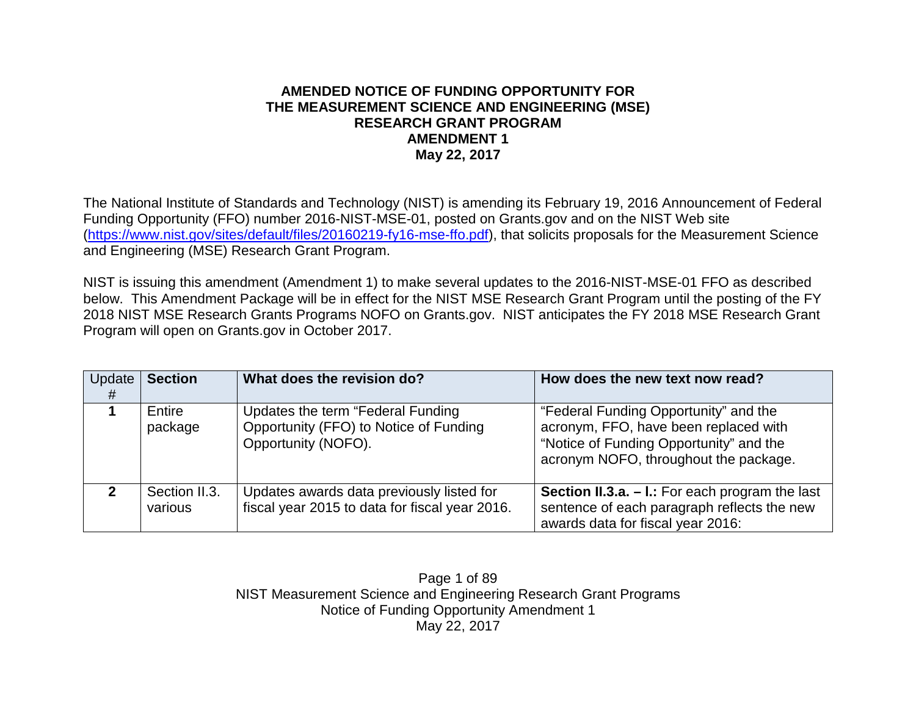#### **AMENDED NOTICE OF FUNDING OPPORTUNITY FOR THE MEASUREMENT SCIENCE AND ENGINEERING (MSE) RESEARCH GRANT PROGRAM AMENDMENT 1 May 22, 2017**

The National Institute of Standards and Technology (NIST) is amending its February 19, 2016 Announcement of Federal Funding Opportunity (FFO) number 2016-NIST-MSE-01, posted on Grants.gov and on the NIST Web site [\(https://www.nist.gov/sites/default/files/20160219-fy16-mse-ffo.pdf\)](https://www.nist.gov/sites/default/files/20160219-fy16-mse-ffo.pdf), that solicits proposals for the Measurement Science and Engineering (MSE) Research Grant Program.

NIST is issuing this amendment (Amendment 1) to make several updates to the 2016-NIST-MSE-01 FFO as described below. This Amendment Package will be in effect for the NIST MSE Research Grant Program until the posting of the FY 2018 NIST MSE Research Grants Programs NOFO on Grants.gov. NIST anticipates the FY 2018 MSE Research Grant Program will open on Grants.gov in October 2017.

| Update<br># | <b>Section</b>           | What does the revision do?                                                                         | How does the new text now read?                                                                                                                                    |
|-------------|--------------------------|----------------------------------------------------------------------------------------------------|--------------------------------------------------------------------------------------------------------------------------------------------------------------------|
|             | Entire<br>package        | Updates the term "Federal Funding<br>Opportunity (FFO) to Notice of Funding<br>Opportunity (NOFO). | "Federal Funding Opportunity" and the<br>acronym, FFO, have been replaced with<br>"Notice of Funding Opportunity" and the<br>acronym NOFO, throughout the package. |
| 2           | Section II.3.<br>various | Updates awards data previously listed for<br>fiscal year 2015 to data for fiscal year 2016.        | <b>Section II.3.a. <math>-</math> I.:</b> For each program the last<br>sentence of each paragraph reflects the new<br>awards data for fiscal year 2016:            |

Page 1 of 89 NIST Measurement Science and Engineering Research Grant Programs Notice of Funding Opportunity Amendment 1 May 22, 2017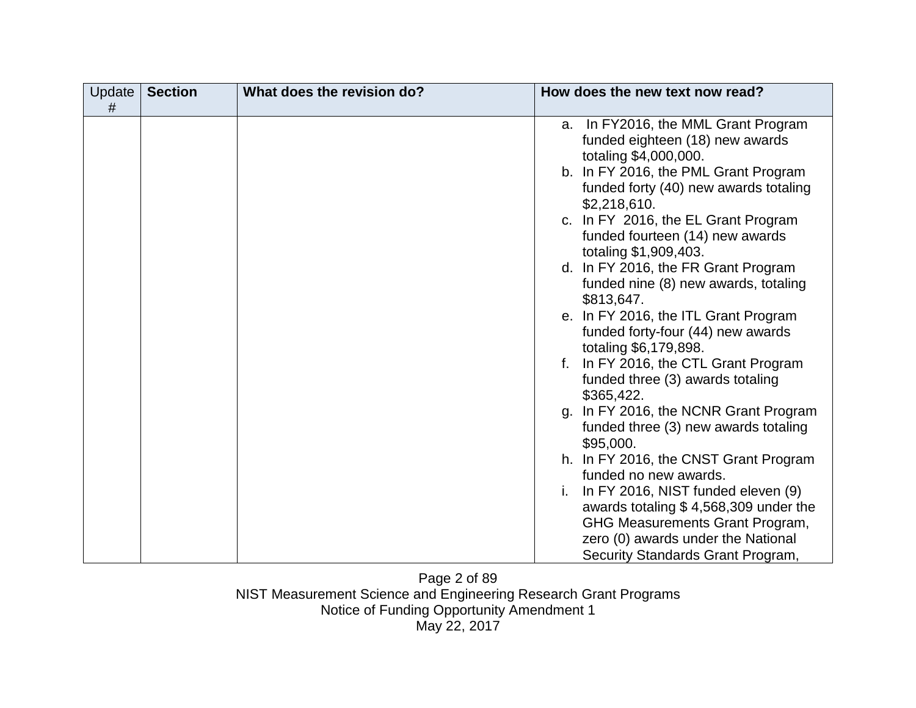| Update<br># | <b>Section</b> | What does the revision do? | How does the new text now read?                                                                    |
|-------------|----------------|----------------------------|----------------------------------------------------------------------------------------------------|
|             |                |                            | a. In FY2016, the MML Grant Program<br>funded eighteen (18) new awards                             |
|             |                |                            | totaling \$4,000,000.<br>b. In FY 2016, the PML Grant Program                                      |
|             |                |                            | funded forty (40) new awards totaling<br>\$2,218,610.                                              |
|             |                |                            | c. In FY 2016, the EL Grant Program<br>funded fourteen (14) new awards                             |
|             |                |                            | totaling \$1,909,403.<br>d. In FY 2016, the FR Grant Program                                       |
|             |                |                            | funded nine (8) new awards, totaling<br>\$813,647.                                                 |
|             |                |                            | e. In FY 2016, the ITL Grant Program<br>funded forty-four (44) new awards<br>totaling \$6,179,898. |
|             |                |                            | In FY 2016, the CTL Grant Program<br>funded three (3) awards totaling                              |
|             |                |                            | \$365,422.<br>In FY 2016, the NCNR Grant Program<br>q.                                             |
|             |                |                            | funded three (3) new awards totaling<br>\$95,000.                                                  |
|             |                |                            | h. In FY 2016, the CNST Grant Program<br>funded no new awards.                                     |
|             |                |                            | In FY 2016, NIST funded eleven (9)<br>awards totaling \$4,568,309 under the                        |
|             |                |                            | GHG Measurements Grant Program,<br>zero (0) awards under the National                              |
|             |                |                            | Security Standards Grant Program,                                                                  |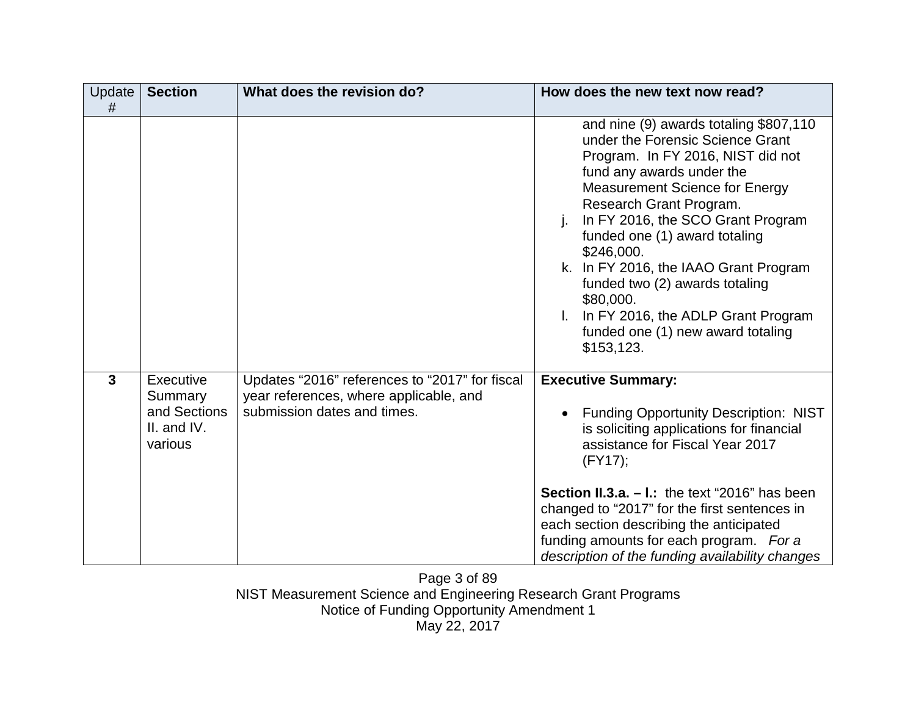| Update  <br># | <b>Section</b>                                                 | What does the revision do?                                                                                              | How does the new text now read?                                                                                                                                                                                                                                                                                                                                                                                                                                                              |
|---------------|----------------------------------------------------------------|-------------------------------------------------------------------------------------------------------------------------|----------------------------------------------------------------------------------------------------------------------------------------------------------------------------------------------------------------------------------------------------------------------------------------------------------------------------------------------------------------------------------------------------------------------------------------------------------------------------------------------|
|               |                                                                |                                                                                                                         | and nine (9) awards totaling \$807,110<br>under the Forensic Science Grant<br>Program. In FY 2016, NIST did not<br>fund any awards under the<br><b>Measurement Science for Energy</b><br>Research Grant Program.<br>In FY 2016, the SCO Grant Program<br>j.<br>funded one (1) award totaling<br>\$246,000.<br>k. In FY 2016, the IAAO Grant Program<br>funded two (2) awards totaling<br>\$80,000.<br>In FY 2016, the ADLP Grant Program<br>funded one (1) new award totaling<br>\$153, 123. |
| $\mathbf{3}$  | Executive<br>Summary<br>and Sections<br>II. and IV.<br>various | Updates "2016" references to "2017" for fiscal<br>year references, where applicable, and<br>submission dates and times. | <b>Executive Summary:</b><br><b>Funding Opportunity Description: NIST</b><br>is soliciting applications for financial<br>assistance for Fiscal Year 2017<br>$(FY17)$ ;<br><b>Section II.3.a. <math>-</math> I.:</b> the text "2016" has been<br>changed to "2017" for the first sentences in<br>each section describing the anticipated<br>funding amounts for each program. For a<br>description of the funding availability changes                                                        |

Page 3 of 89 NIST Measurement Science and Engineering Research Grant Programs Notice of Funding Opportunity Amendment 1 May 22, 2017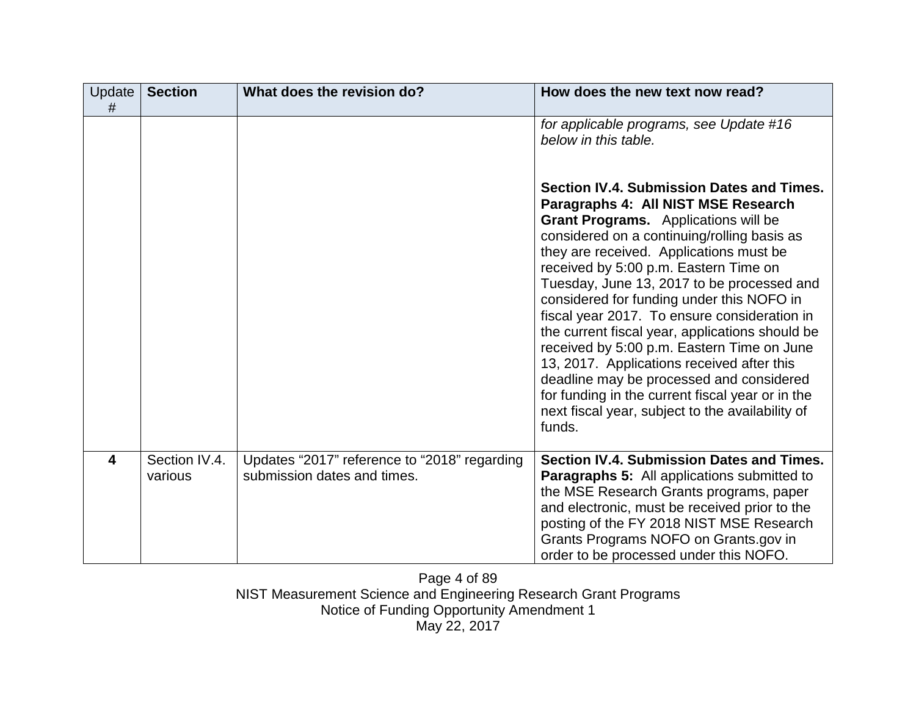| Update<br>#             | <b>Section</b>           | What does the revision do?                                                  | How does the new text now read?                                                                                                                                                                                                                                                                                                                                                                                                                                                                                                                                                                                                                                                                                     |
|-------------------------|--------------------------|-----------------------------------------------------------------------------|---------------------------------------------------------------------------------------------------------------------------------------------------------------------------------------------------------------------------------------------------------------------------------------------------------------------------------------------------------------------------------------------------------------------------------------------------------------------------------------------------------------------------------------------------------------------------------------------------------------------------------------------------------------------------------------------------------------------|
|                         |                          |                                                                             | for applicable programs, see Update #16<br>below in this table.                                                                                                                                                                                                                                                                                                                                                                                                                                                                                                                                                                                                                                                     |
|                         |                          |                                                                             | Section IV.4. Submission Dates and Times.<br>Paragraphs 4: All NIST MSE Research<br>Grant Programs. Applications will be<br>considered on a continuing/rolling basis as<br>they are received. Applications must be<br>received by 5:00 p.m. Eastern Time on<br>Tuesday, June 13, 2017 to be processed and<br>considered for funding under this NOFO in<br>fiscal year 2017. To ensure consideration in<br>the current fiscal year, applications should be<br>received by 5:00 p.m. Eastern Time on June<br>13, 2017. Applications received after this<br>deadline may be processed and considered<br>for funding in the current fiscal year or in the<br>next fiscal year, subject to the availability of<br>funds. |
| $\overline{\mathbf{4}}$ | Section IV.4.<br>various | Updates "2017" reference to "2018" regarding<br>submission dates and times. | Section IV.4. Submission Dates and Times.<br><b>Paragraphs 5:</b> All applications submitted to<br>the MSE Research Grants programs, paper<br>and electronic, must be received prior to the<br>posting of the FY 2018 NIST MSE Research<br>Grants Programs NOFO on Grants.gov in<br>order to be processed under this NOFO.                                                                                                                                                                                                                                                                                                                                                                                          |

Page 4 of 89 NIST Measurement Science and Engineering Research Grant Programs Notice of Funding Opportunity Amendment 1 May 22, 2017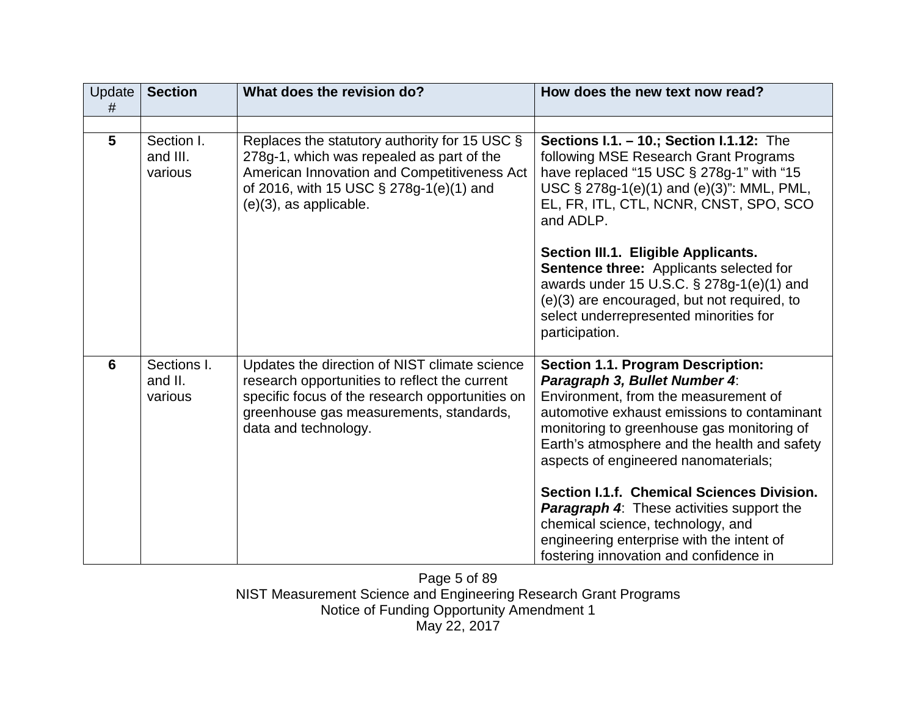| <b>Update</b><br># | <b>Section</b>                    | What does the revision do?                                                                                                                                                                                           | How does the new text now read?                                                                                                                                                                                                                                                                                                                      |
|--------------------|-----------------------------------|----------------------------------------------------------------------------------------------------------------------------------------------------------------------------------------------------------------------|------------------------------------------------------------------------------------------------------------------------------------------------------------------------------------------------------------------------------------------------------------------------------------------------------------------------------------------------------|
|                    |                                   |                                                                                                                                                                                                                      |                                                                                                                                                                                                                                                                                                                                                      |
| 5                  | Section I.<br>and III.<br>various | Replaces the statutory authority for 15 USC $\S$<br>278g-1, which was repealed as part of the<br>American Innovation and Competitiveness Act<br>of 2016, with 15 USC § 278g-1(e)(1) and<br>$(e)(3)$ , as applicable. | Sections I.1. - 10.; Section I.1.12: The<br>following MSE Research Grant Programs<br>have replaced "15 USC $\S$ 278g-1" with "15<br>USC § 278g-1(e)(1) and (e)(3)": MML, PML,<br>EL, FR, ITL, CTL, NCNR, CNST, SPO, SCO<br>and ADLP.                                                                                                                 |
|                    |                                   |                                                                                                                                                                                                                      | Section III.1. Eligible Applicants.<br><b>Sentence three:</b> Applicants selected for<br>awards under 15 U.S.C. § 278g-1(e)(1) and<br>(e)(3) are encouraged, but not required, to<br>select underrepresented minorities for<br>participation.                                                                                                        |
| 6                  | Sections I.<br>and II.<br>various | Updates the direction of NIST climate science<br>research opportunities to reflect the current<br>specific focus of the research opportunities on<br>greenhouse gas measurements, standards,<br>data and technology. | <b>Section 1.1. Program Description:</b><br>Paragraph 3, Bullet Number 4:<br>Environment, from the measurement of<br>automotive exhaust emissions to contaminant<br>monitoring to greenhouse gas monitoring of<br>Earth's atmosphere and the health and safety<br>aspects of engineered nanomaterials;<br>Section I.1.f. Chemical Sciences Division. |
|                    |                                   |                                                                                                                                                                                                                      | <b>Paragraph 4:</b> These activities support the<br>chemical science, technology, and<br>engineering enterprise with the intent of<br>fostering innovation and confidence in                                                                                                                                                                         |

Page 5 of 89 NIST Measurement Science and Engineering Research Grant Programs Notice of Funding Opportunity Amendment 1 May 22, 2017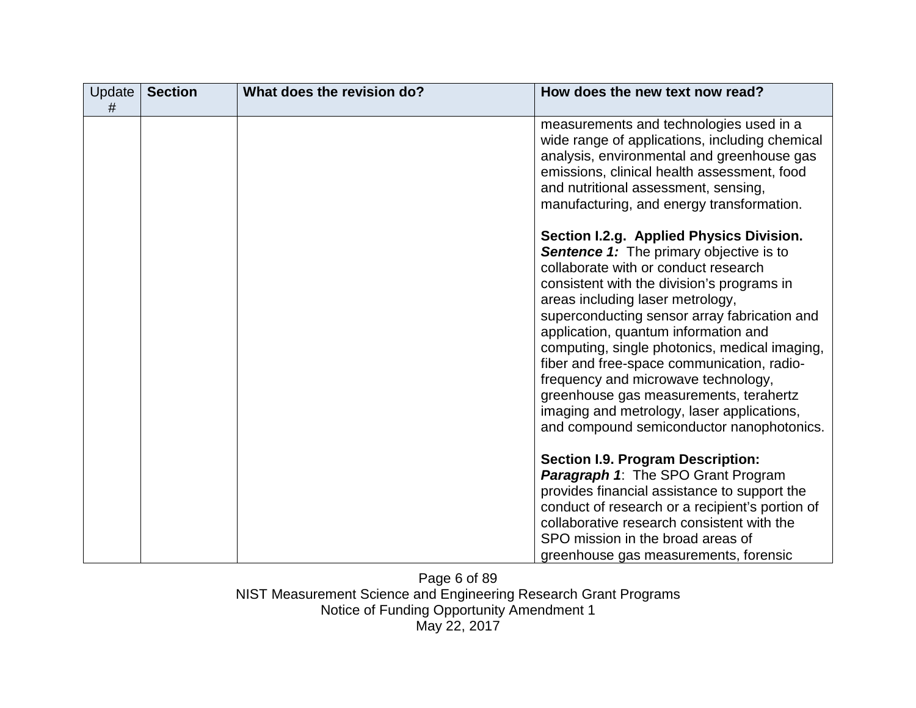| Update<br># | <b>Section</b> | What does the revision do? | How does the new text now read?                                                                                                                                                                                                                                                                                                                                                                                                                                                                                                                                                         |
|-------------|----------------|----------------------------|-----------------------------------------------------------------------------------------------------------------------------------------------------------------------------------------------------------------------------------------------------------------------------------------------------------------------------------------------------------------------------------------------------------------------------------------------------------------------------------------------------------------------------------------------------------------------------------------|
|             |                |                            | measurements and technologies used in a<br>wide range of applications, including chemical<br>analysis, environmental and greenhouse gas<br>emissions, clinical health assessment, food<br>and nutritional assessment, sensing,<br>manufacturing, and energy transformation.                                                                                                                                                                                                                                                                                                             |
|             |                |                            | Section I.2.g. Applied Physics Division.<br><b>Sentence 1:</b> The primary objective is to<br>collaborate with or conduct research<br>consistent with the division's programs in<br>areas including laser metrology,<br>superconducting sensor array fabrication and<br>application, quantum information and<br>computing, single photonics, medical imaging,<br>fiber and free-space communication, radio-<br>frequency and microwave technology,<br>greenhouse gas measurements, terahertz<br>imaging and metrology, laser applications,<br>and compound semiconductor nanophotonics. |
|             |                |                            | <b>Section I.9. Program Description:</b><br><b>Paragraph 1:</b> The SPO Grant Program<br>provides financial assistance to support the<br>conduct of research or a recipient's portion of<br>collaborative research consistent with the<br>SPO mission in the broad areas of<br>greenhouse gas measurements, forensic                                                                                                                                                                                                                                                                    |

Page 6 of 89 NIST Measurement Science and Engineering Research Grant Programs Notice of Funding Opportunity Amendment 1 May 22, 2017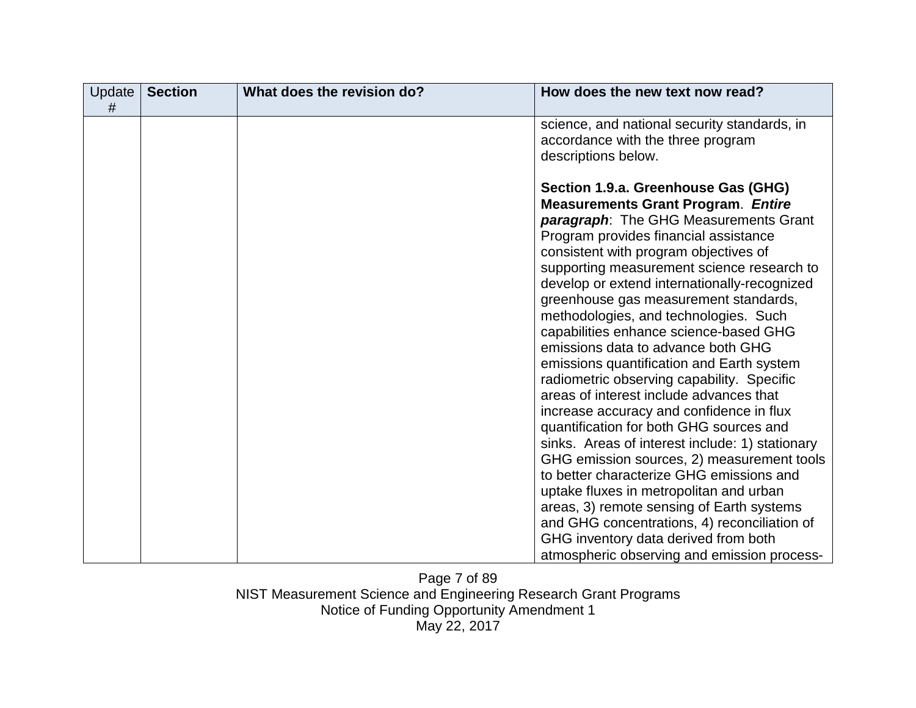| <b>Update</b><br># | <b>Section</b> | What does the revision do? | How does the new text now read?                                                                                                                                                                                                                                                                                                                                                                                                                                                                                                                                                                                                                                                                                                                                                                                                                                                                                                                                                                                                                                                      |
|--------------------|----------------|----------------------------|--------------------------------------------------------------------------------------------------------------------------------------------------------------------------------------------------------------------------------------------------------------------------------------------------------------------------------------------------------------------------------------------------------------------------------------------------------------------------------------------------------------------------------------------------------------------------------------------------------------------------------------------------------------------------------------------------------------------------------------------------------------------------------------------------------------------------------------------------------------------------------------------------------------------------------------------------------------------------------------------------------------------------------------------------------------------------------------|
|                    |                |                            | science, and national security standards, in<br>accordance with the three program<br>descriptions below.                                                                                                                                                                                                                                                                                                                                                                                                                                                                                                                                                                                                                                                                                                                                                                                                                                                                                                                                                                             |
|                    |                |                            | Section 1.9.a. Greenhouse Gas (GHG)<br><b>Measurements Grant Program. Entire</b><br>paragraph: The GHG Measurements Grant<br>Program provides financial assistance<br>consistent with program objectives of<br>supporting measurement science research to<br>develop or extend internationally-recognized<br>greenhouse gas measurement standards,<br>methodologies, and technologies. Such<br>capabilities enhance science-based GHG<br>emissions data to advance both GHG<br>emissions quantification and Earth system<br>radiometric observing capability. Specific<br>areas of interest include advances that<br>increase accuracy and confidence in flux<br>quantification for both GHG sources and<br>sinks. Areas of interest include: 1) stationary<br>GHG emission sources, 2) measurement tools<br>to better characterize GHG emissions and<br>uptake fluxes in metropolitan and urban<br>areas, 3) remote sensing of Earth systems<br>and GHG concentrations, 4) reconciliation of<br>GHG inventory data derived from both<br>atmospheric observing and emission process- |

Page 7 of 89 NIST Measurement Science and Engineering Research Grant Programs Notice of Funding Opportunity Amendment 1 May 22, 2017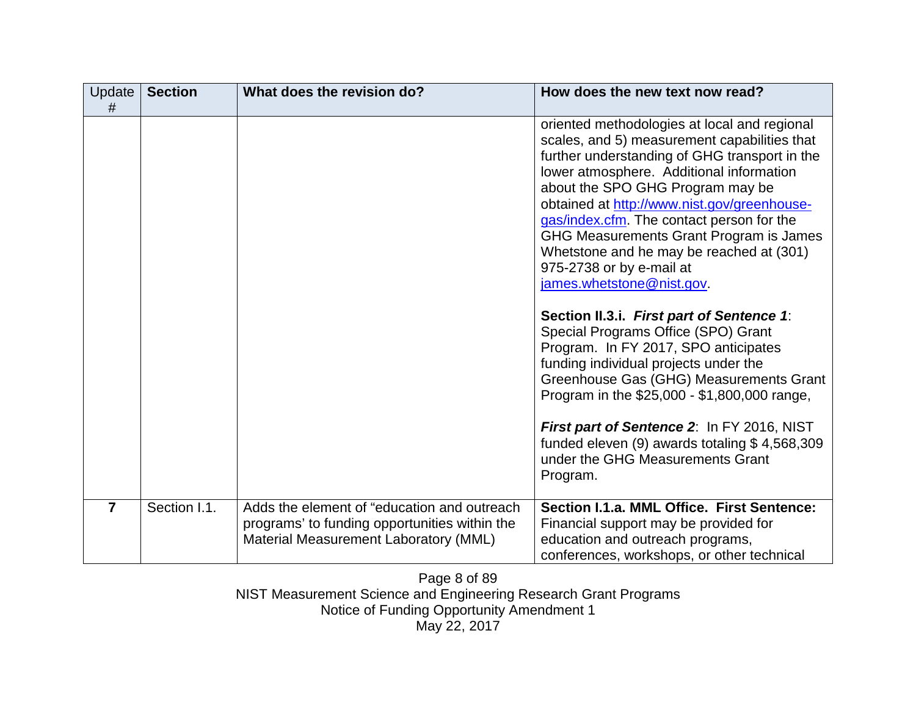| Update<br>#    | <b>Section</b> | What does the revision do?                                                                                                            | How does the new text now read?                                                                                                                                                                                                                                                                                                                                                                                                                                                                                                                                                                                                                                                                                                                                                                                                                                                          |
|----------------|----------------|---------------------------------------------------------------------------------------------------------------------------------------|------------------------------------------------------------------------------------------------------------------------------------------------------------------------------------------------------------------------------------------------------------------------------------------------------------------------------------------------------------------------------------------------------------------------------------------------------------------------------------------------------------------------------------------------------------------------------------------------------------------------------------------------------------------------------------------------------------------------------------------------------------------------------------------------------------------------------------------------------------------------------------------|
|                |                |                                                                                                                                       | oriented methodologies at local and regional<br>scales, and 5) measurement capabilities that<br>further understanding of GHG transport in the<br>lower atmosphere. Additional information<br>about the SPO GHG Program may be<br>obtained at http://www.nist.gov/greenhouse-<br>gas/index.cfm. The contact person for the<br>GHG Measurements Grant Program is James<br>Whetstone and he may be reached at (301)<br>975-2738 or by e-mail at<br>james.whetstone@nist.gov.<br>Section II.3.i. First part of Sentence 1:<br>Special Programs Office (SPO) Grant<br>Program. In FY 2017, SPO anticipates<br>funding individual projects under the<br>Greenhouse Gas (GHG) Measurements Grant<br>Program in the \$25,000 - \$1,800,000 range,<br>First part of Sentence 2: In FY 2016, NIST<br>funded eleven (9) awards totaling \$4,568,309<br>under the GHG Measurements Grant<br>Program. |
| $\overline{7}$ | Section I.1.   | Adds the element of "education and outreach<br>programs' to funding opportunities within the<br>Material Measurement Laboratory (MML) | Section I.1.a. MML Office. First Sentence:<br>Financial support may be provided for<br>education and outreach programs,<br>conferences, workshops, or other technical                                                                                                                                                                                                                                                                                                                                                                                                                                                                                                                                                                                                                                                                                                                    |

Page 8 of 89 NIST Measurement Science and Engineering Research Grant Programs Notice of Funding Opportunity Amendment 1 May 22, 2017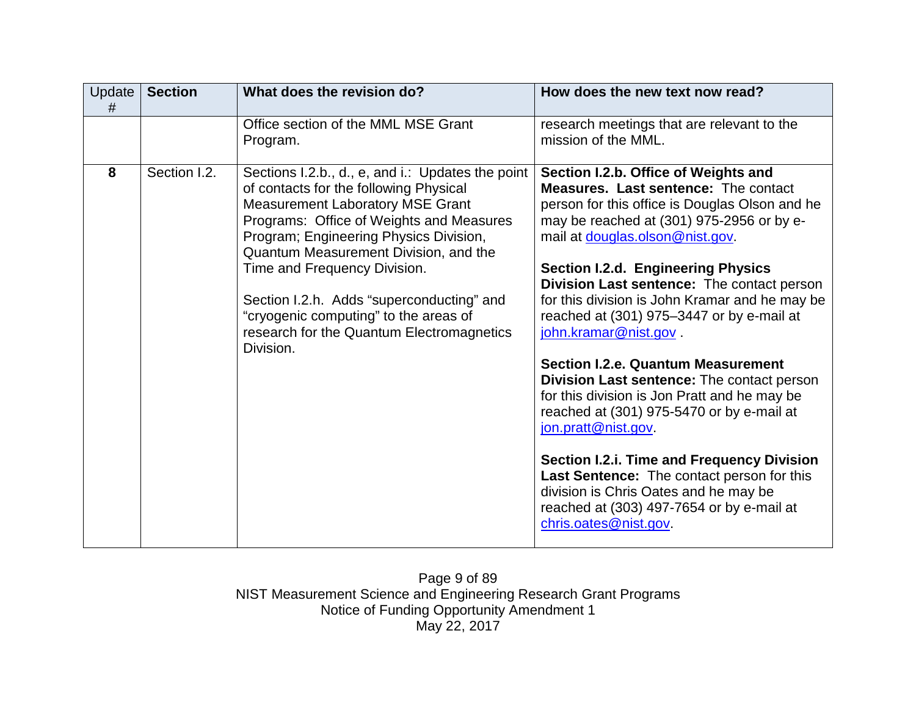| Update<br># | <b>Section</b> | What does the revision do?                                                                                                                                                                                                                                                                                                                                                                                                                            | How does the new text now read?                                                                                                                                                                                                                                                                                                                                                                                                                                                                                                                                                                                                                                                                                                                                                                                                                                   |
|-------------|----------------|-------------------------------------------------------------------------------------------------------------------------------------------------------------------------------------------------------------------------------------------------------------------------------------------------------------------------------------------------------------------------------------------------------------------------------------------------------|-------------------------------------------------------------------------------------------------------------------------------------------------------------------------------------------------------------------------------------------------------------------------------------------------------------------------------------------------------------------------------------------------------------------------------------------------------------------------------------------------------------------------------------------------------------------------------------------------------------------------------------------------------------------------------------------------------------------------------------------------------------------------------------------------------------------------------------------------------------------|
|             |                | Office section of the MML MSE Grant<br>Program.                                                                                                                                                                                                                                                                                                                                                                                                       | research meetings that are relevant to the<br>mission of the MML.                                                                                                                                                                                                                                                                                                                                                                                                                                                                                                                                                                                                                                                                                                                                                                                                 |
| 8           | Section I.2.   | Sections I.2.b., d., e, and i.: Updates the point<br>of contacts for the following Physical<br><b>Measurement Laboratory MSE Grant</b><br>Programs: Office of Weights and Measures<br>Program; Engineering Physics Division,<br>Quantum Measurement Division, and the<br>Time and Frequency Division.<br>Section I.2.h. Adds "superconducting" and<br>"cryogenic computing" to the areas of<br>research for the Quantum Electromagnetics<br>Division. | Section I.2.b. Office of Weights and<br><b>Measures. Last sentence: The contact</b><br>person for this office is Douglas Olson and he<br>may be reached at (301) 975-2956 or by e-<br>mail at douglas.olson@nist.gov.<br><b>Section I.2.d. Engineering Physics</b><br>Division Last sentence: The contact person<br>for this division is John Kramar and he may be<br>reached at (301) 975-3447 or by e-mail at<br>john.kramar@nist.gov.<br><b>Section I.2.e. Quantum Measurement</b><br>Division Last sentence: The contact person<br>for this division is Jon Pratt and he may be<br>reached at (301) 975-5470 or by e-mail at<br>jon.pratt@nist.gov<br>Section I.2.i. Time and Frequency Division<br>Last Sentence: The contact person for this<br>division is Chris Oates and he may be<br>reached at (303) 497-7654 or by e-mail at<br>chris.oates@nist.gov. |

Page 9 of 89 NIST Measurement Science and Engineering Research Grant Programs Notice of Funding Opportunity Amendment 1 May 22, 2017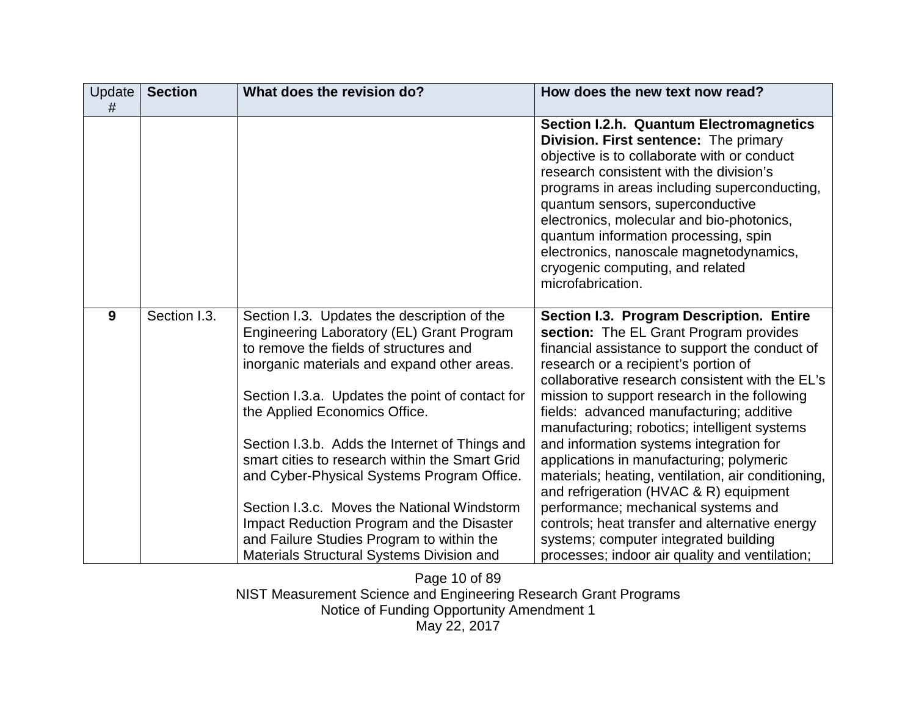| Update<br># | <b>Section</b> | What does the revision do?                                                                                                                                                                                                                                                                                                                                                                                                                                                                                                                                                                                    | How does the new text now read?                                                                                                                                                                                                                                                                                                                                                                                                                                                                                                                                                                                                                                                                                                                        |
|-------------|----------------|---------------------------------------------------------------------------------------------------------------------------------------------------------------------------------------------------------------------------------------------------------------------------------------------------------------------------------------------------------------------------------------------------------------------------------------------------------------------------------------------------------------------------------------------------------------------------------------------------------------|--------------------------------------------------------------------------------------------------------------------------------------------------------------------------------------------------------------------------------------------------------------------------------------------------------------------------------------------------------------------------------------------------------------------------------------------------------------------------------------------------------------------------------------------------------------------------------------------------------------------------------------------------------------------------------------------------------------------------------------------------------|
|             |                |                                                                                                                                                                                                                                                                                                                                                                                                                                                                                                                                                                                                               | <b>Section I.2.h. Quantum Electromagnetics</b><br>Division. First sentence: The primary<br>objective is to collaborate with or conduct<br>research consistent with the division's<br>programs in areas including superconducting,<br>quantum sensors, superconductive<br>electronics, molecular and bio-photonics,<br>quantum information processing, spin<br>electronics, nanoscale magnetodynamics,<br>cryogenic computing, and related<br>microfabrication.                                                                                                                                                                                                                                                                                         |
| 9           | Section I.3.   | Section I.3. Updates the description of the<br>Engineering Laboratory (EL) Grant Program<br>to remove the fields of structures and<br>inorganic materials and expand other areas.<br>Section I.3.a. Updates the point of contact for<br>the Applied Economics Office.<br>Section I.3.b. Adds the Internet of Things and<br>smart cities to research within the Smart Grid<br>and Cyber-Physical Systems Program Office.<br>Section I.3.c. Moves the National Windstorm<br>Impact Reduction Program and the Disaster<br>and Failure Studies Program to within the<br>Materials Structural Systems Division and | Section I.3. Program Description. Entire<br>section: The EL Grant Program provides<br>financial assistance to support the conduct of<br>research or a recipient's portion of<br>collaborative research consistent with the EL's<br>mission to support research in the following<br>fields: advanced manufacturing; additive<br>manufacturing; robotics; intelligent systems<br>and information systems integration for<br>applications in manufacturing; polymeric<br>materials; heating, ventilation, air conditioning,<br>and refrigeration (HVAC & R) equipment<br>performance; mechanical systems and<br>controls; heat transfer and alternative energy<br>systems; computer integrated building<br>processes; indoor air quality and ventilation; |

Page 10 of 89 NIST Measurement Science and Engineering Research Grant Programs Notice of Funding Opportunity Amendment 1 May 22, 2017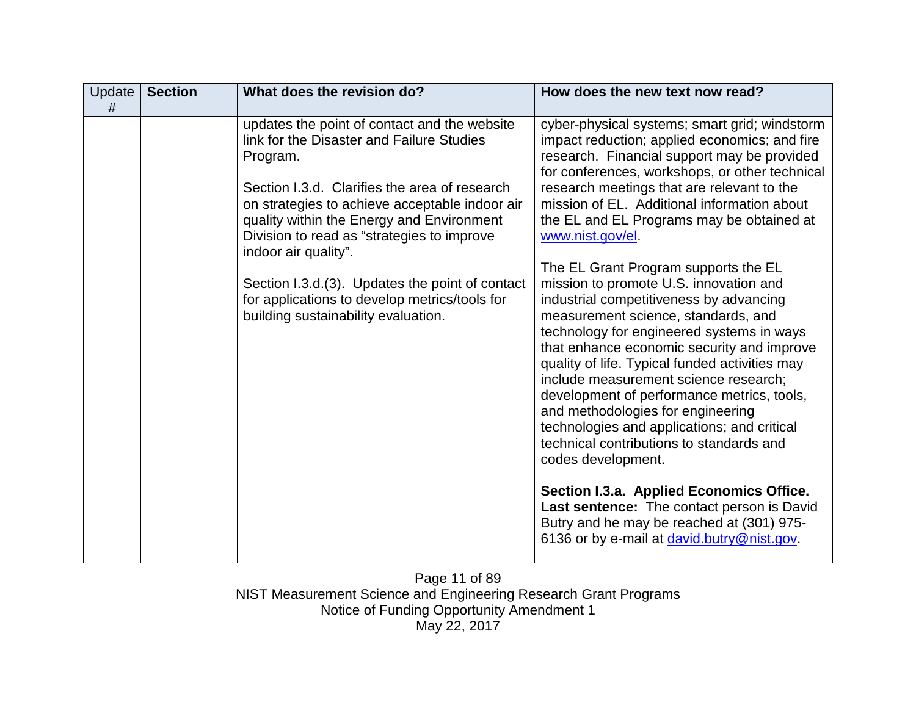| Update<br># | <b>Section</b> | What does the revision do?                                                                                                                                                                                                                                                                                                                                                                                                                                             | How does the new text now read?                                                                                                                                                                                                                                                                                                                                                                                                                                                                                                                                                                                                                                                                                                                                                                                                                                                                                                                                                                                                                                                                                  |
|-------------|----------------|------------------------------------------------------------------------------------------------------------------------------------------------------------------------------------------------------------------------------------------------------------------------------------------------------------------------------------------------------------------------------------------------------------------------------------------------------------------------|------------------------------------------------------------------------------------------------------------------------------------------------------------------------------------------------------------------------------------------------------------------------------------------------------------------------------------------------------------------------------------------------------------------------------------------------------------------------------------------------------------------------------------------------------------------------------------------------------------------------------------------------------------------------------------------------------------------------------------------------------------------------------------------------------------------------------------------------------------------------------------------------------------------------------------------------------------------------------------------------------------------------------------------------------------------------------------------------------------------|
|             |                | updates the point of contact and the website<br>link for the Disaster and Failure Studies<br>Program.<br>Section I.3.d. Clarifies the area of research<br>on strategies to achieve acceptable indoor air<br>quality within the Energy and Environment<br>Division to read as "strategies to improve<br>indoor air quality".<br>Section I.3.d.(3). Updates the point of contact<br>for applications to develop metrics/tools for<br>building sustainability evaluation. | cyber-physical systems; smart grid; windstorm<br>impact reduction; applied economics; and fire<br>research. Financial support may be provided<br>for conferences, workshops, or other technical<br>research meetings that are relevant to the<br>mission of EL. Additional information about<br>the EL and EL Programs may be obtained at<br>www.nist.gov/el.<br>The EL Grant Program supports the EL<br>mission to promote U.S. innovation and<br>industrial competitiveness by advancing<br>measurement science, standards, and<br>technology for engineered systems in ways<br>that enhance economic security and improve<br>quality of life. Typical funded activities may<br>include measurement science research;<br>development of performance metrics, tools,<br>and methodologies for engineering<br>technologies and applications; and critical<br>technical contributions to standards and<br>codes development.<br>Section I.3.a. Applied Economics Office.<br>Last sentence: The contact person is David<br>Butry and he may be reached at (301) 975-<br>6136 or by e-mail at david.butry@nist.gov. |
|             |                |                                                                                                                                                                                                                                                                                                                                                                                                                                                                        |                                                                                                                                                                                                                                                                                                                                                                                                                                                                                                                                                                                                                                                                                                                                                                                                                                                                                                                                                                                                                                                                                                                  |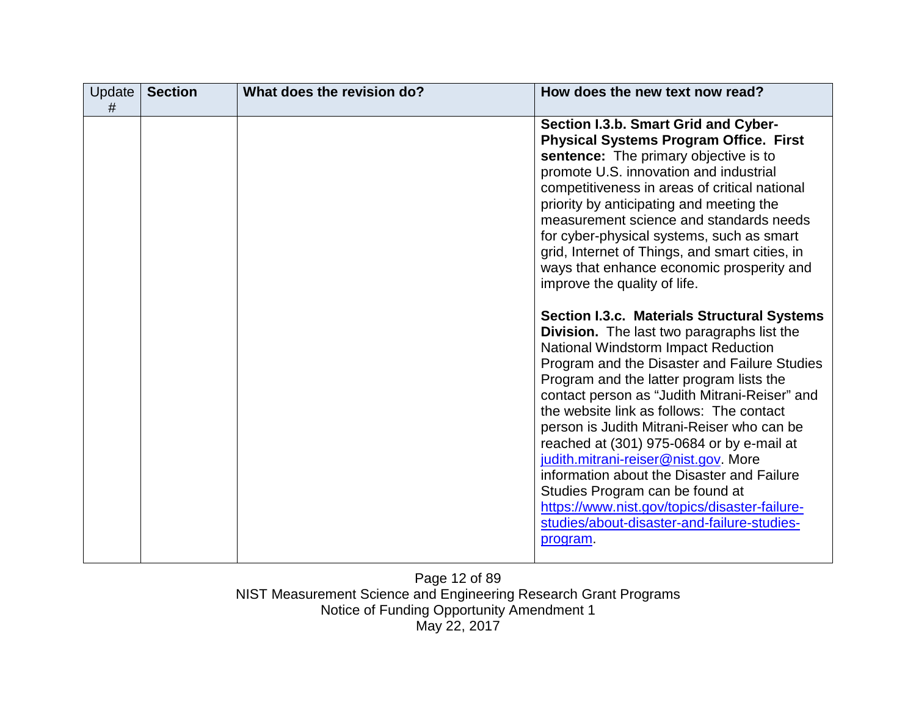| Update<br># | <b>Section</b> | What does the revision do? | How does the new text now read?                                                                                                                                                                                                                                                                                                                                                                                                                                                                                                                                                                                                                                                                                                                                                                                                                                                                                                                                                                                                                                                                                                                                  |
|-------------|----------------|----------------------------|------------------------------------------------------------------------------------------------------------------------------------------------------------------------------------------------------------------------------------------------------------------------------------------------------------------------------------------------------------------------------------------------------------------------------------------------------------------------------------------------------------------------------------------------------------------------------------------------------------------------------------------------------------------------------------------------------------------------------------------------------------------------------------------------------------------------------------------------------------------------------------------------------------------------------------------------------------------------------------------------------------------------------------------------------------------------------------------------------------------------------------------------------------------|
|             |                |                            | Section I.3.b. Smart Grid and Cyber-<br><b>Physical Systems Program Office. First</b><br>sentence: The primary objective is to<br>promote U.S. innovation and industrial<br>competitiveness in areas of critical national<br>priority by anticipating and meeting the<br>measurement science and standards needs<br>for cyber-physical systems, such as smart<br>grid, Internet of Things, and smart cities, in<br>ways that enhance economic prosperity and<br>improve the quality of life.<br><b>Section I.3.c. Materials Structural Systems</b><br>Division. The last two paragraphs list the<br>National Windstorm Impact Reduction<br>Program and the Disaster and Failure Studies<br>Program and the latter program lists the<br>contact person as "Judith Mitrani-Reiser" and<br>the website link as follows: The contact<br>person is Judith Mitrani-Reiser who can be<br>reached at (301) 975-0684 or by e-mail at<br>judith.mitrani-reiser@nist.gov. More<br>information about the Disaster and Failure<br>Studies Program can be found at<br>https://www.nist.gov/topics/disaster-failure-<br>studies/about-disaster-and-failure-studies-<br>program. |
|             |                |                            |                                                                                                                                                                                                                                                                                                                                                                                                                                                                                                                                                                                                                                                                                                                                                                                                                                                                                                                                                                                                                                                                                                                                                                  |

Page 12 of 89 NIST Measurement Science and Engineering Research Grant Programs Notice of Funding Opportunity Amendment 1 May 22, 2017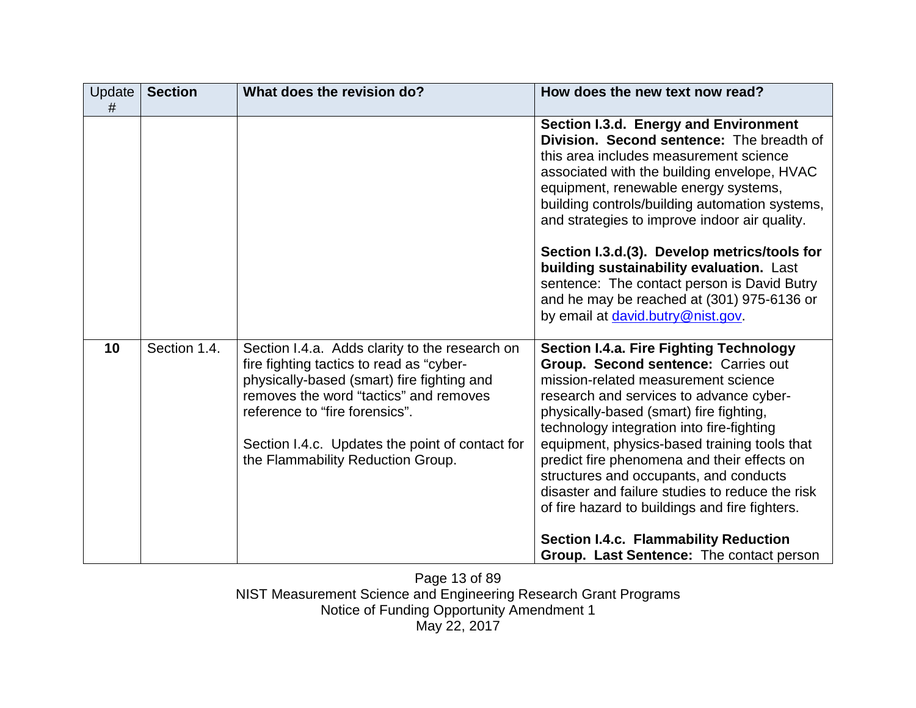| Update<br># | <b>Section</b> | What does the revision do?                                                                                                                                                                                                                                                                                   | How does the new text now read?                                                                                                                                                                                                                                                                                                                                                                                                                                                                               |
|-------------|----------------|--------------------------------------------------------------------------------------------------------------------------------------------------------------------------------------------------------------------------------------------------------------------------------------------------------------|---------------------------------------------------------------------------------------------------------------------------------------------------------------------------------------------------------------------------------------------------------------------------------------------------------------------------------------------------------------------------------------------------------------------------------------------------------------------------------------------------------------|
|             |                |                                                                                                                                                                                                                                                                                                              | Section I.3.d. Energy and Environment<br>Division. Second sentence: The breadth of<br>this area includes measurement science<br>associated with the building envelope, HVAC<br>equipment, renewable energy systems,<br>building controls/building automation systems,<br>and strategies to improve indoor air quality.                                                                                                                                                                                        |
|             |                |                                                                                                                                                                                                                                                                                                              | Section I.3.d.(3). Develop metrics/tools for<br>building sustainability evaluation. Last<br>sentence: The contact person is David Butry<br>and he may be reached at (301) 975-6136 or<br>by email at david.butry@nist.gov.                                                                                                                                                                                                                                                                                    |
| 10          | Section 1.4.   | Section I.4.a. Adds clarity to the research on<br>fire fighting tactics to read as "cyber-<br>physically-based (smart) fire fighting and<br>removes the word "tactics" and removes<br>reference to "fire forensics".<br>Section I.4.c. Updates the point of contact for<br>the Flammability Reduction Group. | <b>Section I.4.a. Fire Fighting Technology</b><br>Group. Second sentence: Carries out<br>mission-related measurement science<br>research and services to advance cyber-<br>physically-based (smart) fire fighting,<br>technology integration into fire-fighting<br>equipment, physics-based training tools that<br>predict fire phenomena and their effects on<br>structures and occupants, and conducts<br>disaster and failure studies to reduce the risk<br>of fire hazard to buildings and fire fighters. |
|             |                |                                                                                                                                                                                                                                                                                                              | <b>Section I.4.c. Flammability Reduction</b><br>Group. Last Sentence: The contact person                                                                                                                                                                                                                                                                                                                                                                                                                      |

Page 13 of 89 NIST Measurement Science and Engineering Research Grant Programs Notice of Funding Opportunity Amendment 1 May 22, 2017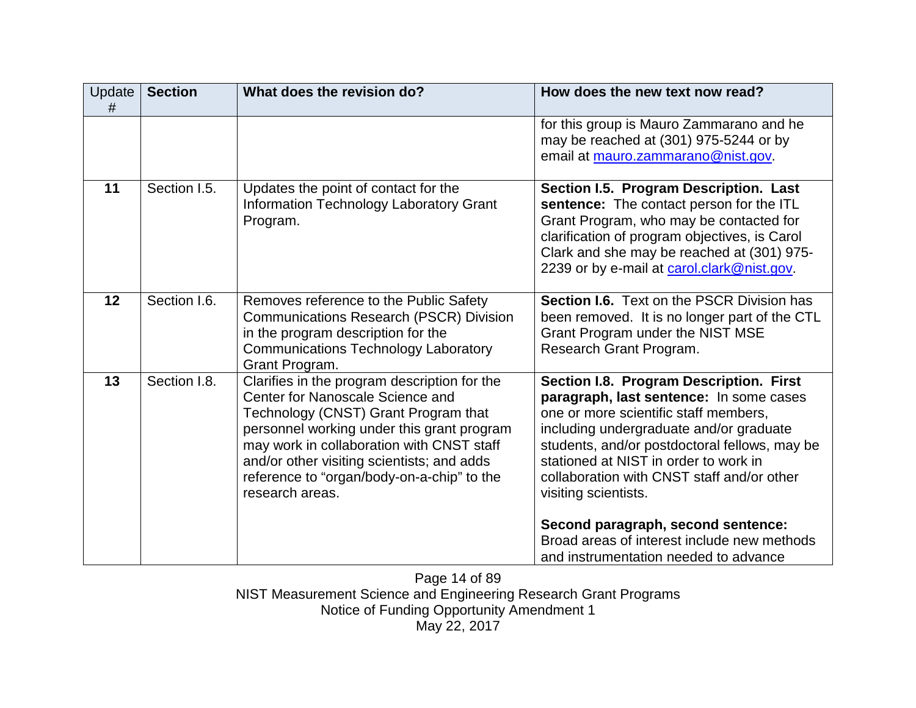| for this group is Mauro Zammarano and he<br>may be reached at (301) 975-5244 or by<br>email at mauro.zammarano@nist.gov.<br>11<br>Section I.5.<br>Updates the point of contact for the<br>Section I.5. Program Description. Last<br><b>Information Technology Laboratory Grant</b><br>sentence: The contact person for the ITL                                                                                                                                                                                                                                                                                                                                                                                                                                                                                                   | How does the new text now read? |
|----------------------------------------------------------------------------------------------------------------------------------------------------------------------------------------------------------------------------------------------------------------------------------------------------------------------------------------------------------------------------------------------------------------------------------------------------------------------------------------------------------------------------------------------------------------------------------------------------------------------------------------------------------------------------------------------------------------------------------------------------------------------------------------------------------------------------------|---------------------------------|
|                                                                                                                                                                                                                                                                                                                                                                                                                                                                                                                                                                                                                                                                                                                                                                                                                                  |                                 |
| Grant Program, who may be contacted for<br>Program.<br>clarification of program objectives, is Carol<br>Clark and she may be reached at (301) 975-<br>2239 or by e-mail at carol.clark@nist.gov.                                                                                                                                                                                                                                                                                                                                                                                                                                                                                                                                                                                                                                 |                                 |
| 12<br>Section I.6.<br>Removes reference to the Public Safety<br><b>Section I.6.</b> Text on the PSCR Division has<br><b>Communications Research (PSCR) Division</b><br>been removed. It is no longer part of the CTL<br>in the program description for the<br>Grant Program under the NIST MSE<br><b>Communications Technology Laboratory</b><br>Research Grant Program.<br>Grant Program.                                                                                                                                                                                                                                                                                                                                                                                                                                       |                                 |
| 13<br>Section I.8.<br>Clarifies in the program description for the<br>Section I.8. Program Description. First<br>Center for Nanoscale Science and<br>paragraph, last sentence: In some cases<br>Technology (CNST) Grant Program that<br>one or more scientific staff members,<br>personnel working under this grant program<br>including undergraduate and/or graduate<br>may work in collaboration with CNST staff<br>students, and/or postdoctoral fellows, may be<br>stationed at NIST in order to work in<br>and/or other visiting scientists; and adds<br>reference to "organ/body-on-a-chip" to the<br>collaboration with CNST staff and/or other<br>research areas.<br>visiting scientists.<br>Second paragraph, second sentence:<br>Broad areas of interest include new methods<br>and instrumentation needed to advance |                                 |

Page 14 of 89 NIST Measurement Science and Engineering Research Grant Programs Notice of Funding Opportunity Amendment 1 May 22, 2017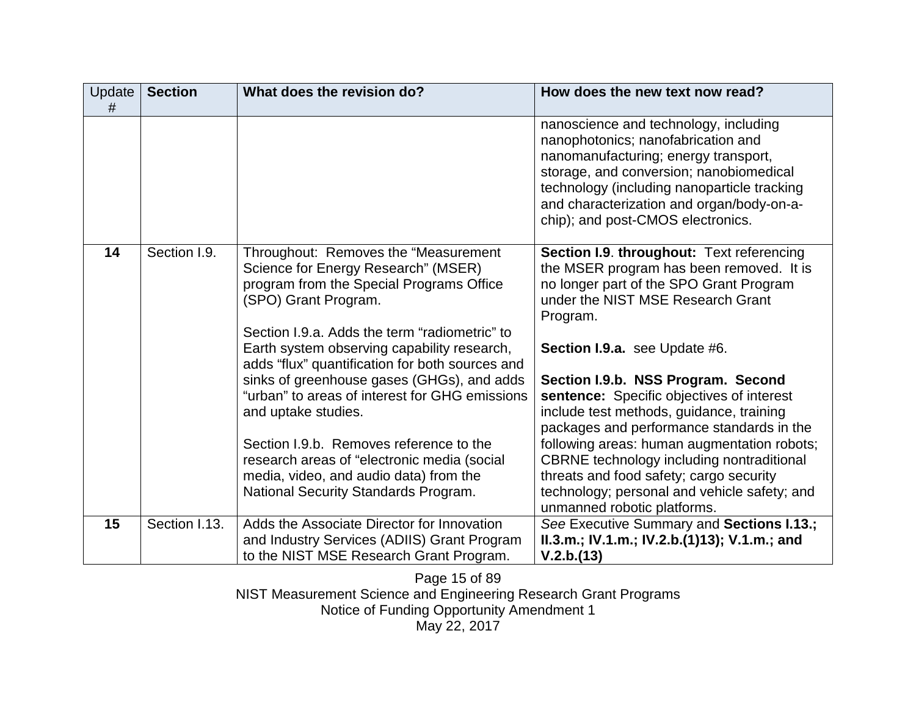| Update<br># | <b>Section</b> | What does the revision do?                                                                                                                                                                                                                                                                                                                                                                                                                                                                                                                                                                             | How does the new text now read?                                                                                                                                                                                                                                                                                                                                                                                                                                                                                                                                                                                      |
|-------------|----------------|--------------------------------------------------------------------------------------------------------------------------------------------------------------------------------------------------------------------------------------------------------------------------------------------------------------------------------------------------------------------------------------------------------------------------------------------------------------------------------------------------------------------------------------------------------------------------------------------------------|----------------------------------------------------------------------------------------------------------------------------------------------------------------------------------------------------------------------------------------------------------------------------------------------------------------------------------------------------------------------------------------------------------------------------------------------------------------------------------------------------------------------------------------------------------------------------------------------------------------------|
|             |                |                                                                                                                                                                                                                                                                                                                                                                                                                                                                                                                                                                                                        | nanoscience and technology, including<br>nanophotonics; nanofabrication and<br>nanomanufacturing; energy transport,<br>storage, and conversion; nanobiomedical<br>technology (including nanoparticle tracking<br>and characterization and organ/body-on-a-<br>chip); and post-CMOS electronics.                                                                                                                                                                                                                                                                                                                      |
| 14          | Section I.9.   | Throughout: Removes the "Measurement"<br>Science for Energy Research" (MSER)<br>program from the Special Programs Office<br>(SPO) Grant Program.<br>Section I.9.a. Adds the term "radiometric" to<br>Earth system observing capability research,<br>adds "flux" quantification for both sources and<br>sinks of greenhouse gases (GHGs), and adds<br>"urban" to areas of interest for GHG emissions<br>and uptake studies.<br>Section I.9.b. Removes reference to the<br>research areas of "electronic media (social<br>media, video, and audio data) from the<br>National Security Standards Program. | Section I.9. throughout: Text referencing<br>the MSER program has been removed. It is<br>no longer part of the SPO Grant Program<br>under the NIST MSE Research Grant<br>Program.<br>Section I.9.a. see Update #6.<br>Section I.9.b. NSS Program. Second<br>sentence: Specific objectives of interest<br>include test methods, guidance, training<br>packages and performance standards in the<br>following areas: human augmentation robots;<br>CBRNE technology including nontraditional<br>threats and food safety; cargo security<br>technology; personal and vehicle safety; and<br>unmanned robotic platforms. |
| 15          | Section I.13.  | Adds the Associate Director for Innovation<br>and Industry Services (ADIIS) Grant Program<br>to the NIST MSE Research Grant Program.                                                                                                                                                                                                                                                                                                                                                                                                                                                                   | See Executive Summary and Sections I.13.;<br>II.3.m.; IV.1.m.; IV.2.b.(1)13); V.1.m.; and<br>V.2.b.(13)                                                                                                                                                                                                                                                                                                                                                                                                                                                                                                              |

Page 15 of 89 NIST Measurement Science and Engineering Research Grant Programs Notice of Funding Opportunity Amendment 1 May 22, 2017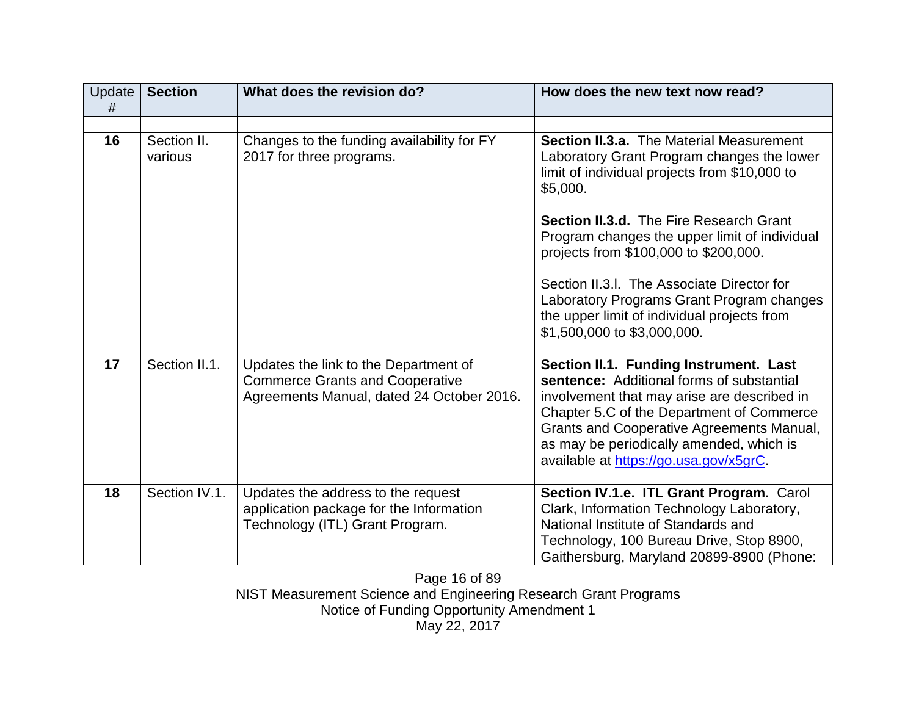| Update<br># | <b>Section</b>         | What does the revision do?                                                                                                   | How does the new text now read?                                                                                                                                                                                                                                                                                           |
|-------------|------------------------|------------------------------------------------------------------------------------------------------------------------------|---------------------------------------------------------------------------------------------------------------------------------------------------------------------------------------------------------------------------------------------------------------------------------------------------------------------------|
|             |                        |                                                                                                                              |                                                                                                                                                                                                                                                                                                                           |
| 16          | Section II.<br>various | Changes to the funding availability for FY<br>2017 for three programs.                                                       | <b>Section II.3.a.</b> The Material Measurement<br>Laboratory Grant Program changes the lower<br>limit of individual projects from \$10,000 to<br>\$5,000.                                                                                                                                                                |
|             |                        |                                                                                                                              | <b>Section II.3.d.</b> The Fire Research Grant<br>Program changes the upper limit of individual<br>projects from \$100,000 to \$200,000.                                                                                                                                                                                  |
|             |                        |                                                                                                                              | Section II.3.I. The Associate Director for<br>Laboratory Programs Grant Program changes<br>the upper limit of individual projects from<br>\$1,500,000 to \$3,000,000.                                                                                                                                                     |
| 17          | Section II.1.          | Updates the link to the Department of<br><b>Commerce Grants and Cooperative</b><br>Agreements Manual, dated 24 October 2016. | Section II.1. Funding Instrument. Last<br>sentence: Additional forms of substantial<br>involvement that may arise are described in<br>Chapter 5.C of the Department of Commerce<br><b>Grants and Cooperative Agreements Manual,</b><br>as may be periodically amended, which is<br>available at https://go.usa.gov/x5grC. |
| 18          | Section IV.1.          | Updates the address to the request<br>application package for the Information<br>Technology (ITL) Grant Program.             | Section IV.1.e. ITL Grant Program. Carol<br>Clark, Information Technology Laboratory,<br>National Institute of Standards and<br>Technology, 100 Bureau Drive, Stop 8900,<br>Gaithersburg, Maryland 20899-8900 (Phone:                                                                                                     |

Page 16 of 89 NIST Measurement Science and Engineering Research Grant Programs Notice of Funding Opportunity Amendment 1 May 22, 2017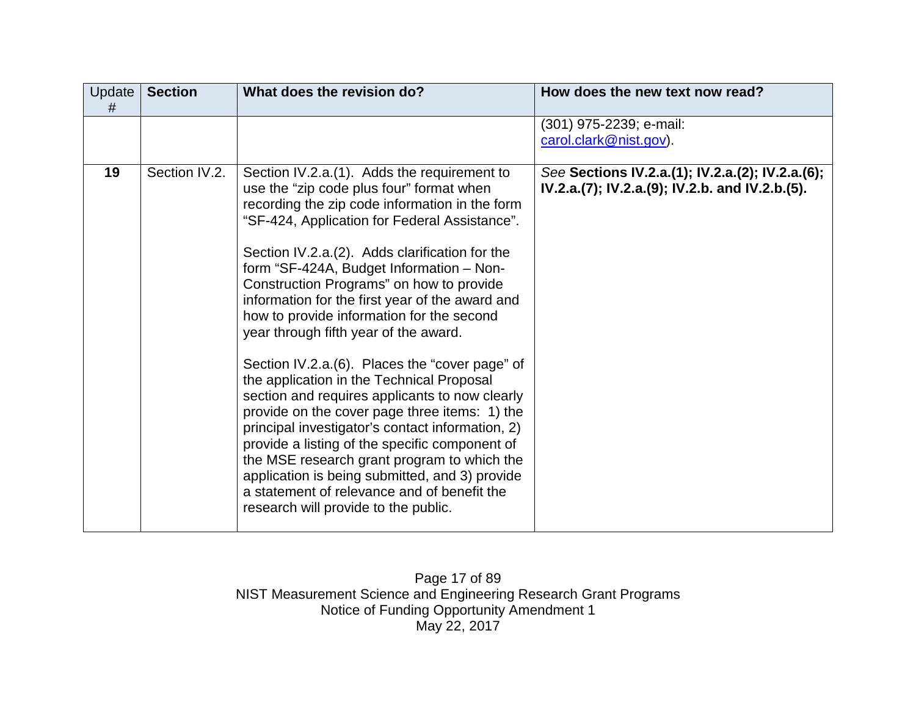| Update<br># | <b>Section</b> | What does the revision do?                                                                                                                                                                                                                                                                                                                                                                                                                                                                                                                                                                                                                                                                                                                                                                                                                                                                                                                                                      | How does the new text now read?                                                                     |
|-------------|----------------|---------------------------------------------------------------------------------------------------------------------------------------------------------------------------------------------------------------------------------------------------------------------------------------------------------------------------------------------------------------------------------------------------------------------------------------------------------------------------------------------------------------------------------------------------------------------------------------------------------------------------------------------------------------------------------------------------------------------------------------------------------------------------------------------------------------------------------------------------------------------------------------------------------------------------------------------------------------------------------|-----------------------------------------------------------------------------------------------------|
|             |                |                                                                                                                                                                                                                                                                                                                                                                                                                                                                                                                                                                                                                                                                                                                                                                                                                                                                                                                                                                                 | (301) 975-2239; e-mail:<br>carol.clark@nist.gov).                                                   |
| 19          | Section IV.2.  | Section IV.2.a. (1). Adds the requirement to<br>use the "zip code plus four" format when<br>recording the zip code information in the form<br>"SF-424, Application for Federal Assistance".<br>Section IV.2.a.(2). Adds clarification for the<br>form "SF-424A, Budget Information - Non-<br>Construction Programs" on how to provide<br>information for the first year of the award and<br>how to provide information for the second<br>year through fifth year of the award.<br>Section IV.2.a. (6). Places the "cover page" of<br>the application in the Technical Proposal<br>section and requires applicants to now clearly<br>provide on the cover page three items: 1) the<br>principal investigator's contact information, 2)<br>provide a listing of the specific component of<br>the MSE research grant program to which the<br>application is being submitted, and 3) provide<br>a statement of relevance and of benefit the<br>research will provide to the public. | See Sections IV.2.a.(1); IV.2.a.(2); IV.2.a.(6);<br>IV.2.a.(7); IV.2.a.(9); IV.2.b. and IV.2.b.(5). |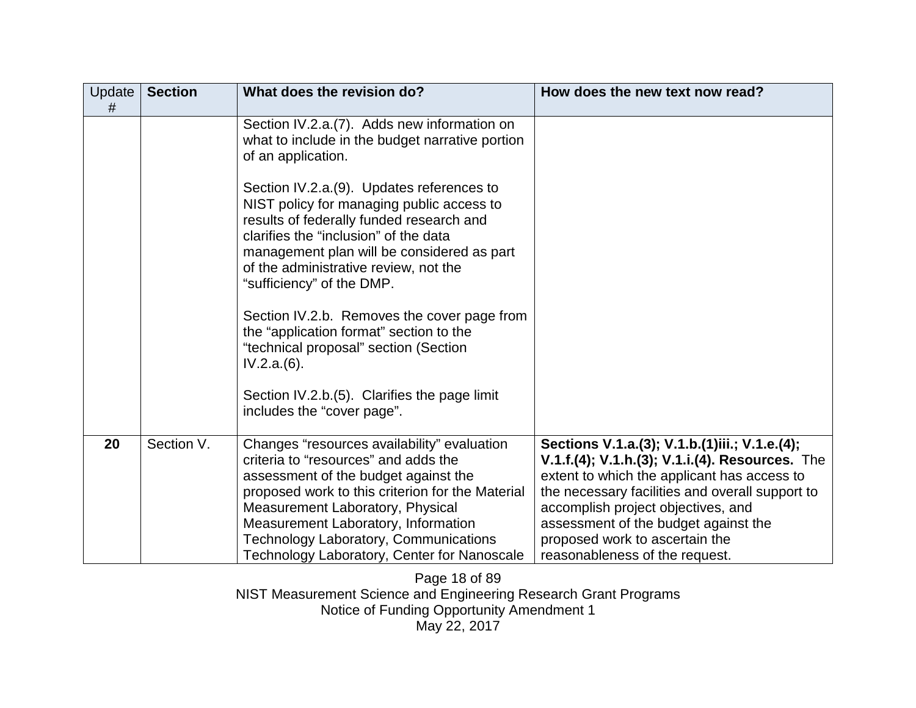| #<br>Section IV.2.a.(7). Adds new information on<br>what to include in the budget narrative portion<br>of an application.<br>Section IV.2.a. (9). Updates references to<br>NIST policy for managing public access to<br>results of federally funded research and<br>clarifies the "inclusion" of the data<br>management plan will be considered as part<br>of the administrative review, not the<br>"sufficiency" of the DMP.<br>Section IV.2.b. Removes the cover page from<br>the "application format" section to the<br>"technical proposal" section (Section<br>IV.2.a.(6).<br>Section IV.2.b.(5). Clarifies the page limit                                                                                                | How does the new text now read? |
|--------------------------------------------------------------------------------------------------------------------------------------------------------------------------------------------------------------------------------------------------------------------------------------------------------------------------------------------------------------------------------------------------------------------------------------------------------------------------------------------------------------------------------------------------------------------------------------------------------------------------------------------------------------------------------------------------------------------------------|---------------------------------|
|                                                                                                                                                                                                                                                                                                                                                                                                                                                                                                                                                                                                                                                                                                                                |                                 |
|                                                                                                                                                                                                                                                                                                                                                                                                                                                                                                                                                                                                                                                                                                                                |                                 |
|                                                                                                                                                                                                                                                                                                                                                                                                                                                                                                                                                                                                                                                                                                                                |                                 |
| includes the "cover page".                                                                                                                                                                                                                                                                                                                                                                                                                                                                                                                                                                                                                                                                                                     |                                 |
| 20<br>Section V.<br>Changes "resources availability" evaluation<br>Sections V.1.a.(3); V.1.b.(1)iii.; V.1.e.(4);<br>criteria to "resources" and adds the<br>V.1.f.(4); V.1.h.(3); V.1.i.(4). Resources. The<br>extent to which the applicant has access to<br>assessment of the budget against the<br>proposed work to this criterion for the Material<br>the necessary facilities and overall support to<br>Measurement Laboratory, Physical<br>accomplish project objectives, and<br>Measurement Laboratory, Information<br>assessment of the budget against the<br>Technology Laboratory, Communications<br>proposed work to ascertain the<br>Technology Laboratory, Center for Nanoscale<br>reasonableness of the request. |                                 |

Page 18 of 89 NIST Measurement Science and Engineering Research Grant Programs Notice of Funding Opportunity Amendment 1 May 22, 2017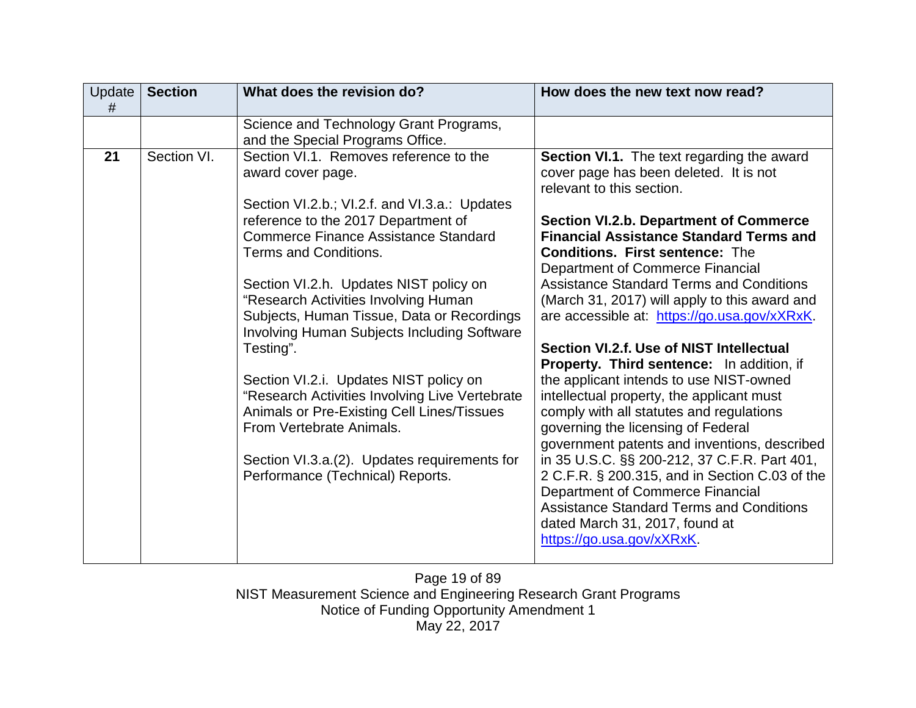| Update<br># | <b>Section</b> | What does the revision do?                                                                                                                                                         | How does the new text now read?                                                                                                                                                                                                                      |
|-------------|----------------|------------------------------------------------------------------------------------------------------------------------------------------------------------------------------------|------------------------------------------------------------------------------------------------------------------------------------------------------------------------------------------------------------------------------------------------------|
|             |                | Science and Technology Grant Programs,<br>and the Special Programs Office.                                                                                                         |                                                                                                                                                                                                                                                      |
| 21          | Section VI.    | Section VI.1. Removes reference to the<br>award cover page.                                                                                                                        | Section VI.1. The text regarding the award<br>cover page has been deleted. It is not<br>relevant to this section.                                                                                                                                    |
|             |                | Section VI.2.b.; VI.2.f. and VI.3.a.: Updates<br>reference to the 2017 Department of<br><b>Commerce Finance Assistance Standard</b><br><b>Terms and Conditions.</b>                | <b>Section VI.2.b. Department of Commerce</b><br><b>Financial Assistance Standard Terms and</b><br><b>Conditions. First sentence: The</b><br>Department of Commerce Financial                                                                        |
|             |                | Section VI.2.h. Updates NIST policy on<br>"Research Activities Involving Human<br>Subjects, Human Tissue, Data or Recordings<br><b>Involving Human Subjects Including Software</b> | <b>Assistance Standard Terms and Conditions</b><br>(March 31, 2017) will apply to this award and<br>are accessible at: https://go.usa.gov/xXRxK.                                                                                                     |
|             |                | Testing".                                                                                                                                                                          | Section VI.2.f. Use of NIST Intellectual<br>Property. Third sentence: In addition, if                                                                                                                                                                |
|             |                | Section VI.2.i. Updates NIST policy on<br>"Research Activities Involving Live Vertebrate<br>Animals or Pre-Existing Cell Lines/Tissues<br>From Vertebrate Animals.                 | the applicant intends to use NIST-owned<br>intellectual property, the applicant must<br>comply with all statutes and regulations<br>governing the licensing of Federal<br>government patents and inventions, described                               |
|             |                | Section VI.3.a. (2). Updates requirements for<br>Performance (Technical) Reports.                                                                                                  | in 35 U.S.C. §§ 200-212, 37 C.F.R. Part 401,<br>2 C.F.R. § 200.315, and in Section C.03 of the<br>Department of Commerce Financial<br><b>Assistance Standard Terms and Conditions</b><br>dated March 31, 2017, found at<br>https://go.usa.gov/xXRxK. |

Page 19 of 89 NIST Measurement Science and Engineering Research Grant Programs Notice of Funding Opportunity Amendment 1 May 22, 2017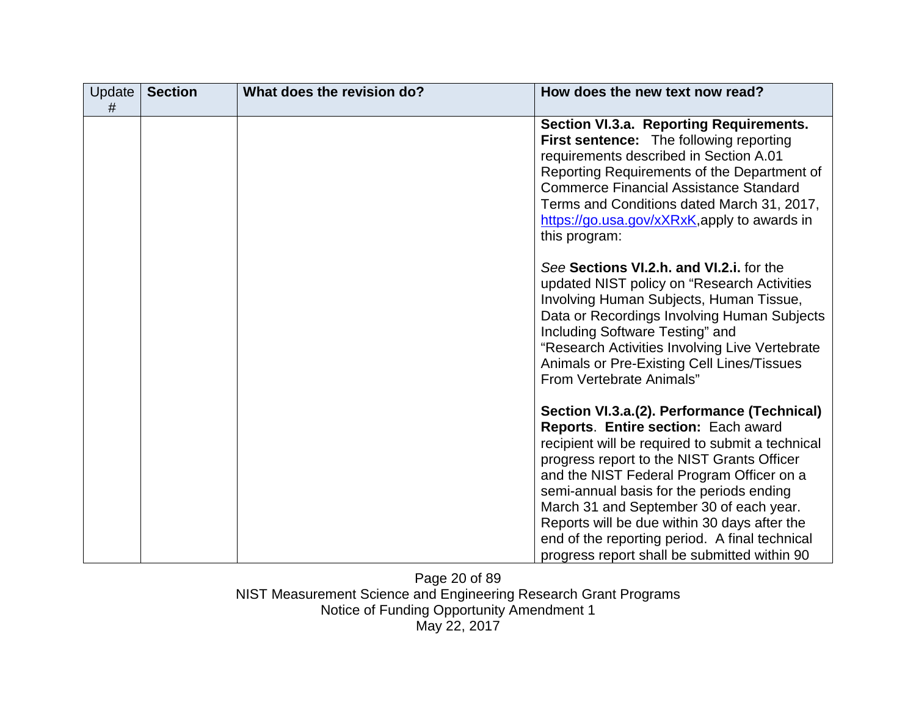| Update<br># | <b>Section</b> | What does the revision do? | How does the new text now read?                                                                                                                                                                                                                                                                                                                                                                                                                                            |
|-------------|----------------|----------------------------|----------------------------------------------------------------------------------------------------------------------------------------------------------------------------------------------------------------------------------------------------------------------------------------------------------------------------------------------------------------------------------------------------------------------------------------------------------------------------|
|             |                |                            | Section VI.3.a. Reporting Requirements.<br>First sentence: The following reporting<br>requirements described in Section A.01<br>Reporting Requirements of the Department of<br><b>Commerce Financial Assistance Standard</b><br>Terms and Conditions dated March 31, 2017,<br>https://go.usa.gov/xXRxK,apply to awards in<br>this program:                                                                                                                                 |
|             |                |                            | See Sections VI.2.h. and VI.2.i. for the<br>updated NIST policy on "Research Activities"<br>Involving Human Subjects, Human Tissue,<br>Data or Recordings Involving Human Subjects<br>Including Software Testing" and<br>"Research Activities Involving Live Vertebrate<br>Animals or Pre-Existing Cell Lines/Tissues<br>From Vertebrate Animals"                                                                                                                          |
|             |                |                            | Section VI.3.a.(2). Performance (Technical)<br>Reports. Entire section: Each award<br>recipient will be required to submit a technical<br>progress report to the NIST Grants Officer<br>and the NIST Federal Program Officer on a<br>semi-annual basis for the periods ending<br>March 31 and September 30 of each year.<br>Reports will be due within 30 days after the<br>end of the reporting period. A final technical<br>progress report shall be submitted within 90 |

Page 20 of 89 NIST Measurement Science and Engineering Research Grant Programs Notice of Funding Opportunity Amendment 1 May 22, 2017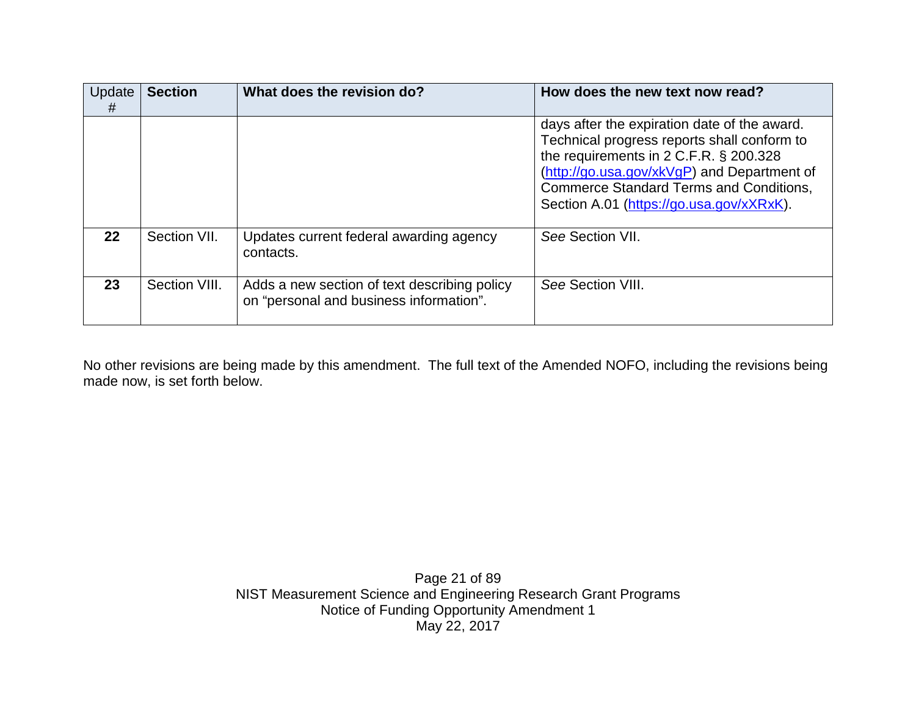| Update<br># | <b>Section</b> | What does the revision do?                                                              | How does the new text now read?                                                                                                                                                                                                                                                    |
|-------------|----------------|-----------------------------------------------------------------------------------------|------------------------------------------------------------------------------------------------------------------------------------------------------------------------------------------------------------------------------------------------------------------------------------|
|             |                |                                                                                         | days after the expiration date of the award.<br>Technical progress reports shall conform to<br>the requirements in 2 C.F.R. § 200.328<br>(http://go.usa.gov/xkVgP) and Department of<br><b>Commerce Standard Terms and Conditions,</b><br>Section A.01 (https://go.usa.gov/xXRxK). |
| 22          | Section VII.   | Updates current federal awarding agency<br>contacts.                                    | See Section VII.                                                                                                                                                                                                                                                                   |
| 23          | Section VIII.  | Adds a new section of text describing policy<br>on "personal and business information". | See Section VIII.                                                                                                                                                                                                                                                                  |

No other revisions are being made by this amendment. The full text of the Amended NOFO, including the revisions being made now, is set forth below.

> Page 21 of 89 NIST Measurement Science and Engineering Research Grant Programs Notice of Funding Opportunity Amendment 1 May 22, 2017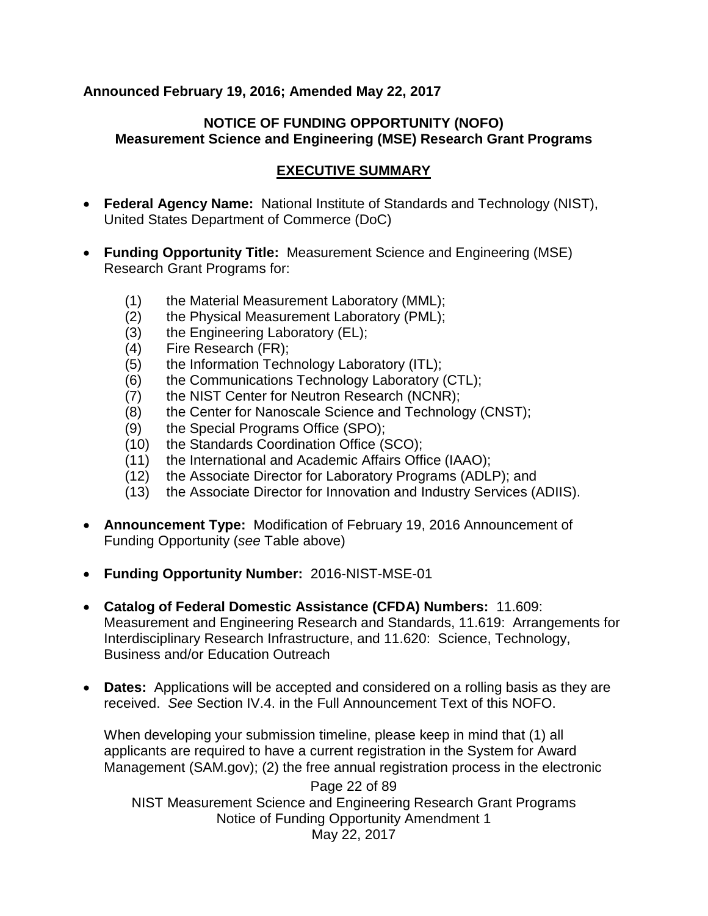#### **Announced February 19, 2016; Amended May 22, 2017**

#### **NOTICE OF FUNDING OPPORTUNITY (NOFO) Measurement Science and Engineering (MSE) Research Grant Programs**

## **EXECUTIVE SUMMARY**

- **Federal Agency Name:** National Institute of Standards and Technology (NIST), United States Department of Commerce (DoC)
- **Funding Opportunity Title:** Measurement Science and Engineering (MSE) Research Grant Programs for:
	- (1) the Material Measurement Laboratory (MML);
	- (2) the Physical Measurement Laboratory (PML);
	- (3) the Engineering Laboratory (EL);
	- (4) Fire Research (FR);
	- (5) the Information Technology Laboratory (ITL);
	- (6) the Communications Technology Laboratory (CTL);
	- (7) the NIST Center for Neutron Research (NCNR);
	- (8) the Center for Nanoscale Science and Technology (CNST);
	- (9) the Special Programs Office (SPO);
	- (10) the Standards Coordination Office (SCO);
	- (11) the International and Academic Affairs Office (IAAO);
	- (12) the Associate Director for Laboratory Programs (ADLP); and
	- (13) the Associate Director for Innovation and Industry Services (ADIIS).
- **Announcement Type:** Modification of February 19, 2016 Announcement of Funding Opportunity (*see* Table above)
- **Funding Opportunity Number:** 2016-NIST-MSE-01
- **Catalog of Federal Domestic Assistance (CFDA) Numbers:** 11.609: Measurement and Engineering Research and Standards, 11.619: Arrangements for Interdisciplinary Research Infrastructure, and 11.620: Science, Technology, Business and/or Education Outreach
- **Dates:** Applications will be accepted and considered on a rolling basis as they are received. *See* Section IV.4. in the Full Announcement Text of this NOFO.

When developing your submission timeline, please keep in mind that (1) all applicants are required to have a current registration in the System for Award Management (SAM.gov); (2) the free annual registration process in the electronic

Page 22 of 89 NIST Measurement Science and Engineering Research Grant Programs Notice of Funding Opportunity Amendment 1 May 22, 2017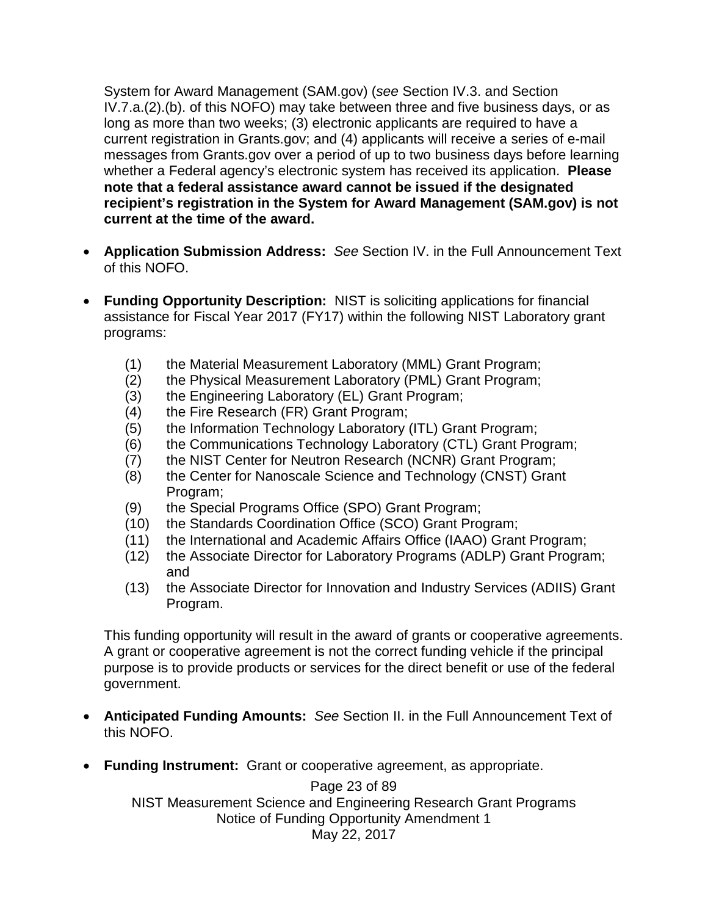System for Award Management (SAM.gov) (*see* Section IV.3. and Section IV.7.a.(2).(b). of this NOFO) may take between three and five business days, or as long as more than two weeks; (3) electronic applicants are required to have a current registration in Grants.gov; and (4) applicants will receive a series of e-mail messages from Grants.gov over a period of up to two business days before learning whether a Federal agency's electronic system has received its application. **Please note that a federal assistance award cannot be issued if the designated recipient's registration in the System for Award Management (SAM.gov) is not current at the time of the award.**

- **Application Submission Address:** *See* Section IV. in the Full Announcement Text of this NOFO.
- **Funding Opportunity Description:** NIST is soliciting applications for financial assistance for Fiscal Year 2017 (FY17) within the following NIST Laboratory grant programs:
	- (1) the Material Measurement Laboratory (MML) Grant Program;
	- (2) the Physical Measurement Laboratory (PML) Grant Program;
	- (3) the Engineering Laboratory (EL) Grant Program;
	- (4) the Fire Research (FR) Grant Program;
	- (5) the Information Technology Laboratory (ITL) Grant Program;
	- (6) the Communications Technology Laboratory (CTL) Grant Program;
	- (7) the NIST Center for Neutron Research (NCNR) Grant Program;
	- (8) the Center for Nanoscale Science and Technology (CNST) Grant Program;
	- (9) the Special Programs Office (SPO) Grant Program;
	- (10) the Standards Coordination Office (SCO) Grant Program;
	- (11) the International and Academic Affairs Office (IAAO) Grant Program;
	- (12) the Associate Director for Laboratory Programs (ADLP) Grant Program; and
	- (13) the Associate Director for Innovation and Industry Services (ADIIS) Grant Program.

This funding opportunity will result in the award of grants or cooperative agreements. A grant or cooperative agreement is not the correct funding vehicle if the principal purpose is to provide products or services for the direct benefit or use of the federal government.

- **Anticipated Funding Amounts:** *See* Section II. in the Full Announcement Text of this NOFO.
- **Funding Instrument:** Grant or cooperative agreement, as appropriate.

Page 23 of 89 NIST Measurement Science and Engineering Research Grant Programs Notice of Funding Opportunity Amendment 1 May 22, 2017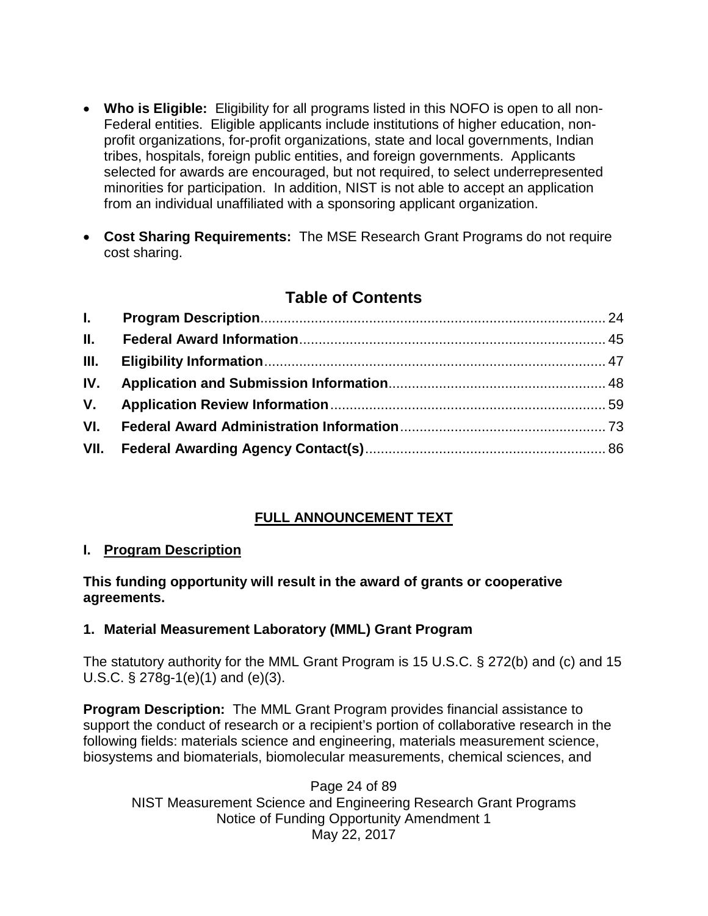- **Who is Eligible:** Eligibility for all programs listed in this NOFO is open to all non-Federal entities. Eligible applicants include institutions of higher education, nonprofit organizations, for-profit organizations, state and local governments, Indian tribes, hospitals, foreign public entities, and foreign governments. Applicants selected for awards are encouraged, but not required, to select underrepresented minorities for participation. In addition, NIST is not able to accept an application from an individual unaffiliated with a sponsoring applicant organization.
- **Cost Sharing Requirements:** The MSE Research Grant Programs do not require cost sharing.

# **Table of Contents**

| II.  |  |
|------|--|
| III. |  |
| IV.  |  |
| V.   |  |
| VI.  |  |
| VII. |  |
|      |  |

# **FULL ANNOUNCEMENT TEXT**

## <span id="page-23-0"></span>**I. Program Description**

## **This funding opportunity will result in the award of grants or cooperative agreements.**

## **1. Material Measurement Laboratory (MML) Grant Program**

The statutory authority for the MML Grant Program is 15 U.S.C. § 272(b) and (c) and 15 U.S.C. § 278g-1(e)(1) and (e)(3).

**Program Description:** The MML Grant Program provides financial assistance to support the conduct of research or a recipient's portion of collaborative research in the following fields: materials science and engineering, materials measurement science, biosystems and biomaterials, biomolecular measurements, chemical sciences, and

Page 24 of 89 NIST Measurement Science and Engineering Research Grant Programs Notice of Funding Opportunity Amendment 1 May 22, 2017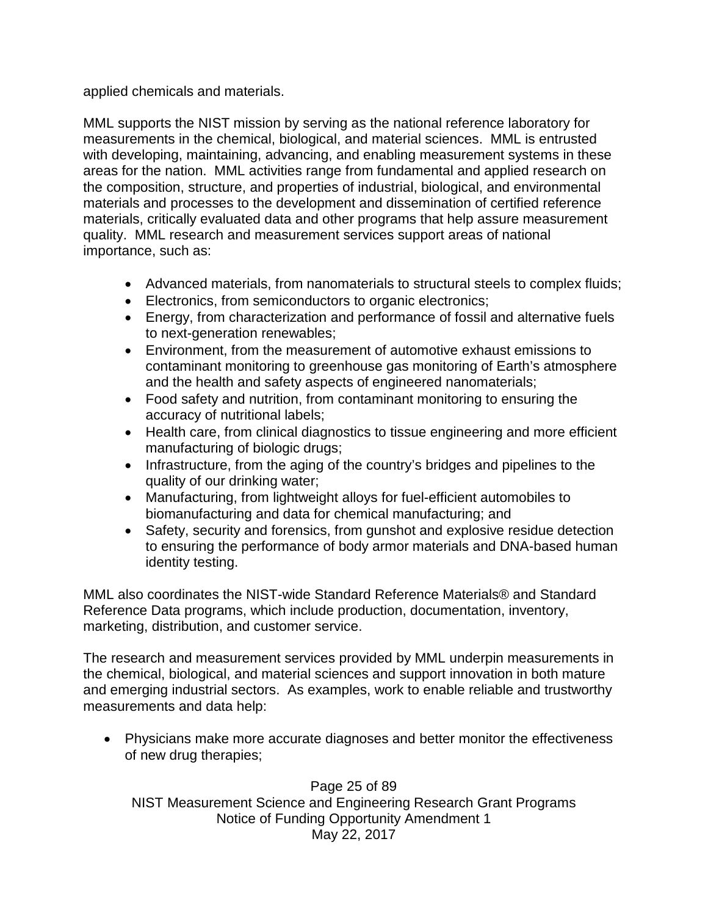applied chemicals and materials.

MML supports the NIST mission by serving as the national reference laboratory for measurements in the chemical, biological, and material sciences. MML is entrusted with developing, maintaining, advancing, and enabling measurement systems in these areas for the nation. MML activities range from fundamental and applied research on the composition, structure, and properties of industrial, biological, and environmental materials and processes to the development and dissemination of certified reference materials, critically evaluated data and other programs that help assure measurement quality. MML research and measurement services support areas of national importance, such as:

- Advanced materials, from nanomaterials to structural steels to complex fluids;
- Electronics, from semiconductors to organic electronics;
- Energy, from characterization and performance of fossil and alternative fuels to next-generation renewables;
- Environment, from the measurement of automotive exhaust emissions to contaminant monitoring to greenhouse gas monitoring of Earth's atmosphere and the health and safety aspects of engineered nanomaterials;
- Food safety and nutrition, from contaminant monitoring to ensuring the accuracy of nutritional labels;
- Health care, from clinical diagnostics to tissue engineering and more efficient manufacturing of biologic drugs;
- Infrastructure, from the aging of the country's bridges and pipelines to the quality of our drinking water;
- Manufacturing, from lightweight alloys for fuel-efficient automobiles to biomanufacturing and data for chemical manufacturing; and
- Safety, security and forensics, from gunshot and explosive residue detection to ensuring the performance of body armor materials and DNA-based human identity testing.

MML also coordinates the NIST-wide Standard Reference Materials® and Standard Reference Data programs, which include production, documentation, inventory, marketing, distribution, and customer service.

The research and measurement services provided by MML underpin measurements in the chemical, biological, and material sciences and support innovation in both mature and emerging industrial sectors. As examples, work to enable reliable and trustworthy measurements and data help:

• Physicians make more accurate diagnoses and better monitor the effectiveness of new drug therapies;

Page 25 of 89 NIST Measurement Science and Engineering Research Grant Programs Notice of Funding Opportunity Amendment 1 May 22, 2017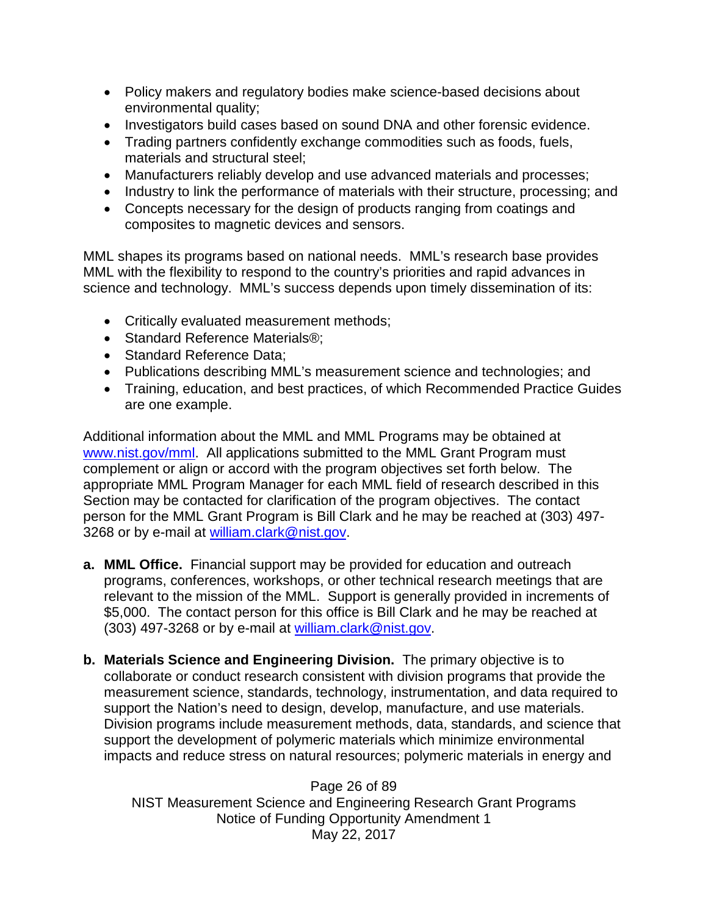- Policy makers and regulatory bodies make science-based decisions about environmental quality;
- Investigators build cases based on sound DNA and other forensic evidence.
- Trading partners confidently exchange commodities such as foods, fuels, materials and structural steel;
- Manufacturers reliably develop and use advanced materials and processes;
- Industry to link the performance of materials with their structure, processing; and
- Concepts necessary for the design of products ranging from coatings and composites to magnetic devices and sensors.

MML shapes its programs based on national needs. MML's research base provides MML with the flexibility to respond to the country's priorities and rapid advances in science and technology. MML's success depends upon timely dissemination of its:

- Critically evaluated measurement methods;
- Standard Reference Materials<sup>®</sup>;
- Standard Reference Data;
- Publications describing MML's measurement science and technologies; and
- Training, education, and best practices, of which Recommended Practice Guides are one example.

Additional information about the MML and MML Programs may be obtained at [www.nist.gov/mml.](http://www.nist.gov/mml) All applications submitted to the MML Grant Program must complement or align or accord with the program objectives set forth below. The appropriate MML Program Manager for each MML field of research described in this Section may be contacted for clarification of the program objectives. The contact person for the MML Grant Program is Bill Clark and he may be reached at (303) 497- 3268 or by e-mail at [william.clark@nist.gov.](mailto:william.clark@nist.gov)

- **a. MML Office.** Financial support may be provided for education and outreach programs, conferences, workshops, or other technical research meetings that are relevant to the mission of the MML. Support is generally provided in increments of \$5,000. The contact person for this office is Bill Clark and he may be reached at (303) 497-3268 or by e-mail at [william.clark@nist.gov.](mailto:william.clark@nist.gov)
- **b. Materials Science and Engineering Division.** The primary objective is to collaborate or conduct research consistent with division programs that provide the measurement science, standards, technology, instrumentation, and data required to support the Nation's need to design, develop, manufacture, and use materials. Division programs include measurement methods, data, standards, and science that support the development of polymeric materials which minimize environmental impacts and reduce stress on natural resources; polymeric materials in energy and

Page 26 of 89 NIST Measurement Science and Engineering Research Grant Programs Notice of Funding Opportunity Amendment 1 May 22, 2017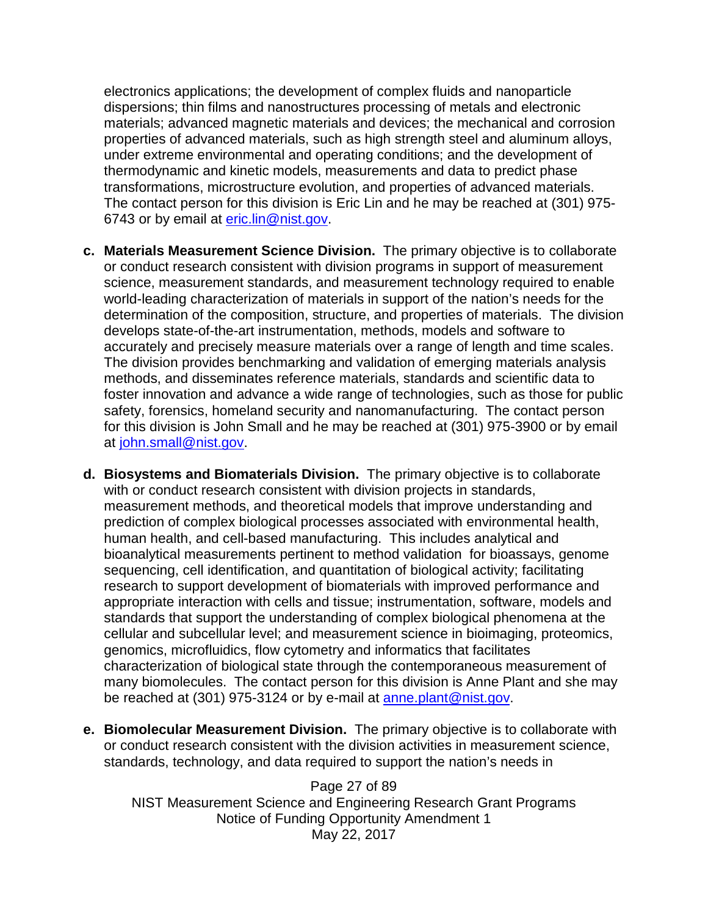electronics applications; the development of complex fluids and nanoparticle dispersions; thin films and nanostructures processing of metals and electronic materials; advanced magnetic materials and devices; the mechanical and corrosion properties of advanced materials, such as high strength steel and aluminum alloys, under extreme environmental and operating conditions; and the development of thermodynamic and kinetic models, measurements and data to predict phase transformations, microstructure evolution, and properties of advanced materials. The contact person for this division is Eric Lin and he may be reached at (301) 975 6743 or by email at [eric.lin@nist.gov.](mailto:eric.lin@nist.gov)

- **c. Materials Measurement Science Division.** The primary objective is to collaborate or conduct research consistent with division programs in support of measurement science, measurement standards, and measurement technology required to enable world-leading characterization of materials in support of the nation's needs for the determination of the composition, structure, and properties of materials. The division develops state-of-the-art instrumentation, methods, models and software to accurately and precisely measure materials over a range of length and time scales. The division provides benchmarking and validation of emerging materials analysis methods, and disseminates reference materials, standards and scientific data to foster innovation and advance a wide range of technologies, such as those for public safety, forensics, homeland security and nanomanufacturing. The contact person for this division is John Small and he may be reached at (301) 975-3900 or by email at [john.small@nist.gov.](mailto:john.small@nist.gov)
- **d. Biosystems and Biomaterials Division.** The primary objective is to collaborate with or conduct research consistent with division projects in standards, measurement methods, and theoretical models that improve understanding and prediction of complex biological processes associated with environmental health, human health, and cell-based manufacturing. This includes analytical and bioanalytical measurements pertinent to method validation for bioassays, genome sequencing, cell identification, and quantitation of biological activity; facilitating research to support development of biomaterials with improved performance and appropriate interaction with cells and tissue; instrumentation, software, models and standards that support the understanding of complex biological phenomena at the cellular and subcellular level; and measurement science in bioimaging, proteomics, genomics, microfluidics, flow cytometry and informatics that facilitates characterization of biological state through the contemporaneous measurement of many biomolecules. The contact person for this division is Anne Plant and she may be reached at (301) 975-3124 or by e-mail at [anne.plant@nist.gov.](mailto:anne.plant@nist.gov)
- **e. Biomolecular Measurement Division.** The primary objective is to collaborate with or conduct research consistent with the division activities in measurement science, standards, technology, and data required to support the nation's needs in

Page 27 of 89 NIST Measurement Science and Engineering Research Grant Programs Notice of Funding Opportunity Amendment 1 May 22, 2017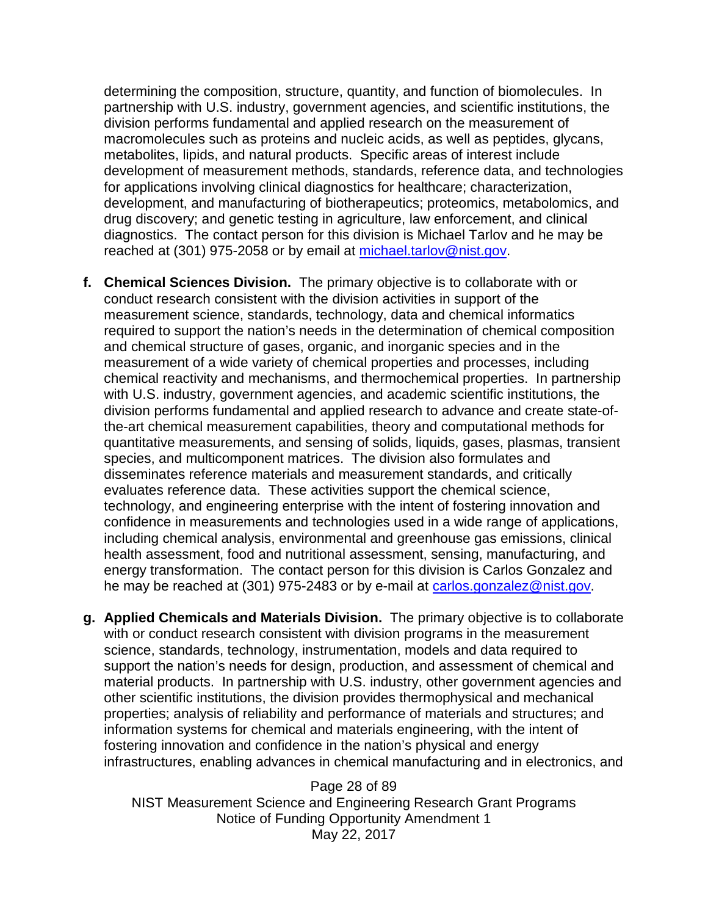determining the composition, structure, quantity, and function of biomolecules. In partnership with U.S. industry, government agencies, and scientific institutions, the division performs fundamental and applied research on the measurement of macromolecules such as proteins and nucleic acids, as well as peptides, glycans, metabolites, lipids, and natural products. Specific areas of interest include development of measurement methods, standards, reference data, and technologies for applications involving clinical diagnostics for healthcare; characterization, development, and manufacturing of biotherapeutics; proteomics, metabolomics, and drug discovery; and genetic testing in agriculture, law enforcement, and clinical diagnostics. The contact person for this division is Michael Tarlov and he may be reached at (301) 975-2058 or by email at [michael.tarlov@nist.gov.](mailto:michael.tarlov@nist.gov)

- **f. Chemical Sciences Division.** The primary objective is to collaborate with or conduct research consistent with the division activities in support of the measurement science, standards, technology, data and chemical informatics required to support the nation's needs in the determination of chemical composition and chemical structure of gases, organic, and inorganic species and in the measurement of a wide variety of chemical properties and processes, including chemical reactivity and mechanisms, and thermochemical properties. In partnership with U.S. industry, government agencies, and academic scientific institutions, the division performs fundamental and applied research to advance and create state-ofthe-art chemical measurement capabilities, theory and computational methods for quantitative measurements, and sensing of solids, liquids, gases, plasmas, transient species, and multicomponent matrices. The division also formulates and disseminates reference materials and measurement standards, and critically evaluates reference data. These activities support the chemical science, technology, and engineering enterprise with the intent of fostering innovation and confidence in measurements and technologies used in a wide range of applications, including chemical analysis, environmental and greenhouse gas emissions, clinical health assessment, food and nutritional assessment, sensing, manufacturing, and energy transformation. The contact person for this division is Carlos Gonzalez and he may be reached at (301) 975-2483 or by e-mail at [carlos.gonzalez@nist.gov.](mailto:carlos.gonzalez@nist.gov)
- **g. Applied Chemicals and Materials Division.** The primary objective is to collaborate with or conduct research consistent with division programs in the measurement science, standards, technology, instrumentation, models and data required to support the nation's needs for design, production, and assessment of chemical and material products. In partnership with U.S. industry, other government agencies and other scientific institutions, the division provides thermophysical and mechanical properties; analysis of reliability and performance of materials and structures; and information systems for chemical and materials engineering, with the intent of fostering innovation and confidence in the nation's physical and energy infrastructures, enabling advances in chemical manufacturing and in electronics, and

Page 28 of 89 NIST Measurement Science and Engineering Research Grant Programs Notice of Funding Opportunity Amendment 1 May 22, 2017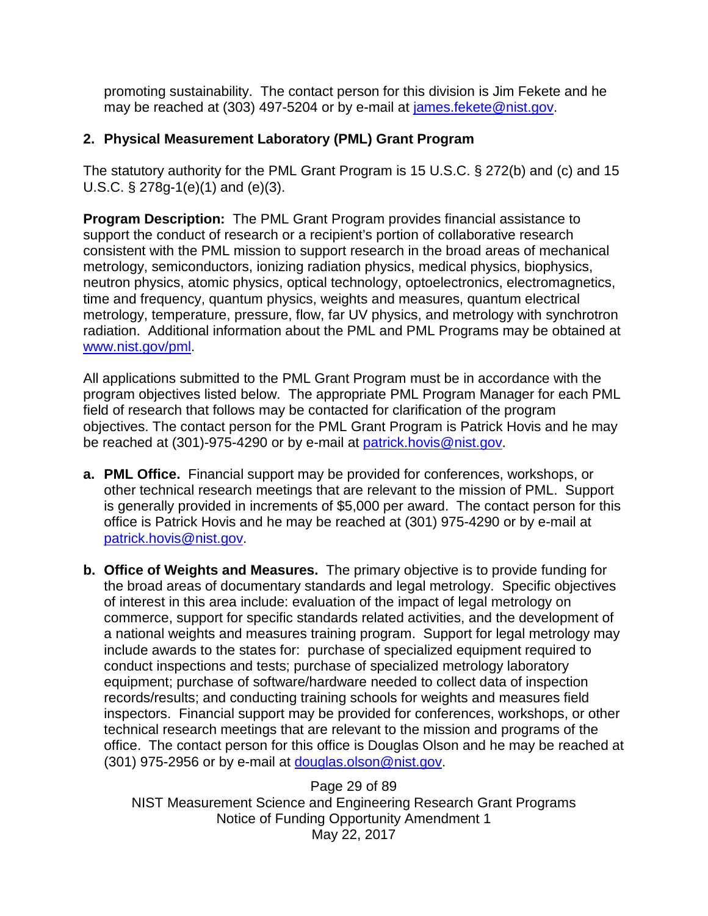promoting sustainability. The contact person for this division is Jim Fekete and he may be reached at (303) 497-5204 or by e-mail at [james.fekete@nist.gov.](mailto:james.fekete@nist.gov)

## **2. Physical Measurement Laboratory (PML) Grant Program**

The statutory authority for the PML Grant Program is 15 U.S.C. § 272(b) and (c) and 15 U.S.C. § 278g-1(e)(1) and (e)(3).

**Program Description:** The PML Grant Program provides financial assistance to support the conduct of research or a recipient's portion of collaborative research consistent with the PML mission to support research in the broad areas of mechanical metrology, semiconductors, ionizing radiation physics, medical physics, biophysics, neutron physics, atomic physics, optical technology, optoelectronics, electromagnetics, time and frequency, quantum physics, weights and measures, quantum electrical metrology, temperature, pressure, flow, far UV physics, and metrology with synchrotron radiation. Additional information about the PML and PML Programs may be obtained at [www.nist.gov/pml.](http://www.nist.gov/pml)

All applications submitted to the PML Grant Program must be in accordance with the program objectives listed below. The appropriate PML Program Manager for each PML field of research that follows may be contacted for clarification of the program objectives. The contact person for the PML Grant Program is Patrick Hovis and he may be reached at (301)-975-4290 or by e-mail at [patrick.hovis@nist.gov.](mailto:Patrick.hovis@nist.gov)

- **a. PML Office.** Financial support may be provided for conferences, workshops, or other technical research meetings that are relevant to the mission of PML. Support is generally provided in increments of \$5,000 per award. The contact person for this office is Patrick Hovis and he may be reached at (301) 975-4290 or by e-mail at [patrick.hovis@nist.gov.](mailto:patrick.hovis@nist.gov)
- **b. Office of Weights and Measures.** The primary objective is to provide funding for the broad areas of documentary standards and legal metrology. Specific objectives of interest in this area include: evaluation of the impact of legal metrology on commerce, support for specific standards related activities, and the development of a national weights and measures training program. Support for legal metrology may include awards to the states for: purchase of specialized equipment required to conduct inspections and tests; purchase of specialized metrology laboratory equipment; purchase of software/hardware needed to collect data of inspection records/results; and conducting training schools for weights and measures field inspectors. Financial support may be provided for conferences, workshops, or other technical research meetings that are relevant to the mission and programs of the office. The contact person for this office is Douglas Olson and he may be reached at (301) 975-2956 or by e-mail at [douglas.olson@nist.gov.](mailto:douglas.olson@nist.gov)

Page 29 of 89 NIST Measurement Science and Engineering Research Grant Programs Notice of Funding Opportunity Amendment 1 May 22, 2017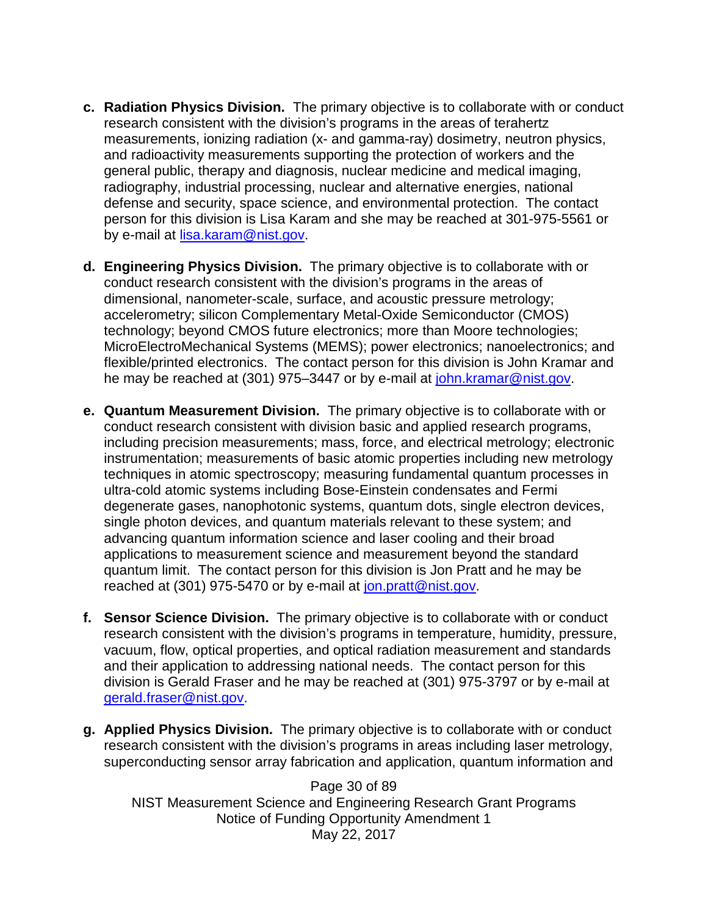- **c. Radiation Physics Division.** The primary objective is to collaborate with or conduct research consistent with the division's programs in the areas of terahertz measurements, ionizing radiation (x- and gamma-ray) dosimetry, neutron physics, and radioactivity measurements supporting the protection of workers and the general public, therapy and diagnosis, nuclear medicine and medical imaging, radiography, industrial processing, nuclear and alternative energies, national defense and security, space science, and environmental protection. The contact person for this division is Lisa Karam and she may be reached at 301-975-5561 or by e-mail at [lisa.karam@nist.gov.](mailto:lisa.karam@nist.gov)
- **d. Engineering Physics Division.** The primary objective is to collaborate with or conduct research consistent with the division's programs in the areas of dimensional, nanometer-scale, surface, and acoustic pressure metrology; accelerometry; silicon Complementary Metal-Oxide Semiconductor (CMOS) technology; beyond CMOS future electronics; more than Moore technologies; MicroElectroMechanical Systems (MEMS); power electronics; nanoelectronics; and flexible/printed electronics. The contact person for this division is John Kramar and he may be reached at (301) 975–3447 or by e-mail at [john.kramar@nist.gov.](mailto:john.kramar@nist.gov)
- **e. Quantum Measurement Division.** The primary objective is to collaborate with or conduct research consistent with division basic and applied research programs, including precision measurements; mass, force, and electrical metrology; electronic instrumentation; measurements of basic atomic properties including new metrology techniques in atomic spectroscopy; measuring fundamental quantum processes in ultra-cold atomic systems including Bose-Einstein condensates and Fermi degenerate gases, nanophotonic systems, quantum dots, single electron devices, single photon devices, and quantum materials relevant to these system; and advancing quantum information science and laser cooling and their broad applications to measurement science and measurement beyond the standard quantum limit. The contact person for this division is Jon Pratt and he may be reached at (301) 975-5470 or by e-mail at [jon.pratt@nist.gov.](mailto:jon.pratt@nist.gov)
- **f. Sensor Science Division.** The primary objective is to collaborate with or conduct research consistent with the division's programs in temperature, humidity, pressure, vacuum, flow, optical properties, and optical radiation measurement and standards and their application to addressing national needs. The contact person for this division is Gerald Fraser and he may be reached at (301) 975-3797 or by e-mail at [gerald.fraser@nist.gov.](mailto:gerald.fraser@nist.gov)
- **g. Applied Physics Division.** The primary objective is to collaborate with or conduct research consistent with the division's programs in areas including laser metrology, superconducting sensor array fabrication and application, quantum information and

Page 30 of 89 NIST Measurement Science and Engineering Research Grant Programs Notice of Funding Opportunity Amendment 1 May 22, 2017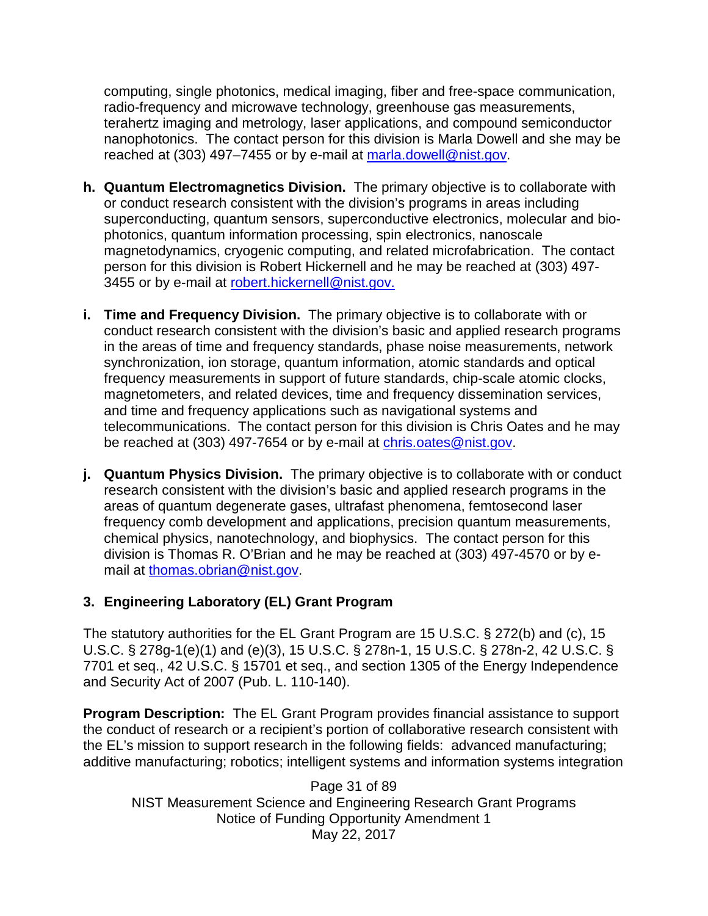computing, single photonics, medical imaging, fiber and free-space communication, radio-frequency and microwave technology, greenhouse gas measurements, terahertz imaging and metrology, laser applications, and compound semiconductor nanophotonics. The contact person for this division is Marla Dowell and she may be reached at (303) 497–7455 or by e-mail at [marla.dowell@nist.gov.](mailto:marla.dowell@nist.gov)

- **h. Quantum Electromagnetics Division.** The primary objective is to collaborate with or conduct research consistent with the division's programs in areas including superconducting, quantum sensors, superconductive electronics, molecular and biophotonics, quantum information processing, spin electronics, nanoscale magnetodynamics, cryogenic computing, and related microfabrication. The contact person for this division is Robert Hickernell and he may be reached at (303) 497 3455 or by e-mail at [robert.hickernell@nist.gov.](mailto:robert.hickernell@nist.gov)
- **i. Time and Frequency Division.** The primary objective is to collaborate with or conduct research consistent with the division's basic and applied research programs in the areas of time and frequency standards, phase noise measurements, network synchronization, ion storage, quantum information, atomic standards and optical frequency measurements in support of future standards, chip-scale atomic clocks, magnetometers, and related devices, time and frequency dissemination services, and time and frequency applications such as navigational systems and telecommunications. The contact person for this division is Chris Oates and he may be reached at (303) 497-7654 or by e-mail at [chris.oates@nist.gov.](mailto:chris.oates@nist.gov)
- **j. Quantum Physics Division.** The primary objective is to collaborate with or conduct research consistent with the division's basic and applied research programs in the areas of quantum degenerate gases, ultrafast phenomena, femtosecond laser frequency comb development and applications, precision quantum measurements, chemical physics, nanotechnology, and biophysics. The contact person for this division is Thomas R. O'Brian and he may be reached at (303) 497-4570 or by email at [thomas.obrian@nist.gov.](mailto:thomas.obrian@nist.gov)

## **3. Engineering Laboratory (EL) Grant Program**

The statutory authorities for the EL Grant Program are 15 U.S.C. § 272(b) and (c), 15 U.S.C. § 278g-1(e)(1) and (e)(3), 15 U.S.C. § 278n-1, 15 U.S.C. § 278n-2, 42 U.S.C. § 7701 et seq., 42 U.S.C. § 15701 et seq., and section 1305 of the Energy Independence and Security Act of 2007 (Pub. L. 110-140).

**Program Description:** The EL Grant Program provides financial assistance to support the conduct of research or a recipient's portion of collaborative research consistent with the EL's mission to support research in the following fields: advanced manufacturing; additive manufacturing; robotics; intelligent systems and information systems integration

Page 31 of 89 NIST Measurement Science and Engineering Research Grant Programs Notice of Funding Opportunity Amendment 1 May 22, 2017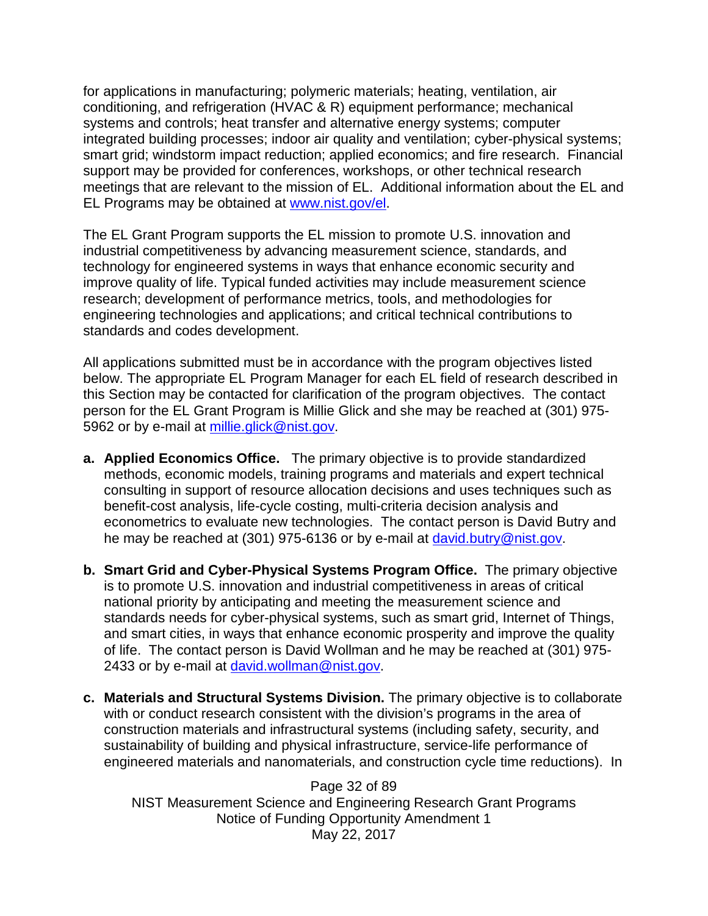for applications in manufacturing; polymeric materials; heating, ventilation, air conditioning, and refrigeration (HVAC & R) equipment performance; mechanical systems and controls; heat transfer and alternative energy systems; computer integrated building processes; indoor air quality and ventilation; cyber-physical systems; smart grid; windstorm impact reduction; applied economics; and fire research. Financial support may be provided for conferences, workshops, or other technical research meetings that are relevant to the mission of EL. Additional information about the EL and EL Programs may be obtained at [www.nist.gov/el.](http://www.nist.gov/el)

The EL Grant Program supports the EL mission to promote U.S. innovation and industrial competitiveness by advancing measurement science, standards, and technology for engineered systems in ways that enhance economic security and improve quality of life. Typical funded activities may include measurement science research; development of performance metrics, tools, and methodologies for engineering technologies and applications; and critical technical contributions to standards and codes development.

All applications submitted must be in accordance with the program objectives listed below. The appropriate EL Program Manager for each EL field of research described in this Section may be contacted for clarification of the program objectives. The contact person for the EL Grant Program is Millie Glick and she may be reached at (301) 975- 5962 or by e-mail at [millie.glick@nist.gov.](mailto:millie.glick@nist.gov)

- **a. Applied Economics Office.** The primary objective is to provide standardized methods, economic models, training programs and materials and expert technical consulting in support of resource allocation decisions and uses techniques such as benefit-cost analysis, life-cycle costing, multi-criteria decision analysis and econometrics to evaluate new technologies. The contact person is David Butry and he may be reached at (301) 975-6136 or by e-mail at [david.butry@nist.gov.](mailto:david.butry@nist.gov)
- **b. Smart Grid and Cyber-Physical Systems Program Office.** The primary objective is to promote U.S. innovation and industrial competitiveness in areas of critical national priority by anticipating and meeting the measurement science and standards needs for cyber-physical systems, such as smart grid, Internet of Things, and smart cities, in ways that enhance economic prosperity and improve the quality of life. The contact person is David Wollman and he may be reached at (301) 975 2433 or by e-mail at [david.wollman@nist.gov.](mailto:david.wollman@nist.gov)
- **c. Materials and Structural Systems Division.** The primary objective is to collaborate with or conduct research consistent with the division's programs in the area of construction materials and infrastructural systems (including safety, security, and sustainability of building and physical infrastructure, service-life performance of engineered materials and nanomaterials, and construction cycle time reductions). In

Page 32 of 89 NIST Measurement Science and Engineering Research Grant Programs Notice of Funding Opportunity Amendment 1 May 22, 2017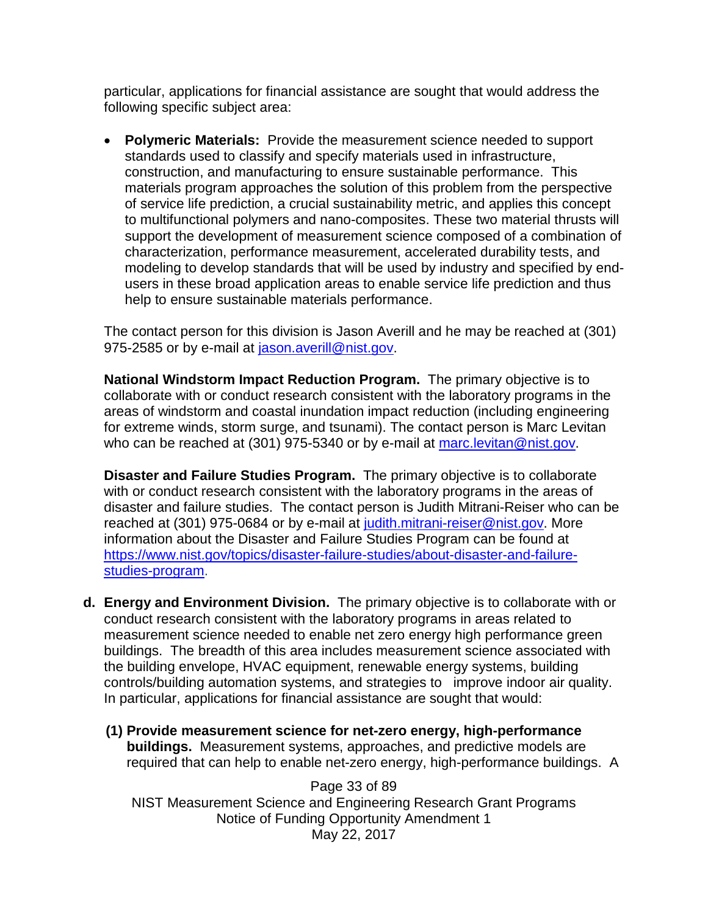particular, applications for financial assistance are sought that would address the following specific subject area:

• **Polymeric Materials:** Provide the measurement science needed to support standards used to classify and specify materials used in infrastructure, construction, and manufacturing to ensure sustainable performance. This materials program approaches the solution of this problem from the perspective of service life prediction, a crucial sustainability metric, and applies this concept to multifunctional polymers and nano-composites. These two material thrusts will support the development of measurement science composed of a combination of characterization, performance measurement, accelerated durability tests, and modeling to develop standards that will be used by industry and specified by endusers in these broad application areas to enable service life prediction and thus help to ensure sustainable materials performance.

The contact person for this division is Jason Averill and he may be reached at (301) 975-2585 or by e-mail at [jason.averill@nist.gov.](mailto:jason.averill@nist.gov)

**National Windstorm Impact Reduction Program.** The primary objective is to collaborate with or conduct research consistent with the laboratory programs in the areas of windstorm and coastal inundation impact reduction (including engineering for extreme winds, storm surge, and tsunami). The contact person is Marc Levitan who can be reached at (301) 975-5340 or by e-mail at [marc.levitan@nist.gov.](mailto:marc.levitan@nist.gov)

**Disaster and Failure Studies Program.** The primary objective is to collaborate with or conduct research consistent with the laboratory programs in the areas of disaster and failure studies. The contact person is Judith Mitrani-Reiser who can be reached at (301) 975-0684 or by e-mail at [judith.mitrani-reiser@nist.gov.](mailto:judith.mitrani-reiser@nist.gov) More information about the Disaster and Failure Studies Program can be found at [https://www.nist.gov/topics/disaster-failure-studies/about-disaster-and-failure](https://www.nist.gov/topics/disaster-failure-studies/about-disaster-and-failure-studies-program)[studies-program.](https://www.nist.gov/topics/disaster-failure-studies/about-disaster-and-failure-studies-program)

- **d. Energy and Environment Division.** The primary objective is to collaborate with or conduct research consistent with the laboratory programs in areas related to measurement science needed to enable net zero energy high performance green buildings. The breadth of this area includes measurement science associated with the building envelope, HVAC equipment, renewable energy systems, building controls/building automation systems, and strategies to improve indoor air quality. In particular, applications for financial assistance are sought that would:
	- **(1) Provide measurement science for net-zero energy, high-performance buildings.** Measurement systems, approaches, and predictive models are required that can help to enable net-zero energy, high-performance buildings. A

Page 33 of 89 NIST Measurement Science and Engineering Research Grant Programs Notice of Funding Opportunity Amendment 1 May 22, 2017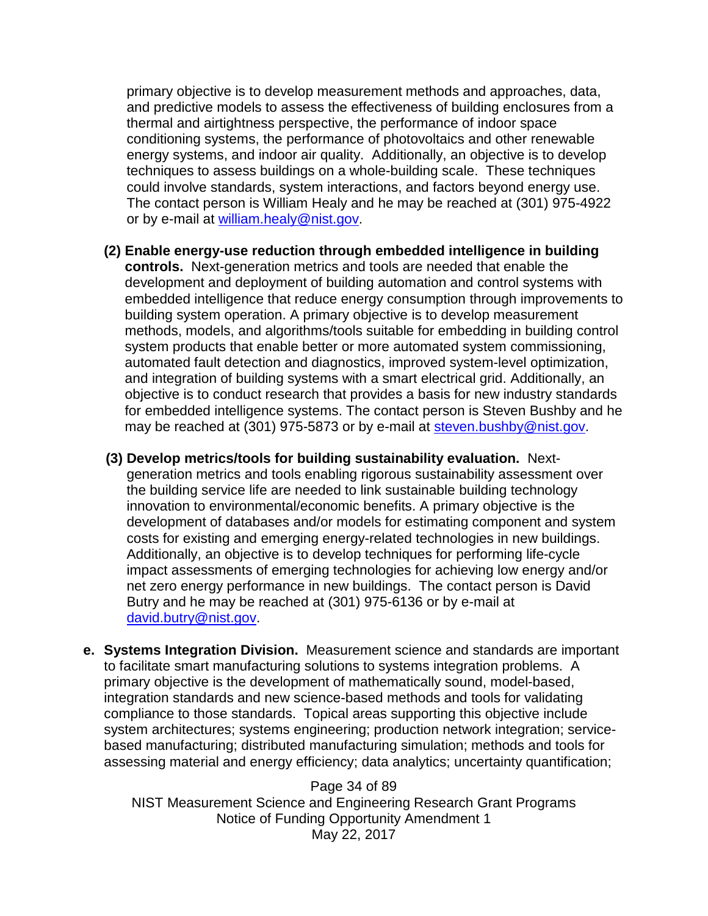primary objective is to develop measurement methods and approaches, data, and predictive models to assess the effectiveness of building enclosures from a thermal and airtightness perspective, the performance of indoor space conditioning systems, the performance of photovoltaics and other renewable energy systems, and indoor air quality. Additionally, an objective is to develop techniques to assess buildings on a whole-building scale. These techniques could involve standards, system interactions, and factors beyond energy use. The contact person is William Healy and he may be reached at (301) 975-4922 or by e-mail at [william.healy@nist.gov.](mailto:william.healy@nist.gov)

- **(2) Enable energy-use reduction through embedded intelligence in building controls.** Next-generation metrics and tools are needed that enable the development and deployment of building automation and control systems with embedded intelligence that reduce energy consumption through improvements to building system operation. A primary objective is to develop measurement methods, models, and algorithms/tools suitable for embedding in building control system products that enable better or more automated system commissioning, automated fault detection and diagnostics, improved system-level optimization, and integration of building systems with a smart electrical grid. Additionally, an objective is to conduct research that provides a basis for new industry standards for embedded intelligence systems. The contact person is Steven Bushby and he may be reached at (301) 975-5873 or by e-mail at [steven.bushby@nist.gov.](mailto:steven.bushby@nist.gov)
- **(3) Develop metrics/tools for building sustainability evaluation.** Nextgeneration metrics and tools enabling rigorous sustainability assessment over the building service life are needed to link sustainable building technology innovation to environmental/economic benefits. A primary objective is the development of databases and/or models for estimating component and system costs for existing and emerging energy-related technologies in new buildings. Additionally, an objective is to develop techniques for performing life-cycle impact assessments of emerging technologies for achieving low energy and/or net zero energy performance in new buildings. The contact person is David Butry and he may be reached at (301) 975-6136 or by e-mail at [david.butry@nist.gov.](mailto:david.butry@nist.gov)
- **e. Systems Integration Division.** Measurement science and standards are important to facilitate smart manufacturing solutions to systems integration problems. A primary objective is the development of mathematically sound, model-based, integration standards and new science-based methods and tools for validating compliance to those standards. Topical areas supporting this objective include system architectures; systems engineering; production network integration; servicebased manufacturing; distributed manufacturing simulation; methods and tools for assessing material and energy efficiency; data analytics; uncertainty quantification;

Page 34 of 89 NIST Measurement Science and Engineering Research Grant Programs Notice of Funding Opportunity Amendment 1 May 22, 2017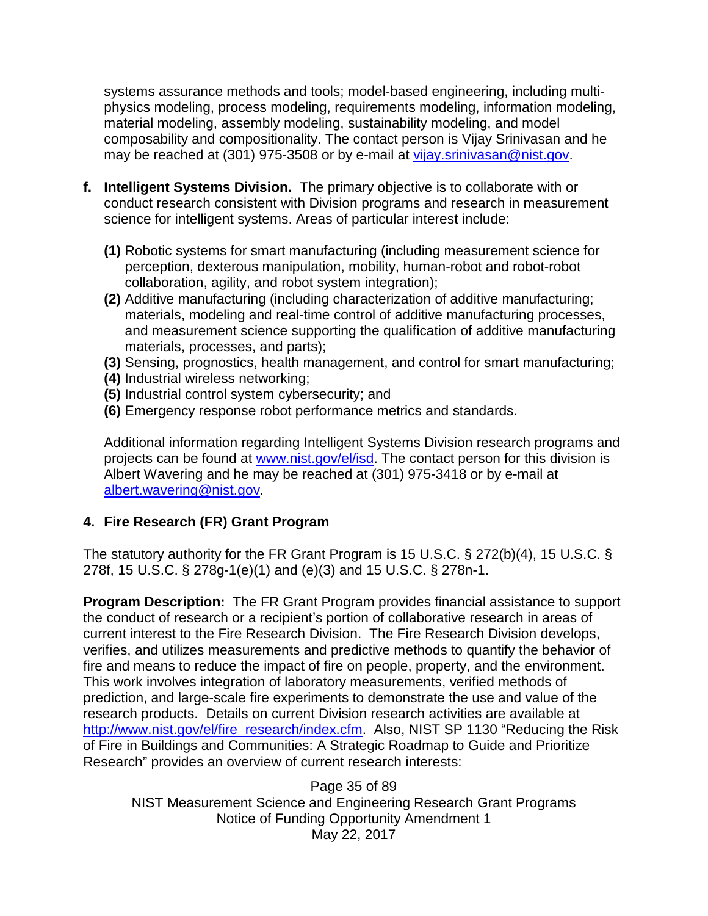systems assurance methods and tools; model-based engineering, including multiphysics modeling, process modeling, requirements modeling, information modeling, material modeling, assembly modeling, sustainability modeling, and model composability and compositionality. The contact person is Vijay Srinivasan and he may be reached at (301) 975-3508 or by e-mail at [vijay.srinivasan@nist.gov.](mailto:vijay.srinivasan@nist.gov)

- **f. Intelligent Systems Division.** The primary objective is to collaborate with or conduct research consistent with Division programs and research in measurement science for intelligent systems. Areas of particular interest include:
	- **(1)** Robotic systems for smart manufacturing (including measurement science for perception, dexterous manipulation, mobility, human-robot and robot-robot collaboration, agility, and robot system integration);
	- **(2)** Additive manufacturing (including characterization of additive manufacturing; materials, modeling and real-time control of additive manufacturing processes, and measurement science supporting the qualification of additive manufacturing materials, processes, and parts);
	- **(3)** Sensing, prognostics, health management, and control for smart manufacturing;
	- **(4)** Industrial wireless networking;
	- **(5)** Industrial control system cybersecurity; and
	- **(6)** Emergency response robot performance metrics and standards.

 Additional information regarding Intelligent Systems Division research programs and projects can be found at [www.nist.gov/el/isd.](http://www.nist.gov/el/isd) The contact person for this division is Albert Wavering and he may be reached at (301) 975-3418 or by e-mail at [albert.wavering@nist.gov.](mailto:albert.wavering@nist.gov)

## **4. Fire Research (FR) Grant Program**

The statutory authority for the FR Grant Program is 15 U.S.C. § 272(b)(4), 15 U.S.C. § 278f, 15 U.S.C. § 278g-1(e)(1) and (e)(3) and 15 U.S.C. § 278n-1.

**Program Description:** The FR Grant Program provides financial assistance to support the conduct of research or a recipient's portion of collaborative research in areas of current interest to the Fire Research Division. The Fire Research Division develops, verifies, and utilizes measurements and predictive methods to quantify the behavior of fire and means to reduce the impact of fire on people, property, and the environment. This work involves integration of laboratory measurements, verified methods of prediction, and large-scale fire experiments to demonstrate the use and value of the research products. Details on current Division research activities are available at [http://www.nist.gov/el/fire\\_research/index.cfm.](http://www.nist.gov/el/fire_research/index.cfm) Also, NIST SP 1130 "Reducing the Risk of Fire in Buildings and Communities: A Strategic Roadmap to Guide and Prioritize Research" provides an overview of current research interests:

Page 35 of 89 NIST Measurement Science and Engineering Research Grant Programs Notice of Funding Opportunity Amendment 1 May 22, 2017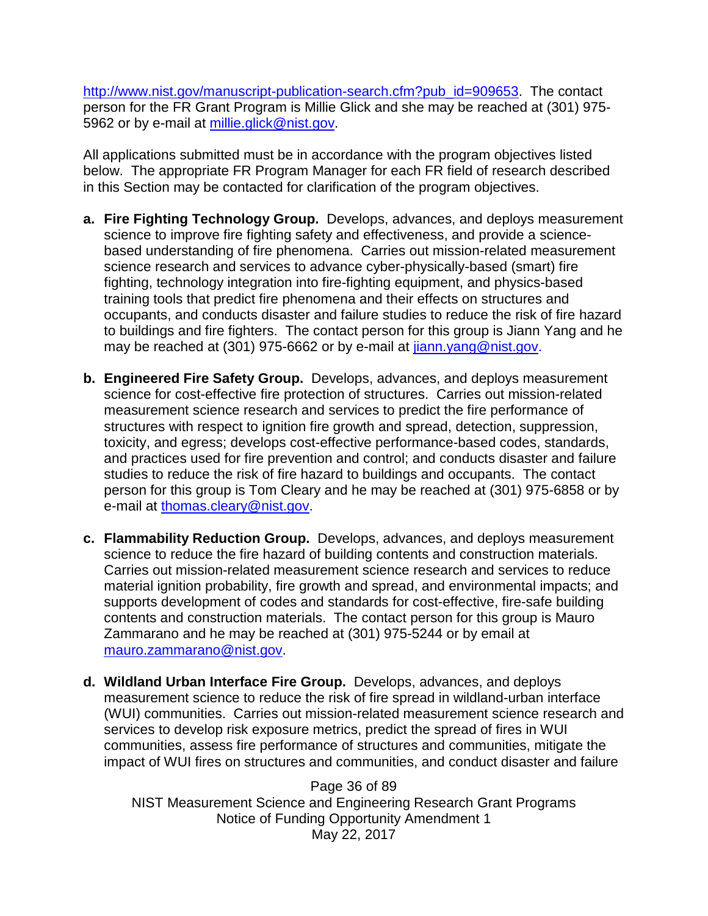[http://www.nist.gov/manuscript-publication-search.cfm?pub\\_id=909653.](http://www.nist.gov/manuscript-publication-search.cfm?pub_id=909653) The contact person for the FR Grant Program is Millie Glick and she may be reached at (301) 975- 5962 or by e-mail at [millie.glick@nist.gov.](mailto:millie.glick@nist.gov)

All applications submitted must be in accordance with the program objectives listed below. The appropriate FR Program Manager for each FR field of research described in this Section may be contacted for clarification of the program objectives.

- **a. Fire Fighting Technology Group.** Develops, advances, and deploys measurement science to improve fire fighting safety and effectiveness, and provide a sciencebased understanding of fire phenomena. Carries out mission-related measurement science research and services to advance cyber-physically-based (smart) fire fighting, technology integration into fire-fighting equipment, and physics-based training tools that predict fire phenomena and their effects on structures and occupants, and conducts disaster and failure studies to reduce the risk of fire hazard to buildings and fire fighters. The contact person for this group is Jiann Yang and he may be reached at (301) 975-6662 or by e-mail at [jiann.yang@nist.gov.](mailto:jiann.yang@nist.gov)
- **b. Engineered Fire Safety Group.** Develops, advances, and deploys measurement science for cost-effective fire protection of structures. Carries out mission-related measurement science research and services to predict the fire performance of structures with respect to ignition fire growth and spread, detection, suppression, toxicity, and egress; develops cost-effective performance-based codes, standards, and practices used for fire prevention and control; and conducts disaster and failure studies to reduce the risk of fire hazard to buildings and occupants. The contact person for this group is Tom Cleary and he may be reached at (301) 975-6858 or by e-mail at [thomas.cleary@nist.gov.](mailto:thomas.cleary@nist.gov)
- **c. Flammability Reduction Group.** Develops, advances, and deploys measurement science to reduce the fire hazard of building contents and construction materials. Carries out mission-related measurement science research and services to reduce material ignition probability, fire growth and spread, and environmental impacts; and supports development of codes and standards for cost-effective, fire-safe building contents and construction materials. The contact person for this group is Mauro Zammarano and he may be reached at (301) 975-5244 or by email at [mauro.zammarano@nist.gov.](mailto:mauro.zammarano@nist.gov)
- **d. Wildland Urban Interface Fire Group.** Develops, advances, and deploys measurement science to reduce the risk of fire spread in wildland-urban interface (WUI) communities.Carries out mission-related measurement science research and services to develop risk exposure metrics, predict the spread of fires in WUI communities, assess fire performance of structures and communities, mitigate the impact of WUI fires on structures and communities, and conduct disaster and failure

Page 36 of 89 NIST Measurement Science and Engineering Research Grant Programs Notice of Funding Opportunity Amendment 1 May 22, 2017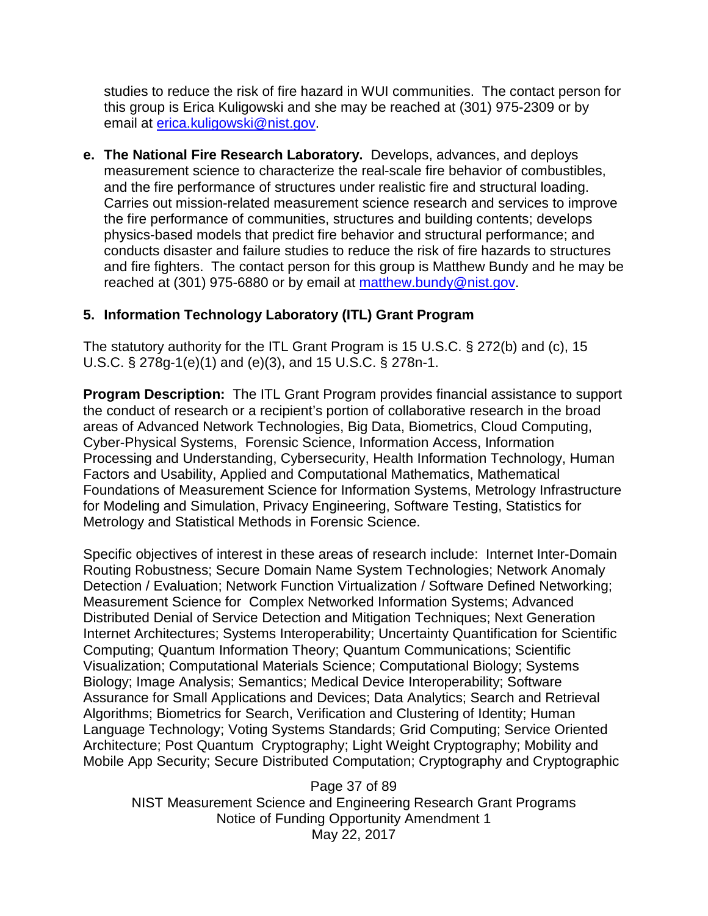studies to reduce the risk of fire hazard in WUI communities. The contact person for this group is Erica Kuligowski and she may be reached at (301) 975-2309 or by email at [erica.kuligowski@nist.gov.](mailto:erica.kuligowski@nist.gov)

**e. The National Fire Research Laboratory.** Develops, advances, and deploys measurement science to characterize the real-scale fire behavior of combustibles, and the fire performance of structures under realistic fire and structural loading. Carries out mission-related measurement science research and services to improve the fire performance of communities, structures and building contents; develops physics-based models that predict fire behavior and structural performance; and conducts disaster and failure studies to reduce the risk of fire hazards to structures and fire fighters. The contact person for this group is Matthew Bundy and he may be reached at (301) 975-6880 or by email at [matthew.bundy@nist.gov.](mailto:matthew.bundy@nist.gov)

## **5. Information Technology Laboratory (ITL) Grant Program**

The statutory authority for the ITL Grant Program is 15 U.S.C. § 272(b) and (c), 15 U.S.C. § 278g-1(e)(1) and (e)(3), and 15 U.S.C. § 278n-1.

**Program Description:** The ITL Grant Program provides financial assistance to support the conduct of research or a recipient's portion of collaborative research in the broad areas of Advanced Network Technologies, Big Data, Biometrics, Cloud Computing, Cyber-Physical Systems, Forensic Science, Information Access, Information Processing and Understanding, Cybersecurity, Health Information Technology, Human Factors and Usability, Applied and Computational Mathematics, Mathematical Foundations of Measurement Science for Information Systems, Metrology Infrastructure for Modeling and Simulation, Privacy Engineering, Software Testing, Statistics for Metrology and Statistical Methods in Forensic Science.

Specific objectives of interest in these areas of research include: Internet Inter-Domain Routing Robustness; Secure Domain Name System Technologies; Network Anomaly Detection / Evaluation; Network Function Virtualization / Software Defined Networking; Measurement Science for Complex Networked Information Systems; Advanced Distributed Denial of Service Detection and Mitigation Techniques; Next Generation Internet Architectures; Systems Interoperability; Uncertainty Quantification for Scientific Computing; Quantum Information Theory; Quantum Communications; Scientific Visualization; Computational Materials Science; Computational Biology; Systems Biology; Image Analysis; Semantics; Medical Device Interoperability; Software Assurance for Small Applications and Devices; Data Analytics; Search and Retrieval Algorithms; Biometrics for Search, Verification and Clustering of Identity; Human Language Technology; Voting Systems Standards; Grid Computing; Service Oriented Architecture; Post Quantum Cryptography; Light Weight Cryptography; Mobility and Mobile App Security; Secure Distributed Computation; Cryptography and Cryptographic

Page 37 of 89 NIST Measurement Science and Engineering Research Grant Programs Notice of Funding Opportunity Amendment 1 May 22, 2017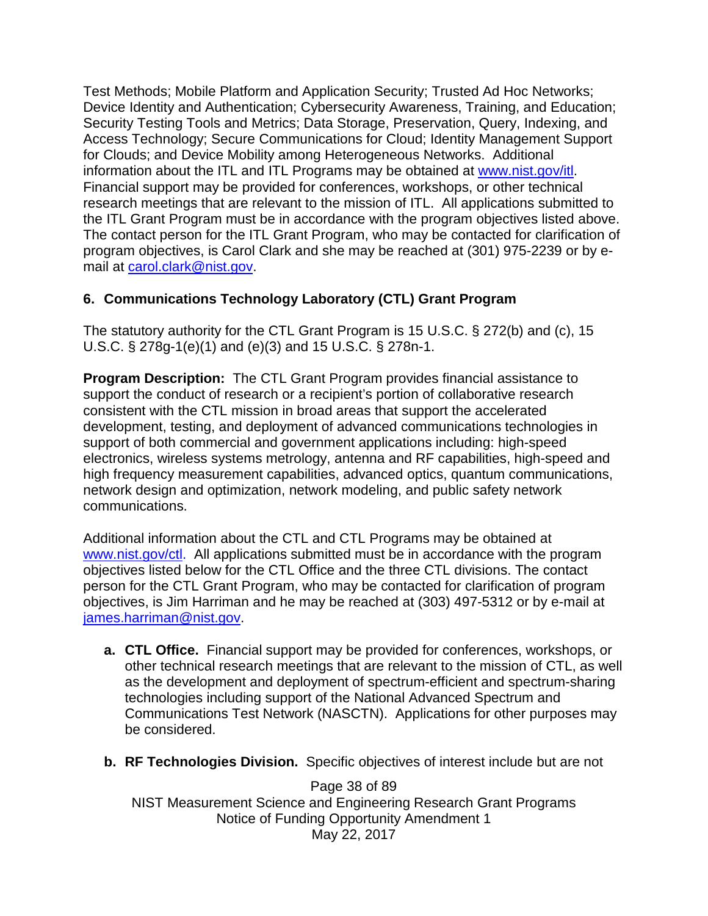Test Methods; Mobile Platform and Application Security; Trusted Ad Hoc Networks; Device Identity and Authentication; Cybersecurity Awareness, Training, and Education; Security Testing Tools and Metrics; Data Storage, Preservation, Query, Indexing, and Access Technology; Secure Communications for Cloud; Identity Management Support for Clouds; and Device Mobility among Heterogeneous Networks. Additional information about the ITL and ITL Programs may be obtained at [www.nist.gov/itl.](http://www.nist.gov/itl) Financial support may be provided for conferences, workshops, or other technical research meetings that are relevant to the mission of ITL. All applications submitted to the ITL Grant Program must be in accordance with the program objectives listed above. The contact person for the ITL Grant Program, who may be contacted for clarification of program objectives, is Carol Clark and she may be reached at (301) 975-2239 or by email at [carol.clark@nist.gov.](mailto:carol.clark@nist.gov)

## **6. Communications Technology Laboratory (CTL) Grant Program**

The statutory authority for the CTL Grant Program is 15 U.S.C. § 272(b) and (c), 15 U.S.C. § 278g-1(e)(1) and (e)(3) and 15 U.S.C. § 278n-1.

**Program Description:** The CTL Grant Program provides financial assistance to support the conduct of research or a recipient's portion of collaborative research consistent with the CTL mission in broad areas that support the accelerated development, testing, and deployment of advanced communications technologies in support of both commercial and government applications including: high-speed electronics, wireless systems metrology, antenna and RF capabilities, high-speed and high frequency measurement capabilities, advanced optics, quantum communications, network design and optimization, network modeling, and public safety network communications.

Additional information about the CTL and CTL Programs may be obtained at [www.nist.gov/ctl.](http://www.nist.gov/ctl) All applications submitted must be in accordance with the program objectives listed below for the CTL Office and the three CTL divisions. The contact person for the CTL Grant Program, who may be contacted for clarification of program objectives, is Jim Harriman and he may be reached at (303) 497-5312 or by e-mail at [james.harriman@nist.gov.](mailto:james.harriman@nist.gov)

- **a. CTL Office.** Financial support may be provided for conferences, workshops, or other technical research meetings that are relevant to the mission of CTL, as well as the development and deployment of spectrum-efficient and spectrum-sharing technologies including support of the National Advanced Spectrum and Communications Test Network (NASCTN). Applications for other purposes may be considered.
- **b. RF Technologies Division.** Specific objectives of interest include but are not

Page 38 of 89 NIST Measurement Science and Engineering Research Grant Programs Notice of Funding Opportunity Amendment 1 May 22, 2017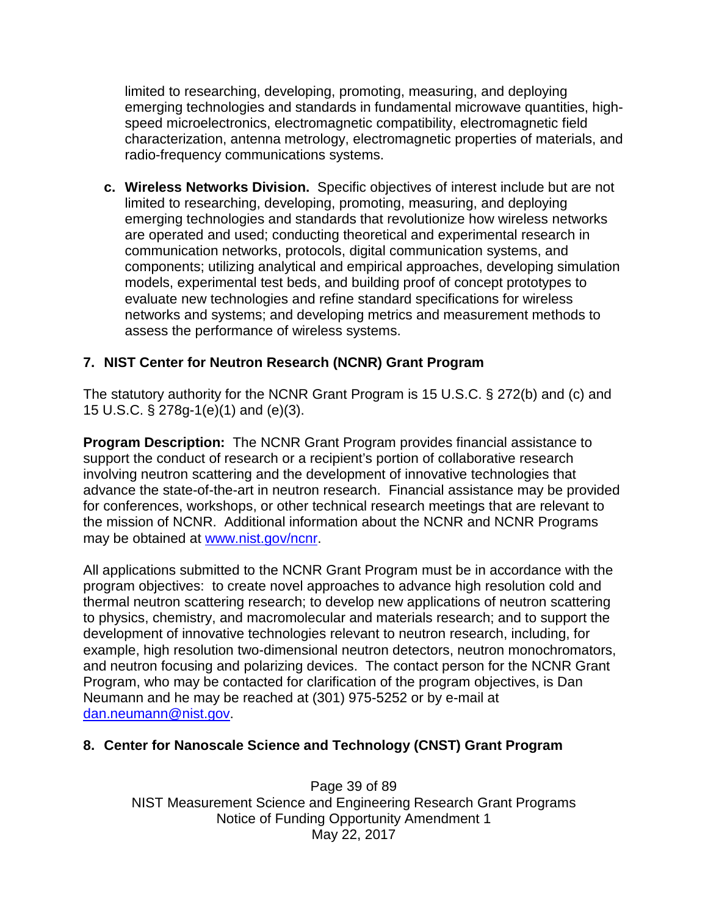limited to researching, developing, promoting, measuring, and deploying emerging technologies and standards in fundamental microwave quantities, highspeed microelectronics, electromagnetic compatibility, electromagnetic field characterization, antenna metrology, electromagnetic properties of materials, and radio-frequency communications systems.

**c. Wireless Networks Division.** Specific objectives of interest include but are not limited to researching, developing, promoting, measuring, and deploying emerging technologies and standards that revolutionize how wireless networks are operated and used; conducting theoretical and experimental research in communication networks, protocols, digital communication systems, and components; utilizing analytical and empirical approaches, developing simulation models, experimental test beds, and building proof of concept prototypes to evaluate new technologies and refine standard specifications for wireless networks and systems; and developing metrics and measurement methods to assess the performance of wireless systems.

### **7. NIST Center for Neutron Research (NCNR) Grant Program**

The statutory authority for the NCNR Grant Program is 15 U.S.C. § 272(b) and (c) and 15 U.S.C. § 278g-1(e)(1) and (e)(3).

**Program Description:** The NCNR Grant Program provides financial assistance to support the conduct of research or a recipient's portion of collaborative research involving neutron scattering and the development of innovative technologies that advance the state-of-the-art in neutron research. Financial assistance may be provided for conferences, workshops, or other technical research meetings that are relevant to the mission of NCNR. Additional information about the NCNR and NCNR Programs may be obtained at [www.nist.gov/ncnr.](http://www.nist.gov/ncnr)

All applications submitted to the NCNR Grant Program must be in accordance with the program objectives: to create novel approaches to advance high resolution cold and thermal neutron scattering research; to develop new applications of neutron scattering to physics, chemistry, and macromolecular and materials research; and to support the development of innovative technologies relevant to neutron research, including, for example, high resolution two-dimensional neutron detectors, neutron monochromators, and neutron focusing and polarizing devices. The contact person for the NCNR Grant Program, who may be contacted for clarification of the program objectives, is Dan Neumann and he may be reached at (301) 975-5252 or by e-mail at [dan.neumann@nist.gov.](mailto:dan.neumann@nist.gov)

### **8. Center for Nanoscale Science and Technology (CNST) Grant Program**

Page 39 of 89 NIST Measurement Science and Engineering Research Grant Programs Notice of Funding Opportunity Amendment 1 May 22, 2017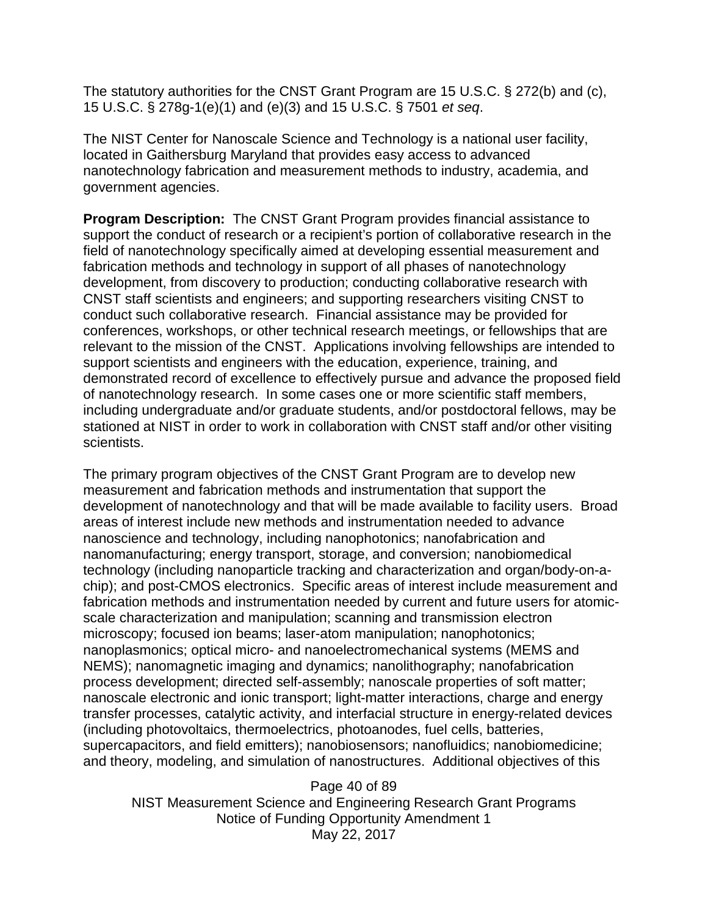The statutory authorities for the CNST Grant Program are 15 U.S.C. § 272(b) and (c), 15 U.S.C. § 278g-1(e)(1) and (e)(3) and 15 U.S.C. § 7501 *et seq*.

The NIST Center for Nanoscale Science and Technology is a national user facility, located in Gaithersburg Maryland that provides easy access to advanced nanotechnology fabrication and measurement methods to industry, academia, and government agencies.

**Program Description:** The CNST Grant Program provides financial assistance to support the conduct of research or a recipient's portion of collaborative research in the field of nanotechnology specifically aimed at developing essential measurement and fabrication methods and technology in support of all phases of nanotechnology development, from discovery to production; conducting collaborative research with CNST staff scientists and engineers; and supporting researchers visiting CNST to conduct such collaborative research. Financial assistance may be provided for conferences, workshops, or other technical research meetings, or fellowships that are relevant to the mission of the CNST. Applications involving fellowships are intended to support scientists and engineers with the education, experience, training, and demonstrated record of excellence to effectively pursue and advance the proposed field of nanotechnology research. In some cases one or more scientific staff members, including undergraduate and/or graduate students, and/or postdoctoral fellows, may be stationed at NIST in order to work in collaboration with CNST staff and/or other visiting scientists.

The primary program objectives of the CNST Grant Program are to develop new measurement and fabrication methods and instrumentation that support the development of nanotechnology and that will be made available to facility users. Broad areas of interest include new methods and instrumentation needed to advance nanoscience and technology, including nanophotonics; nanofabrication and nanomanufacturing; energy transport, storage, and conversion; nanobiomedical technology (including nanoparticle tracking and characterization and organ/body-on-achip); and post-CMOS electronics. Specific areas of interest include measurement and fabrication methods and instrumentation needed by current and future users for atomicscale characterization and manipulation; scanning and transmission electron microscopy; focused ion beams; laser-atom manipulation; nanophotonics; nanoplasmonics; optical micro- and nanoelectromechanical systems (MEMS and NEMS); nanomagnetic imaging and dynamics; nanolithography; nanofabrication process development; directed self-assembly; nanoscale properties of soft matter; nanoscale electronic and ionic transport; light-matter interactions, charge and energy transfer processes, catalytic activity, and interfacial structure in energy-related devices (including photovoltaics, thermoelectrics, photoanodes, fuel cells, batteries, supercapacitors, and field emitters); nanobiosensors; nanofluidics; nanobiomedicine; and theory, modeling, and simulation of nanostructures. Additional objectives of this

Page 40 of 89 NIST Measurement Science and Engineering Research Grant Programs Notice of Funding Opportunity Amendment 1 May 22, 2017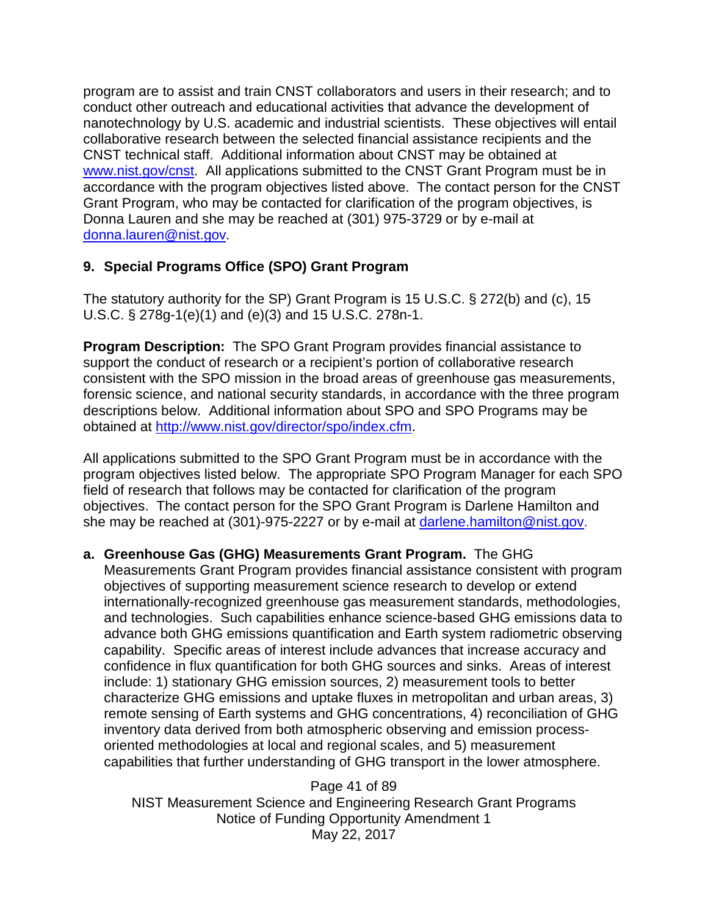program are to assist and train CNST collaborators and users in their research; and to conduct other outreach and educational activities that advance the development of nanotechnology by U.S. academic and industrial scientists. These objectives will entail collaborative research between the selected financial assistance recipients and the CNST technical staff. Additional information about CNST may be obtained at [www.nist.gov/cnst.](http://www.nist.gov/cnst) All applications submitted to the CNST Grant Program must be in accordance with the program objectives listed above. The contact person for the CNST Grant Program, who may be contacted for clarification of the program objectives, is Donna Lauren and she may be reached at (301) 975-3729 or by e-mail at [donna.lauren@nist.gov.](mailto:donna.lauren@nist.gov)

### **9. Special Programs Office (SPO) Grant Program**

The statutory authority for the SP) Grant Program is 15 U.S.C. § 272(b) and (c), 15 U.S.C. § 278g-1(e)(1) and (e)(3) and 15 U.S.C. 278n-1.

**Program Description:** The SPO Grant Program provides financial assistance to support the conduct of research or a recipient's portion of collaborative research consistent with the SPO mission in the broad areas of greenhouse gas measurements, forensic science, and national security standards, in accordance with the three program descriptions below. Additional information about SPO and SPO Programs may be obtained at [http://www.nist.gov/director/spo/index.cfm.](http://www.nist.gov/director/spo/index.cfm)

All applications submitted to the SPO Grant Program must be in accordance with the program objectives listed below. The appropriate SPO Program Manager for each SPO field of research that follows may be contacted for clarification of the program objectives. The contact person for the SPO Grant Program is Darlene Hamilton and she may be reached at (301)-975-2227 or by e-mail at [darlene.hamilton@nist.gov.](mailto:darlene.hamilton@nist.gov)

#### **a. Greenhouse Gas (GHG) Measurements Grant Program.** The GHG

Measurements Grant Program provides financial assistance consistent with program objectives of supporting measurement science research to develop or extend internationally-recognized greenhouse gas measurement standards, methodologies, and technologies. Such capabilities enhance science-based GHG emissions data to advance both GHG emissions quantification and Earth system radiometric observing capability. Specific areas of interest include advances that increase accuracy and confidence in flux quantification for both GHG sources and sinks. Areas of interest include: 1) stationary GHG emission sources, 2) measurement tools to better characterize GHG emissions and uptake fluxes in metropolitan and urban areas, 3) remote sensing of Earth systems and GHG concentrations, 4) reconciliation of GHG inventory data derived from both atmospheric observing and emission processoriented methodologies at local and regional scales, and 5) measurement capabilities that further understanding of GHG transport in the lower atmosphere.

Page 41 of 89 NIST Measurement Science and Engineering Research Grant Programs Notice of Funding Opportunity Amendment 1 May 22, 2017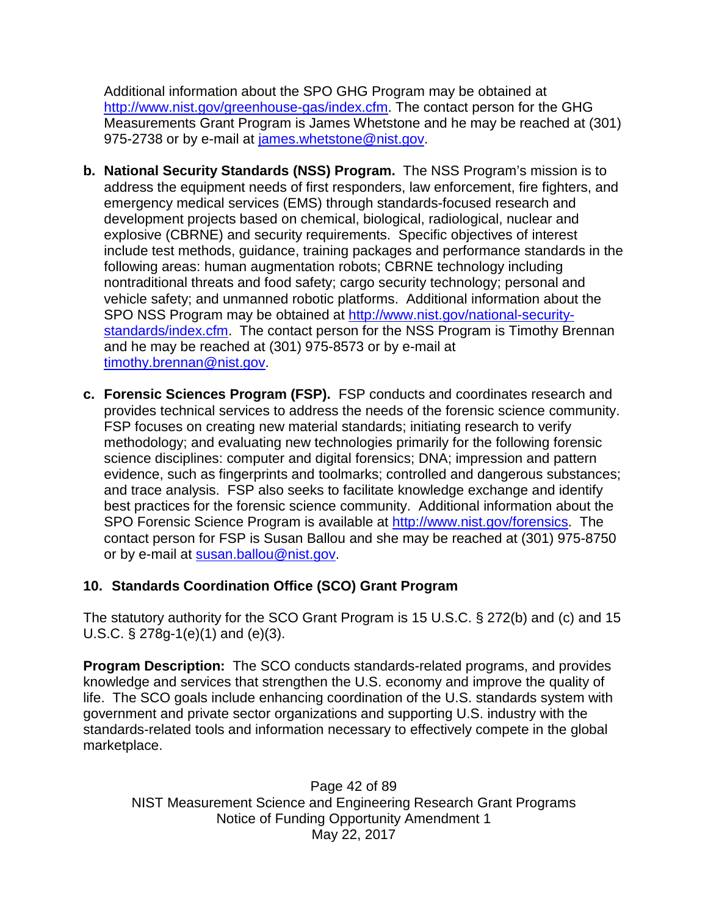Additional information about the SPO GHG Program may be obtained at [http://www.nist.gov/greenhouse-gas/index.cfm.](http://www.nist.gov/greenhouse-gas/index.cfm) The contact person for the GHG Measurements Grant Program is James Whetstone and he may be reached at (301) 975-2738 or by e-mail at [james.whetstone@nist.gov.](mailto:james.whetstone@nist.gov)

- **b. National Security Standards (NSS) Program.** The NSS Program's mission is to address the equipment needs of first responders, law enforcement, fire fighters, and emergency medical services (EMS) through standards-focused research and development projects based on chemical, biological, radiological, nuclear and explosive (CBRNE) and security requirements. Specific objectives of interest include test methods, guidance, training packages and performance standards in the following areas: human augmentation robots; CBRNE technology including nontraditional threats and food safety; cargo security technology; personal and vehicle safety; and unmanned robotic platforms. Additional information about the SPO NSS Program may be obtained at [http://www.nist.gov/national-security](http://www.nist.gov/national-security-standards/index.cfm)[standards/index.cfm.](http://www.nist.gov/national-security-standards/index.cfm) The contact person for the NSS Program is Timothy Brennan and he may be reached at (301) 975-8573 or by e-mail at [timothy.brennan@nist.gov.](mailto:timothy.brennan@nist.gov)
- **c. Forensic Sciences Program (FSP).** FSP conducts and coordinates research and provides technical services to address the needs of the forensic science community. FSP focuses on creating new material standards; initiating research to verify methodology; and evaluating new technologies primarily for the following forensic science disciplines: computer and digital forensics; DNA; impression and pattern evidence, such as fingerprints and toolmarks; controlled and dangerous substances; and trace analysis. FSP also seeks to facilitate knowledge exchange and identify best practices for the forensic science community. Additional information about the SPO Forensic Science Program is available at [http://www.nist.gov/forensics.](http://www.nist.gov/forensics) The contact person for FSP is Susan Ballou and she may be reached at (301) 975-8750 or by e-mail at [susan.ballou@nist.gov.](mailto:susan.ballou@nist.gov)

# **10. Standards Coordination Office (SCO) Grant Program**

The statutory authority for the SCO Grant Program is 15 U.S.C. § 272(b) and (c) and 15 U.S.C. § 278g-1(e)(1) and (e)(3).

**Program Description:** The SCO conducts standards-related programs, and provides knowledge and services that strengthen the U.S. economy and improve the quality of life. The SCO goals include enhancing coordination of the U.S. standards system with government and private sector organizations and supporting U.S. industry with the standards-related tools and information necessary to effectively compete in the global marketplace.

Page 42 of 89 NIST Measurement Science and Engineering Research Grant Programs Notice of Funding Opportunity Amendment 1 May 22, 2017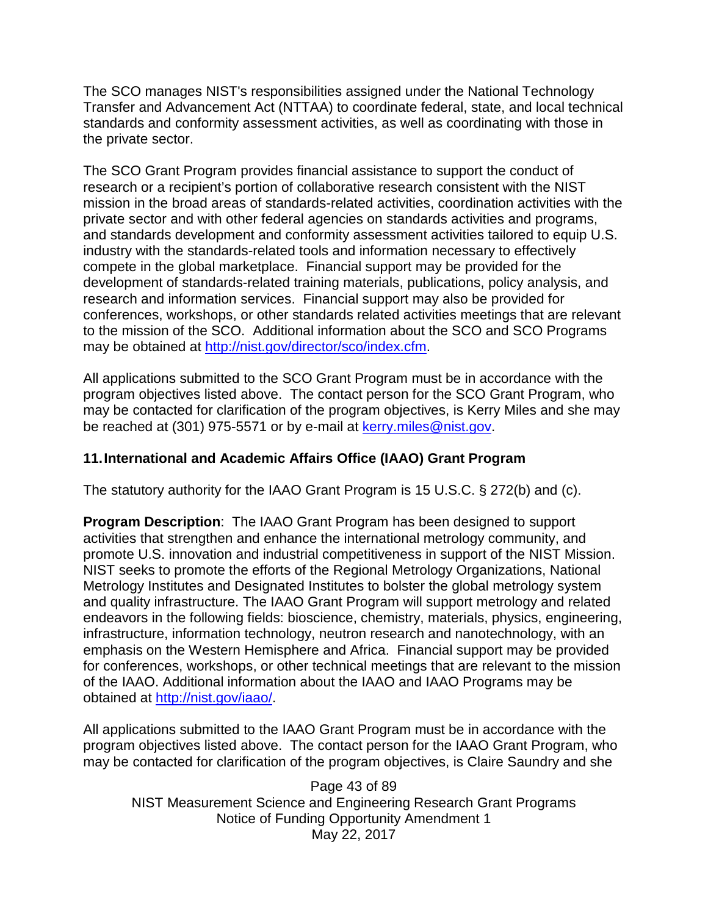The SCO manages NIST's responsibilities assigned under the National Technology Transfer and Advancement Act (NTTAA) to coordinate federal, state, and local technical standards and conformity assessment activities, as well as coordinating with those in the private sector.

The SCO Grant Program provides financial assistance to support the conduct of research or a recipient's portion of collaborative research consistent with the NIST mission in the broad areas of standards-related activities, coordination activities with the private sector and with other federal agencies on standards activities and programs, and standards development and conformity assessment activities tailored to equip U.S. industry with the standards-related tools and information necessary to effectively compete in the global marketplace. Financial support may be provided for the development of standards-related training materials, publications, policy analysis, and research and information services. Financial support may also be provided for conferences, workshops, or other standards related activities meetings that are relevant to the mission of the SCO. Additional information about the SCO and SCO Programs may be obtained at [http://nist.gov/director/sco/index.cfm.](http://nist.gov/director/sco/index.cfm)

All applications submitted to the SCO Grant Program must be in accordance with the program objectives listed above. The contact person for the SCO Grant Program, who may be contacted for clarification of the program objectives, is Kerry Miles and she may be reached at (301) 975-5571 or by e-mail at [kerry.miles@nist.gov.](mailto:kerry.miles@nist.gov)

### **11.International and Academic Affairs Office (IAAO) Grant Program**

The statutory authority for the IAAO Grant Program is 15 U.S.C. § 272(b) and (c).

**Program Description**: The IAAO Grant Program has been designed to support activities that strengthen and enhance the international metrology community, and promote U.S. innovation and industrial competitiveness in support of the NIST Mission. NIST seeks to promote the efforts of the Regional Metrology Organizations, National Metrology Institutes and Designated Institutes to bolster the global metrology system and quality infrastructure. The IAAO Grant Program will support metrology and related endeavors in the following fields: bioscience, chemistry, materials, physics, engineering, infrastructure, information technology, neutron research and nanotechnology, with an emphasis on the Western Hemisphere and Africa. Financial support may be provided for conferences, workshops, or other technical meetings that are relevant to the mission of the IAAO. Additional information about the IAAO and IAAO Programs may be obtained at [http://nist.gov/iaao/.](http://nist.gov/iaao/)

All applications submitted to the IAAO Grant Program must be in accordance with the program objectives listed above. The contact person for the IAAO Grant Program, who may be contacted for clarification of the program objectives, is Claire Saundry and she

Page 43 of 89 NIST Measurement Science and Engineering Research Grant Programs Notice of Funding Opportunity Amendment 1 May 22, 2017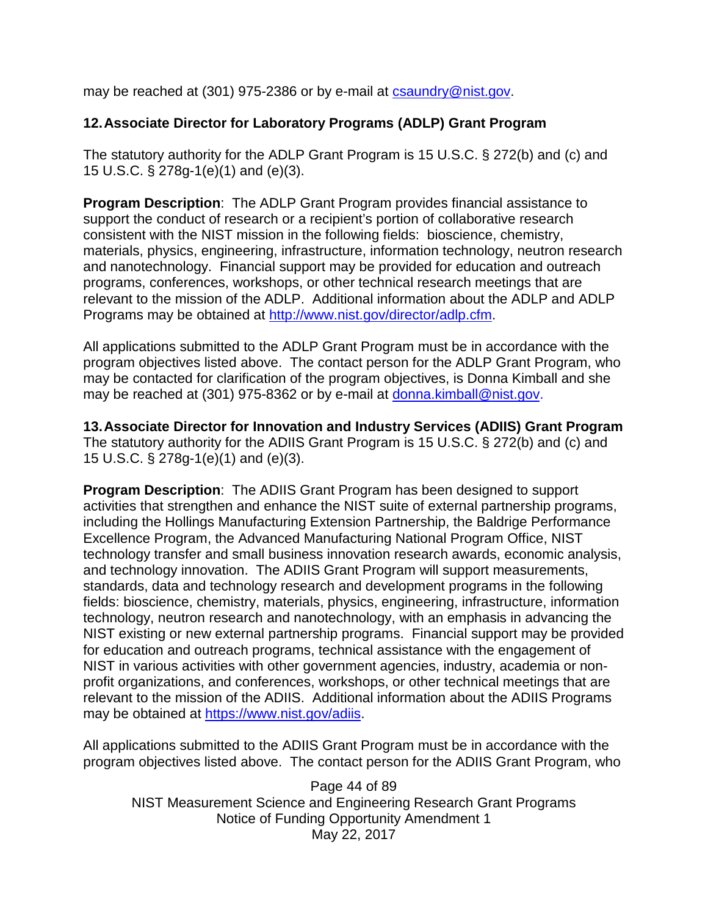may be reached at (301) 975-2386 or by e-mail at [csaundry@nist.gov.](mailto:csaundry@nist.gov)

## **12.Associate Director for Laboratory Programs (ADLP) Grant Program**

The statutory authority for the ADLP Grant Program is 15 U.S.C. § 272(b) and (c) and 15 U.S.C. § 278g-1(e)(1) and (e)(3).

**Program Description**: The ADLP Grant Program provides financial assistance to support the conduct of research or a recipient's portion of collaborative research consistent with the NIST mission in the following fields: bioscience, chemistry, materials, physics, engineering, infrastructure, information technology, neutron research and nanotechnology. Financial support may be provided for education and outreach programs, conferences, workshops, or other technical research meetings that are relevant to the mission of the ADLP. Additional information about the ADLP and ADLP Programs may be obtained at [http://www.nist.gov/director/adlp.cfm.](http://www.nist.gov/director/adlp.cfm)

All applications submitted to the ADLP Grant Program must be in accordance with the program objectives listed above. The contact person for the ADLP Grant Program, who may be contacted for clarification of the program objectives, is Donna Kimball and she may be reached at (301) 975-8362 or by e-mail at [donna.kimball@nist.gov.](mailto:donna.kimball@nist.gov)

**13.Associate Director for Innovation and Industry Services (ADIIS) Grant Program** The statutory authority for the ADIIS Grant Program is 15 U.S.C. § 272(b) and (c) and 15 U.S.C. § 278g-1(e)(1) and (e)(3).

**Program Description**: The ADIIS Grant Program has been designed to support activities that strengthen and enhance the NIST suite of external partnership programs, including the Hollings Manufacturing Extension Partnership, the Baldrige Performance Excellence Program, the Advanced Manufacturing National Program Office, NIST technology transfer and small business innovation research awards, economic analysis, and technology innovation. The ADIIS Grant Program will support measurements, standards, data and technology research and development programs in the following fields: bioscience, chemistry, materials, physics, engineering, infrastructure, information technology, neutron research and nanotechnology, with an emphasis in advancing the NIST existing or new external partnership programs. Financial support may be provided for education and outreach programs, technical assistance with the engagement of NIST in various activities with other government agencies, industry, academia or nonprofit organizations, and conferences, workshops, or other technical meetings that are relevant to the mission of the ADIIS. Additional information about the ADIIS Programs may be obtained at [https://www.nist.gov/adiis.](https://www.nist.gov/adiis)

All applications submitted to the ADIIS Grant Program must be in accordance with the program objectives listed above. The contact person for the ADIIS Grant Program, who

Page 44 of 89 NIST Measurement Science and Engineering Research Grant Programs Notice of Funding Opportunity Amendment 1 May 22, 2017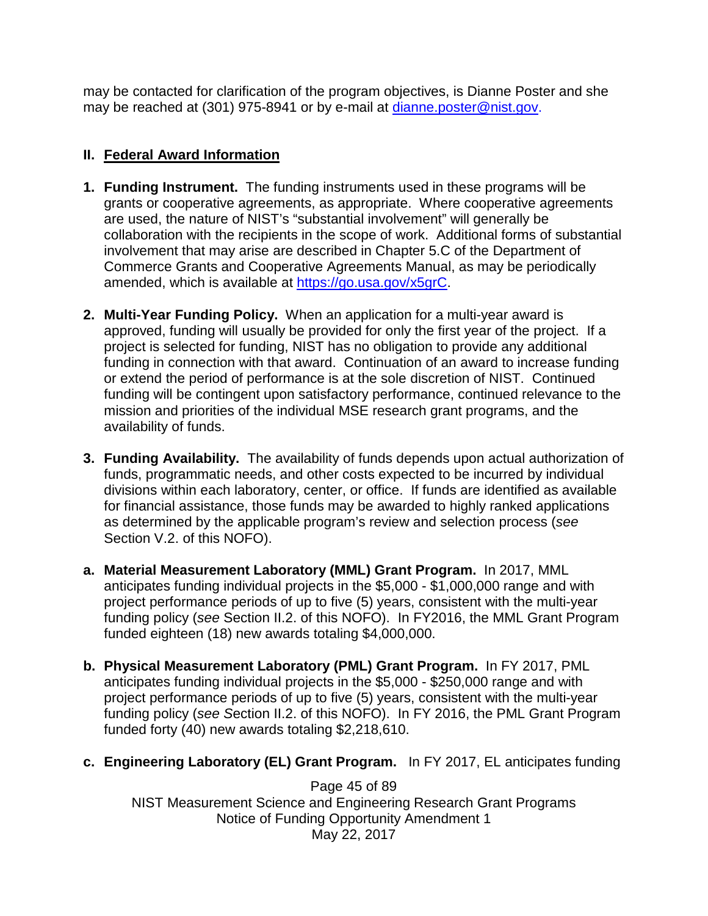may be contacted for clarification of the program objectives, is Dianne Poster and she may be reached at (301) 975-8941 or by e-mail at [dianne.poster@nist.gov.](mailto:dianne.poster@nist.gov)

# **II. Federal Award Information**

- **1. Funding Instrument.** The funding instruments used in these programs will be grants or cooperative agreements, as appropriate. Where cooperative agreements are used, the nature of NIST's "substantial involvement" will generally be collaboration with the recipients in the scope of work. Additional forms of substantial involvement that may arise are described in Chapter 5.C of the Department of Commerce Grants and Cooperative Agreements Manual, as may be periodically amended, which is available at [https://go.usa.gov/x5grC.](https://go.usa.gov/x5grC)
- **2. Multi-Year Funding Policy.** When an application for a multi-year award is approved, funding will usually be provided for only the first year of the project. If a project is selected for funding, NIST has no obligation to provide any additional funding in connection with that award. Continuation of an award to increase funding or extend the period of performance is at the sole discretion of NIST. Continued funding will be contingent upon satisfactory performance, continued relevance to the mission and priorities of the individual MSE research grant programs, and the availability of funds.
- **3. Funding Availability.** The availability of funds depends upon actual authorization of funds, programmatic needs, and other costs expected to be incurred by individual divisions within each laboratory, center, or office. If funds are identified as available for financial assistance, those funds may be awarded to highly ranked applications as determined by the applicable program's review and selection process (*see* Section V.2. of this NOFO).
- **a. Material Measurement Laboratory (MML) Grant Program.** In 2017, MML anticipates funding individual projects in the \$5,000 - \$1,000,000 range and with project performance periods of up to five (5) years, consistent with the multi-year funding policy (*see* Section II.2. of this NOFO). In FY2016, the MML Grant Program funded eighteen (18) new awards totaling \$4,000,000.
- **b. Physical Measurement Laboratory (PML) Grant Program.** In FY 2017, PML anticipates funding individual projects in the \$5,000 - \$250,000 range and with project performance periods of up to five (5) years, consistent with the multi-year funding policy (*see S*ection II.2. of this NOFO). In FY 2016, the PML Grant Program funded forty (40) new awards totaling \$2,218,610.
- **c. Engineering Laboratory (EL) Grant Program.** In FY 2017, EL anticipates funding

Page 45 of 89 NIST Measurement Science and Engineering Research Grant Programs Notice of Funding Opportunity Amendment 1 May 22, 2017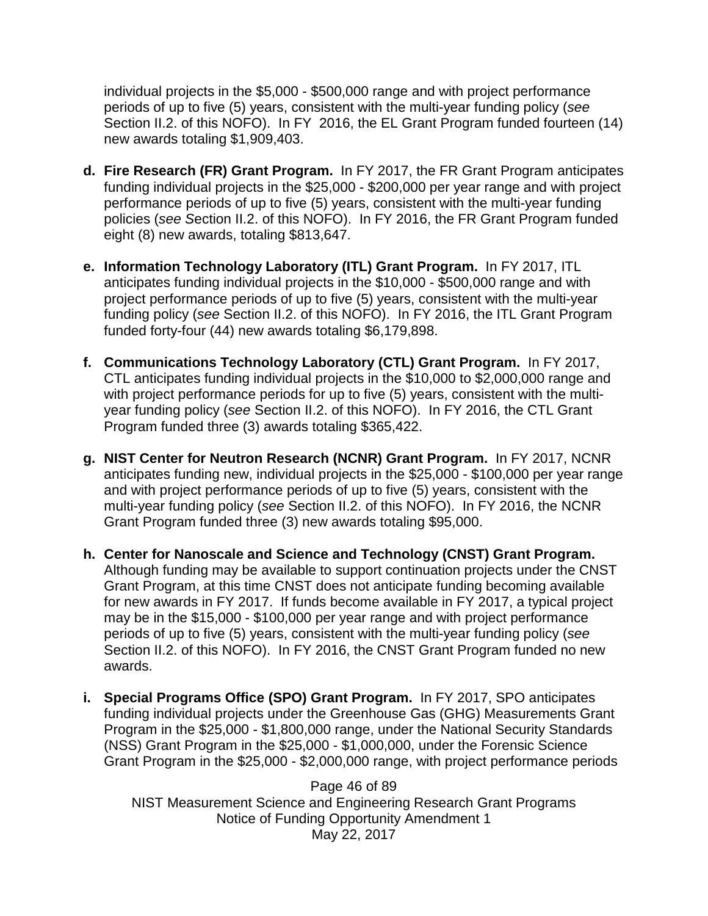individual projects in the \$5,000 - \$500,000 range and with project performance periods of up to five (5) years, consistent with the multi-year funding policy (*see* Section II.2. of this NOFO). In FY 2016, the EL Grant Program funded fourteen (14) new awards totaling \$1,909,403.

- **d. Fire Research (FR) Grant Program.** In FY 2017, the FR Grant Program anticipates funding individual projects in the \$25,000 - \$200,000 per year range and with project performance periods of up to five (5) years, consistent with the multi-year funding policies (*see S*ection II.2. of this NOFO). In FY 2016, the FR Grant Program funded eight (8) new awards, totaling \$813,647.
- **e. Information Technology Laboratory (ITL) Grant Program.** In FY 2017, ITL anticipates funding individual projects in the \$10,000 - \$500,000 range and with project performance periods of up to five (5) years, consistent with the multi-year funding policy (*see* Section II.2. of this NOFO). In FY 2016, the ITL Grant Program funded forty-four (44) new awards totaling \$6,179,898.
- **f. Communications Technology Laboratory (CTL) Grant Program.** In FY 2017, CTL anticipates funding individual projects in the \$10,000 to \$2,000,000 range and with project performance periods for up to five (5) years, consistent with the multiyear funding policy (*see* Section II.2. of this NOFO). In FY 2016, the CTL Grant Program funded three (3) awards totaling \$365,422.
- **g. NIST Center for Neutron Research (NCNR) Grant Program.** In FY 2017, NCNR anticipates funding new, individual projects in the \$25,000 - \$100,000 per year range and with project performance periods of up to five (5) years, consistent with the multi-year funding policy (*see* Section II.2. of this NOFO). In FY 2016, the NCNR Grant Program funded three (3) new awards totaling \$95,000.
- **h. Center for Nanoscale and Science and Technology (CNST) Grant Program.**  Although funding may be available to support continuation projects under the CNST Grant Program, at this time CNST does not anticipate funding becoming available for new awards in FY 2017. If funds become available in FY 2017, a typical project may be in the \$15,000 - \$100,000 per year range and with project performance periods of up to five (5) years, consistent with the multi-year funding policy (*see* Section II.2. of this NOFO). In FY 2016, the CNST Grant Program funded no new awards.
- **i. Special Programs Office (SPO) Grant Program.** In FY 2017, SPO anticipates funding individual projects under the Greenhouse Gas (GHG) Measurements Grant Program in the \$25,000 - \$1,800,000 range, under the National Security Standards (NSS) Grant Program in the \$25,000 - \$1,000,000, under the Forensic Science Grant Program in the \$25,000 - \$2,000,000 range, with project performance periods

Page 46 of 89 NIST Measurement Science and Engineering Research Grant Programs Notice of Funding Opportunity Amendment 1 May 22, 2017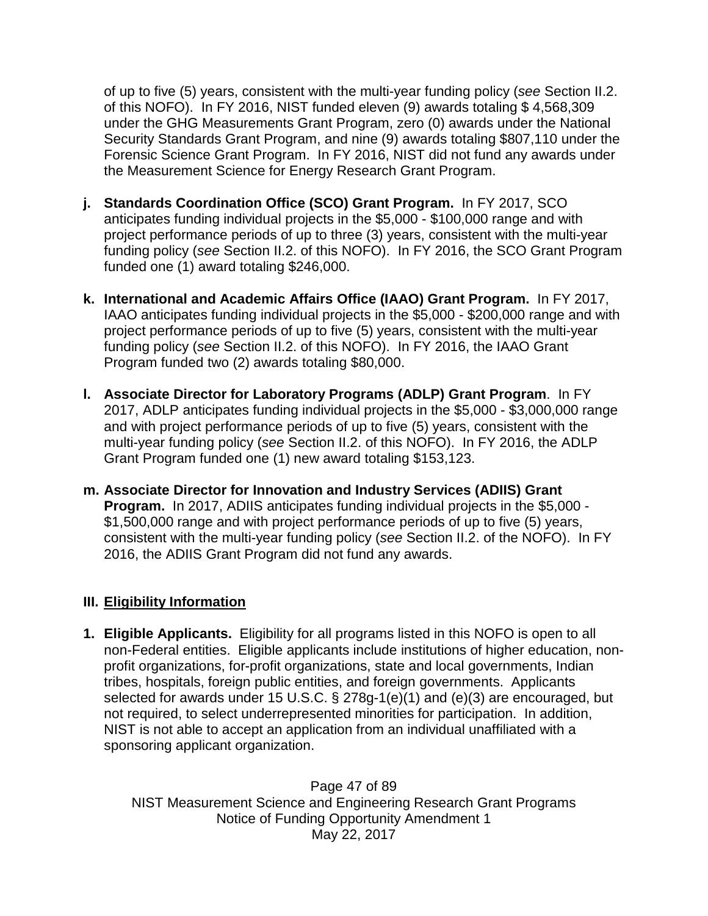of up to five (5) years, consistent with the multi-year funding policy (*see* Section II.2. of this NOFO). In FY 2016, NIST funded eleven (9) awards totaling \$ 4,568,309 under the GHG Measurements Grant Program, zero (0) awards under the National Security Standards Grant Program, and nine (9) awards totaling \$807,110 under the Forensic Science Grant Program. In FY 2016, NIST did not fund any awards under the Measurement Science for Energy Research Grant Program.

- **j. Standards Coordination Office (SCO) Grant Program.** In FY 2017, SCO anticipates funding individual projects in the \$5,000 - \$100,000 range and with project performance periods of up to three (3) years, consistent with the multi-year funding policy (*see* Section II.2. of this NOFO). In FY 2016, the SCO Grant Program funded one (1) award totaling \$246,000.
- **k. International and Academic Affairs Office (IAAO) Grant Program.** In FY 2017, IAAO anticipates funding individual projects in the \$5,000 - \$200,000 range and with project performance periods of up to five (5) years, consistent with the multi-year funding policy (*see* Section II.2. of this NOFO). In FY 2016, the IAAO Grant Program funded two (2) awards totaling \$80,000.
- **l. Associate Director for Laboratory Programs (ADLP) Grant Program**. In FY 2017, ADLP anticipates funding individual projects in the \$5,000 - \$3,000,000 range and with project performance periods of up to five (5) years, consistent with the multi-year funding policy (*see* Section II.2. of this NOFO). In FY 2016, the ADLP Grant Program funded one (1) new award totaling \$153,123.
- **m. Associate Director for Innovation and Industry Services (ADIIS) Grant Program.** In 2017, ADIIS anticipates funding individual projects in the \$5,000 - \$1,500,000 range and with project performance periods of up to five (5) years, consistent with the multi-year funding policy (*see* Section II.2. of the NOFO). In FY 2016, the ADIIS Grant Program did not fund any awards.

#### **III. Eligibility Information**

**1. Eligible Applicants.** Eligibility for all programs listed in this NOFO is open to all non-Federal entities. Eligible applicants include institutions of higher education, nonprofit organizations, for-profit organizations, state and local governments, Indian tribes, hospitals, foreign public entities, and foreign governments. Applicants selected for awards under 15 U.S.C. § 278g-1(e)(1) and (e)(3) are encouraged, but not required, to select underrepresented minorities for participation. In addition, NIST is not able to accept an application from an individual unaffiliated with a sponsoring applicant organization.

Page 47 of 89 NIST Measurement Science and Engineering Research Grant Programs Notice of Funding Opportunity Amendment 1 May 22, 2017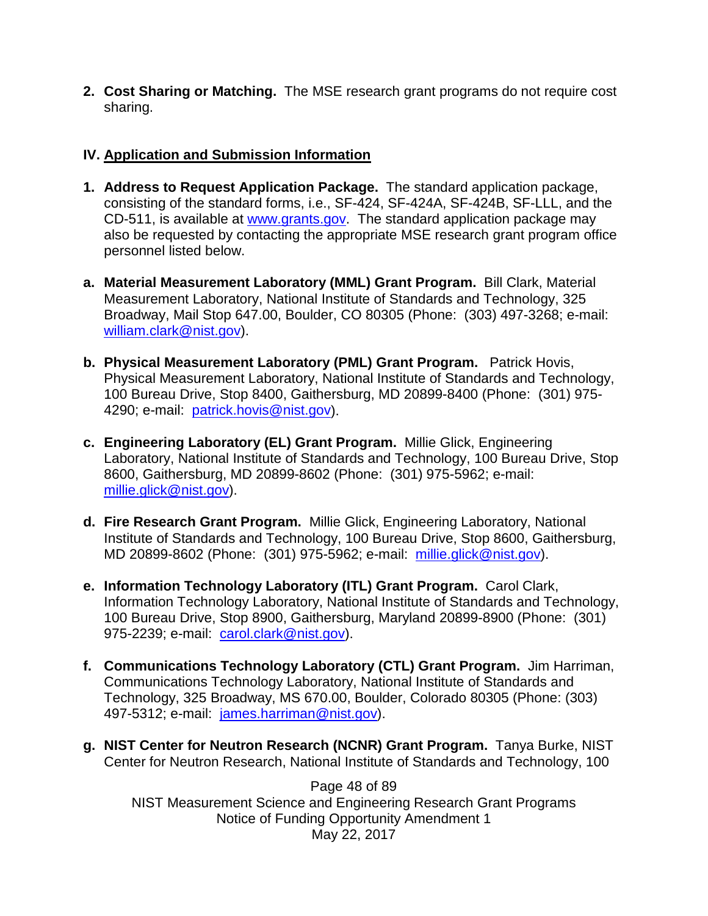**2. Cost Sharing or Matching.** The MSE research grant programs do not require cost sharing.

## **IV. Application and Submission Information**

- **1. Address to Request Application Package.** The standard application package, consisting of the standard forms, i.e., SF-424, SF-424A, SF-424B, SF-LLL, and the CD-511, is available at [www.grants.gov.](http://www.grants.gov/) The standard application package may also be requested by contacting the appropriate MSE research grant program office personnel listed below.
- **a. Material Measurement Laboratory (MML) Grant Program.** Bill Clark, Material Measurement Laboratory, National Institute of Standards and Technology, 325 Broadway, Mail Stop 647.00, Boulder, CO 80305 (Phone: (303) 497-3268; e-mail: [william.clark@nist.gov\)](mailto:william.clark@nist.gov).
- **b. Physical Measurement Laboratory (PML) Grant Program.** Patrick Hovis, Physical Measurement Laboratory, National Institute of Standards and Technology, 100 Bureau Drive, Stop 8400, Gaithersburg, MD 20899-8400 (Phone: (301) 975- 4290; e-mail: [patrick.hovis@nist.gov\)](mailto:patrick.hovis@nist.gov).
- **c. Engineering Laboratory (EL) Grant Program.** Millie Glick, Engineering Laboratory, National Institute of Standards and Technology, 100 Bureau Drive, Stop 8600, Gaithersburg, MD 20899-8602 (Phone: (301) 975-5962; e-mail: [millie.glick@nist.gov\)](mailto:millie.glick@nist.gov).
- **d. Fire Research Grant Program.** Millie Glick, Engineering Laboratory, National Institute of Standards and Technology, 100 Bureau Drive, Stop 8600, Gaithersburg, MD 20899-8602 (Phone: (301) 975-5962; e-mail: [millie.glick@nist.gov\)](mailto:millie.glick@nist.gov).
- **e. Information Technology Laboratory (ITL) Grant Program.** Carol Clark, Information Technology Laboratory, National Institute of Standards and Technology, 100 Bureau Drive, Stop 8900, Gaithersburg, Maryland 20899-8900 (Phone: (301) 975-2239; e-mail: [carol.clark@nist.gov\)](mailto:carol.clark@nist.gov).
- **f. Communications Technology Laboratory (CTL) Grant Program.** Jim Harriman, Communications Technology Laboratory, National Institute of Standards and Technology, 325 Broadway, MS 670.00, Boulder, Colorado 80305 (Phone: (303) 497-5312; e-mail: [james.harriman@nist.gov\)](mailto:james.harriman@nist.gov).
- **g. NIST Center for Neutron Research (NCNR) Grant Program.** Tanya Burke, NIST Center for Neutron Research, National Institute of Standards and Technology, 100

Page 48 of 89 NIST Measurement Science and Engineering Research Grant Programs Notice of Funding Opportunity Amendment 1 May 22, 2017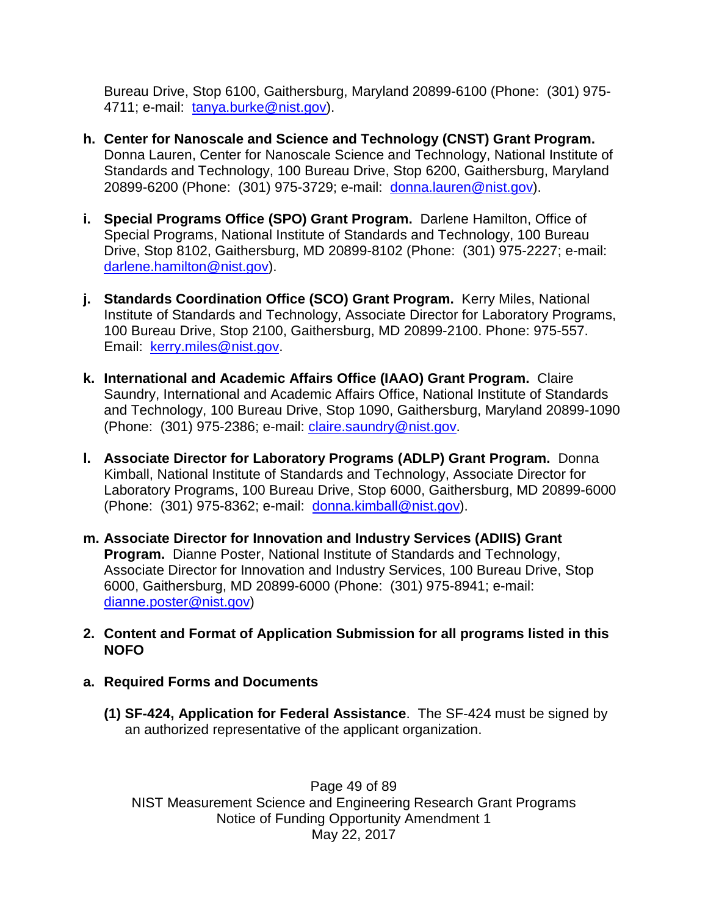Bureau Drive, Stop 6100, Gaithersburg, Maryland 20899-6100 (Phone: (301) 975- 4711; e-mail: [tanya.burke@nist.gov\)](mailto:tanya.burke@nist.gov).

- **h. Center for Nanoscale and Science and Technology (CNST) Grant Program.**  Donna Lauren, Center for Nanoscale Science and Technology, National Institute of Standards and Technology, 100 Bureau Drive, Stop 6200, Gaithersburg, Maryland 20899-6200 (Phone: (301) 975-3729; e-mail: [donna.lauren@nist.gov\)](mailto:donna.lauren@nist.gov).
- **i. Special Programs Office (SPO) Grant Program.** Darlene Hamilton, Office of Special Programs, National Institute of Standards and Technology, 100 Bureau Drive, Stop 8102, Gaithersburg, MD 20899-8102 (Phone: (301) 975-2227; e-mail: [darlene.hamilton@nist.gov\)](mailto:darlene.hamilton@nist.gov).
- **j. Standards Coordination Office (SCO) Grant Program.** Kerry Miles, National Institute of Standards and Technology, Associate Director for Laboratory Programs, 100 Bureau Drive, Stop 2100, Gaithersburg, MD 20899-2100. Phone: 975-557. Email: [kerry.miles@nist.gov.](mailto:kerry.miles@nist.gov)
- **k. International and Academic Affairs Office (IAAO) Grant Program.** Claire Saundry, International and Academic Affairs Office, National Institute of Standards and Technology, 100 Bureau Drive, Stop 1090, Gaithersburg, Maryland 20899-1090 (Phone: (301) 975-2386; e-mail: [claire.saundry@nist.gov.](mailto:claire.saundry@nist.gov)
- **l. Associate Director for Laboratory Programs (ADLP) Grant Program.** Donna Kimball, National Institute of Standards and Technology, Associate Director for Laboratory Programs, 100 Bureau Drive, Stop 6000, Gaithersburg, MD 20899-6000 (Phone: (301) 975-8362; e-mail: [donna.kimball@nist.gov\)](mailto:donna.kimball@nist.gov).
- **m. Associate Director for Innovation and Industry Services (ADIIS) Grant Program.** Dianne Poster, National Institute of Standards and Technology, Associate Director for Innovation and Industry Services, 100 Bureau Drive, Stop 6000, Gaithersburg, MD 20899-6000 (Phone: (301) 975-8941; e-mail: [dianne.poster@nist.gov\)](mailto:dianne.poster@nist.gov)
- **2. Content and Format of Application Submission for all programs listed in this NOFO**
- **a. Required Forms and Documents**
	- **(1) SF-424, Application for Federal Assistance**. The SF-424 must be signed by an authorized representative of the applicant organization.

Page 49 of 89 NIST Measurement Science and Engineering Research Grant Programs Notice of Funding Opportunity Amendment 1 May 22, 2017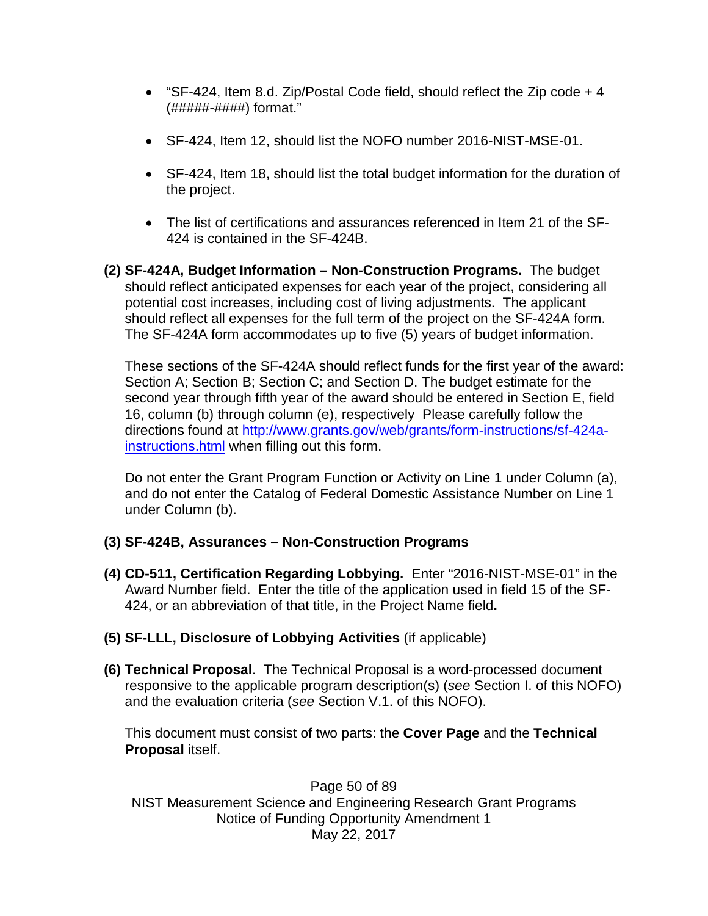- "SF-424, Item 8.d. Zip/Postal Code field, should reflect the Zip code  $+4$ (#####-####) format."
- SF-424, Item 12, should list the NOFO number 2016-NIST-MSE-01.
- SF-424, Item 18, should list the total budget information for the duration of the project.
- The list of certifications and assurances referenced in Item 21 of the SF-424 is contained in the SF-424B.
- **(2) SF-424A, Budget Information – Non-Construction Programs.** The budget should reflect anticipated expenses for each year of the project, considering all potential cost increases, including cost of living adjustments. The applicant should reflect all expenses for the full term of the project on the SF-424A form. The SF-424A form accommodates up to five (5) years of budget information.

These sections of the SF-424A should reflect funds for the first year of the award: Section A; Section B; Section C; and Section D. The budget estimate for the second year through fifth year of the award should be entered in Section E, field 16, column (b) through column (e), respectively Please carefully follow the directions found at [http://www.grants.gov/web/grants/form-instructions/sf-424a](http://www.grants.gov/web/grants/form-instructions/sf-424a-instructions.html)[instructions.html](http://www.grants.gov/web/grants/form-instructions/sf-424a-instructions.html) when filling out this form.

Do not enter the Grant Program Function or Activity on Line 1 under Column (a), and do not enter the Catalog of Federal Domestic Assistance Number on Line 1 under Column (b).

### **(3) SF-424B, Assurances – Non-Construction Programs**

- **(4) CD-511, Certification Regarding Lobbying.** Enter "2016-NIST-MSE-01" in the Award Number field. Enter the title of the application used in field 15 of the SF-424, or an abbreviation of that title, in the Project Name field**.**
- **(5) SF-LLL, Disclosure of Lobbying Activities** (if applicable)
- **(6) Technical Proposal**. The Technical Proposal is a word-processed document responsive to the applicable program description(s) (*see* Section I. of this NOFO) and the evaluation criteria (*see* Section V.1. of this NOFO).

This document must consist of two parts: the **Cover Page** and the **Technical Proposal** itself.

Page 50 of 89 NIST Measurement Science and Engineering Research Grant Programs Notice of Funding Opportunity Amendment 1 May 22, 2017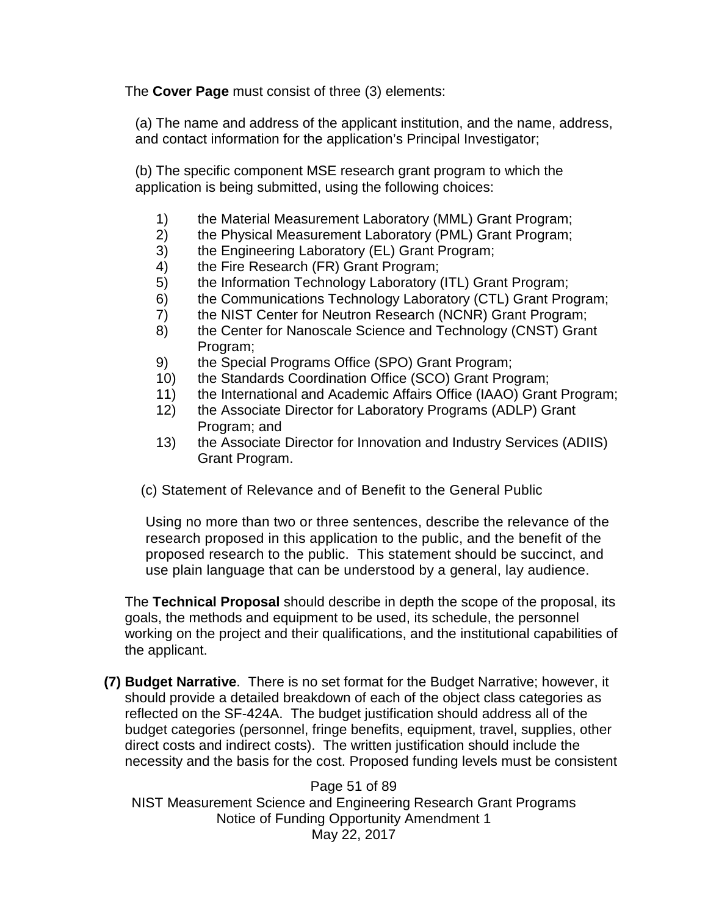The **Cover Page** must consist of three (3) elements:

(a) The name and address of the applicant institution, and the name, address, and contact information for the application's Principal Investigator;

(b) The specific component MSE research grant program to which the application is being submitted, using the following choices:

- 1) the Material Measurement Laboratory (MML) Grant Program;
- 2) the Physical Measurement Laboratory (PML) Grant Program;
- 3) the Engineering Laboratory (EL) Grant Program;
- 4) the Fire Research (FR) Grant Program;
- 5) the Information Technology Laboratory (ITL) Grant Program;
- 6) the Communications Technology Laboratory (CTL) Grant Program;
- 7) the NIST Center for Neutron Research (NCNR) Grant Program;
- 8) the Center for Nanoscale Science and Technology (CNST) Grant Program;
- 9) the Special Programs Office (SPO) Grant Program;
- 10) the Standards Coordination Office (SCO) Grant Program;
- 11) the International and Academic Affairs Office (IAAO) Grant Program;
- 12) the Associate Director for Laboratory Programs (ADLP) Grant Program; and
- 13) the Associate Director for Innovation and Industry Services (ADIIS) Grant Program.

(c) Statement of Relevance and of Benefit to the General Public

Using no more than two or three sentences, describe the relevance of the research proposed in this application to the public, and the benefit of the proposed research to the public. This statement should be succinct, and use plain language that can be understood by a general, lay audience.

The **Technical Proposal** should describe in depth the scope of the proposal, its goals, the methods and equipment to be used, its schedule, the personnel working on the project and their qualifications, and the institutional capabilities of the applicant.

**(7) Budget Narrative**. There is no set format for the Budget Narrative; however, it should provide a detailed breakdown of each of the object class categories as reflected on the SF-424A. The budget justification should address all of the budget categories (personnel, fringe benefits, equipment, travel, supplies, other direct costs and indirect costs). The written justification should include the necessity and the basis for the cost. Proposed funding levels must be consistent

Page 51 of 89 NIST Measurement Science and Engineering Research Grant Programs Notice of Funding Opportunity Amendment 1 May 22, 2017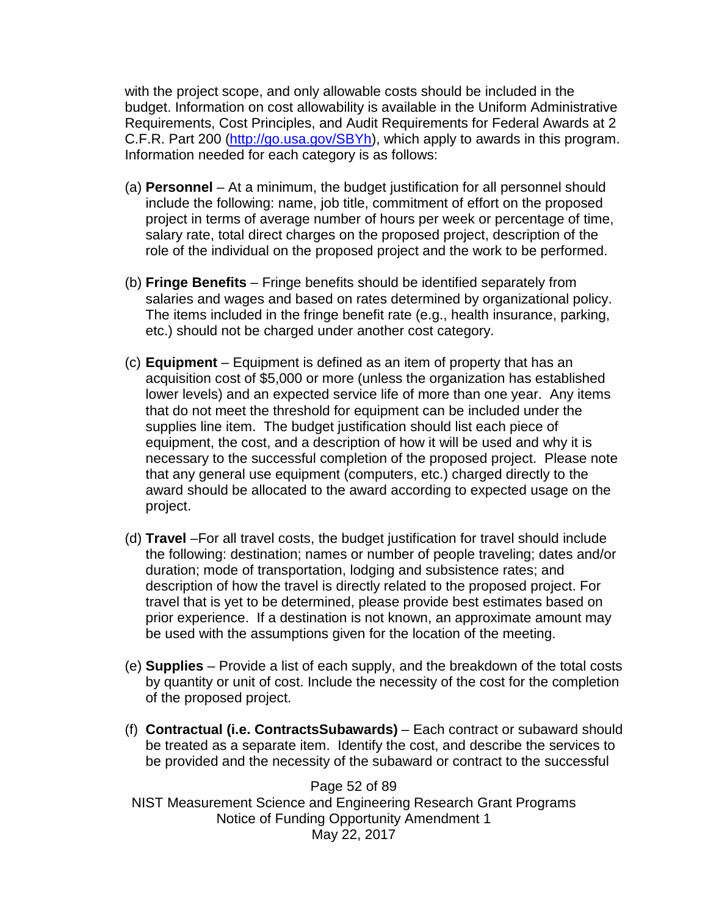with the project scope, and only allowable costs should be included in the budget. Information on cost allowability is available in the Uniform Administrative Requirements, Cost Principles, and Audit Requirements for Federal Awards at 2 C.F.R. Part 200 [\(http://go.usa.gov/SBYh\)](http://go.usa.gov/SBYh), which apply to awards in this program. Information needed for each category is as follows:

- (a) **Personnel** At a minimum, the budget justification for all personnel should include the following: name, job title, commitment of effort on the proposed project in terms of average number of hours per week or percentage of time, salary rate, total direct charges on the proposed project, description of the role of the individual on the proposed project and the work to be performed.
- (b) **Fringe Benefits** Fringe benefits should be identified separately from salaries and wages and based on rates determined by organizational policy. The items included in the fringe benefit rate (e.g., health insurance, parking, etc.) should not be charged under another cost category.
- (c) **Equipment**  Equipment is defined as an item of property that has an acquisition cost of \$5,000 or more (unless the organization has established lower levels) and an expected service life of more than one year. Any items that do not meet the threshold for equipment can be included under the supplies line item. The budget justification should list each piece of equipment, the cost, and a description of how it will be used and why it is necessary to the successful completion of the proposed project. Please note that any general use equipment (computers, etc.) charged directly to the award should be allocated to the award according to expected usage on the project.
- (d) **Travel** –For all travel costs, the budget justification for travel should include the following: destination; names or number of people traveling; dates and/or duration; mode of transportation, lodging and subsistence rates; and description of how the travel is directly related to the proposed project. For travel that is yet to be determined, please provide best estimates based on prior experience. If a destination is not known, an approximate amount may be used with the assumptions given for the location of the meeting.
- (e) **Supplies** Provide a list of each supply, and the breakdown of the total costs by quantity or unit of cost. Include the necessity of the cost for the completion of the proposed project.
- (f) **Contractual (i.e. ContractsSubawards)** Each contract or subaward should be treated as a separate item. Identify the cost, and describe the services to be provided and the necessity of the subaward or contract to the successful

Page 52 of 89 NIST Measurement Science and Engineering Research Grant Programs Notice of Funding Opportunity Amendment 1 May 22, 2017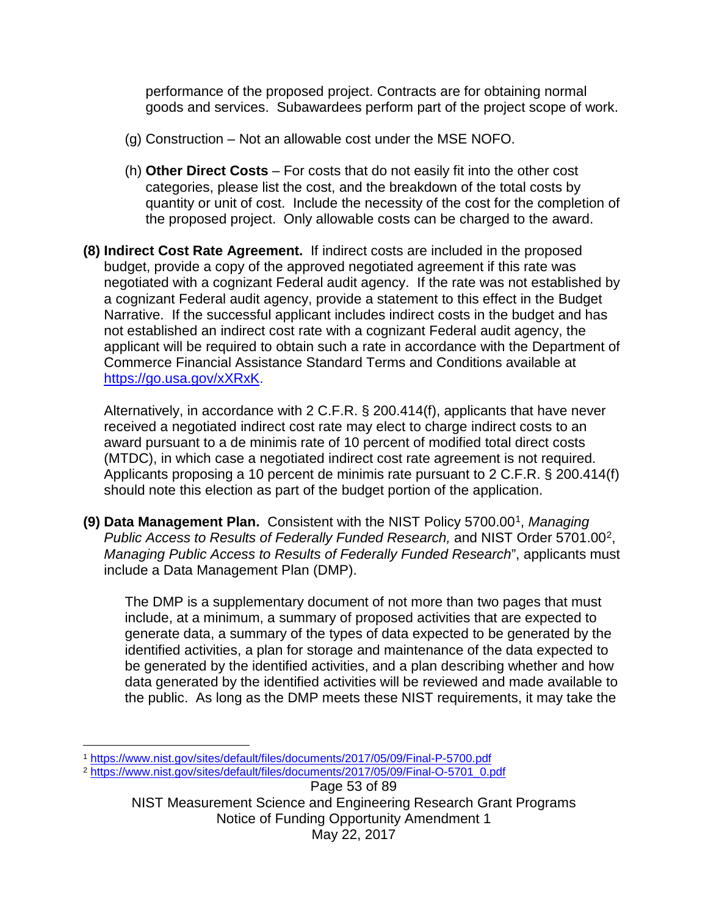performance of the proposed project. Contracts are for obtaining normal goods and services. Subawardees perform part of the project scope of work.

- (g) Construction Not an allowable cost under the MSE NOFO.
- (h) **Other Direct Costs** For costs that do not easily fit into the other cost categories, please list the cost, and the breakdown of the total costs by quantity or unit of cost. Include the necessity of the cost for the completion of the proposed project. Only allowable costs can be charged to the award.
- **(8) Indirect Cost Rate Agreement.** If indirect costs are included in the proposed budget, provide a copy of the approved negotiated agreement if this rate was negotiated with a cognizant Federal audit agency. If the rate was not established by a cognizant Federal audit agency, provide a statement to this effect in the Budget Narrative. If the successful applicant includes indirect costs in the budget and has not established an indirect cost rate with a cognizant Federal audit agency, the applicant will be required to obtain such a rate in accordance with the Department of Commerce Financial Assistance Standard Terms and Conditions available at [https://go.usa.gov/xXRxK.](https://go.usa.gov/xXRxK)

Alternatively, in accordance with 2 C.F.R. § 200.414(f), applicants that have never received a negotiated indirect cost rate may elect to charge indirect costs to an award pursuant to a de minimis rate of 10 percent of modified total direct costs (MTDC), in which case a negotiated indirect cost rate agreement is not required. Applicants proposing a 10 percent de minimis rate pursuant to 2 C.F.R. § 200.414(f) should note this election as part of the budget portion of the application.

**(9) Data Management Plan.** Consistent with the NIST Policy 5700.00[1](#page-52-0), *Managing Public Access to Results of Federally Funded Research,* and NIST Order 5701.00[2](#page-52-1), *Managing Public Access to Results of Federally Funded Research*", applicants must include a Data Management Plan (DMP).

The DMP is a supplementary document of not more than two pages that must include, at a minimum, a summary of proposed activities that are expected to generate data, a summary of the types of data expected to be generated by the identified activities, a plan for storage and maintenance of the data expected to be generated by the identified activities, and a plan describing whether and how data generated by the identified activities will be reviewed and made available to the public. As long as the DMP meets these NIST requirements, it may take the

<span id="page-52-0"></span> $\overline{a}$ <sup>1</sup> <https://www.nist.gov/sites/default/files/documents/2017/05/09/Final-P-5700.pdf>2 [https://www.nist.gov/sites/default/files/documents/2017/05/09/Final-O-5701\\_0.pdf](https://www.nist.gov/sites/default/files/documents/2017/05/09/Final-O-5701_0.pdf)

<span id="page-52-1"></span>

Page 53 of 89 NIST Measurement Science and Engineering Research Grant Programs Notice of Funding Opportunity Amendment 1 May 22, 2017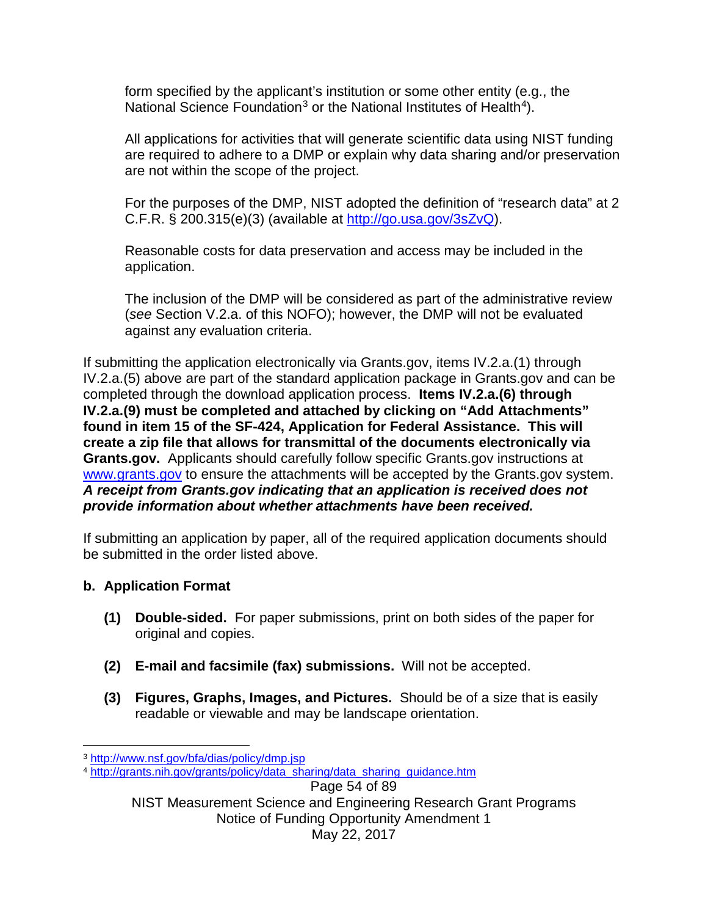form specified by the applicant's institution or some other entity (e.g., the National Science Foundation<sup>[3](#page-53-0)</sup> or the National Institutes of Health<sup>4</sup>).

All applications for activities that will generate scientific data using NIST funding are required to adhere to a DMP or explain why data sharing and/or preservation are not within the scope of the project.

For the purposes of the DMP, NIST adopted the definition of "research data" at 2 C.F.R. § 200.315(e)(3) (available at [http://go.usa.gov/3sZvQ\)](http://go.usa.gov/3sZvQ).

Reasonable costs for data preservation and access may be included in the application.

The inclusion of the DMP will be considered as part of the administrative review (*see* Section V.2.a. of this NOFO); however, the DMP will not be evaluated against any evaluation criteria.

If submitting the application electronically via Grants.gov, items IV.2.a.(1) through IV.2.a.(5) above are part of the standard application package in Grants.gov and can be completed through the download application process. **Items IV.2.a.(6) through IV.2.a.(9) must be completed and attached by clicking on "Add Attachments" found in item 15 of the SF-424, Application for Federal Assistance. This will create a zip file that allows for transmittal of the documents electronically via Grants.gov.** Applicants should carefully follow specific Grants.gov instructions at [www.grants.gov](http://www.grants.gov/) to ensure the attachments will be accepted by the Grants.gov system. *A receipt from Grants.gov indicating that an application is received does not provide information about whether attachments have been received.*

If submitting an application by paper, all of the required application documents should be submitted in the order listed above.

# **b. Application Format**

- **(1) Double-sided.** For paper submissions, print on both sides of the paper for original and copies.
- **(2) E-mail and facsimile (fax) submissions.** Will not be accepted.
- **(3) Figures, Graphs, Images, and Pictures.** Should be of a size that is easily readable or viewable and may be landscape orientation.

Page 54 of 89

<span id="page-53-0"></span> $\overline{a}$ <sup>3</sup> <http://www.nsf.gov/bfa/dias/policy/dmp.jsp>

<span id="page-53-1"></span><sup>4</sup> [http://grants.nih.gov/grants/policy/data\\_sharing/data\\_sharing\\_guidance.htm](http://grants.nih.gov/grants/policy/data_sharing/data_sharing_guidance.htm) 

NIST Measurement Science and Engineering Research Grant Programs Notice of Funding Opportunity Amendment 1 May 22, 2017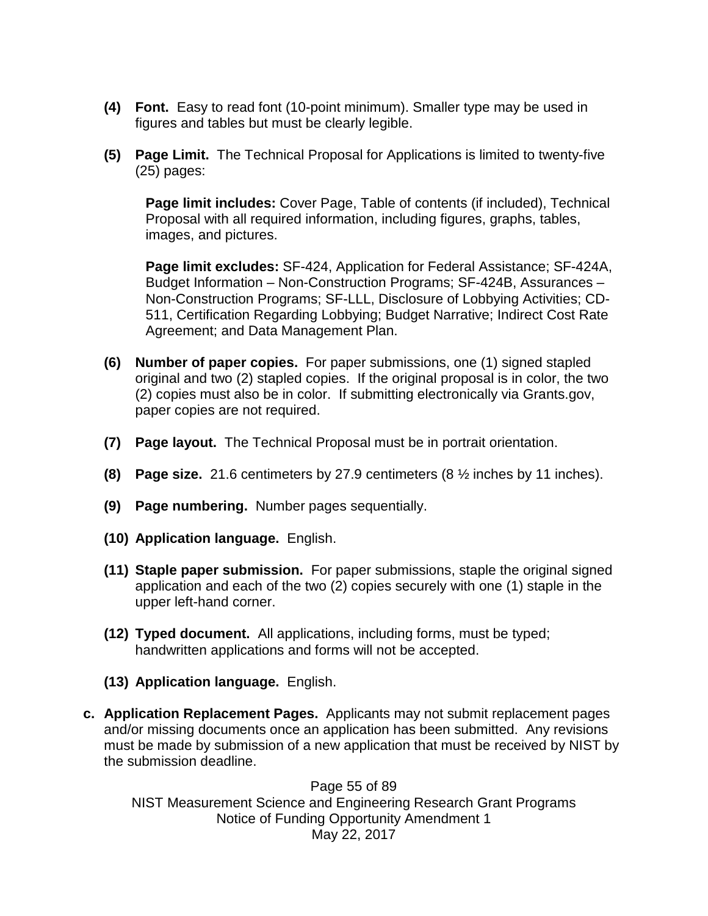- **(4) Font.** Easy to read font (10-point minimum). Smaller type may be used in figures and tables but must be clearly legible.
- **(5) Page Limit.** The Technical Proposal for Applications is limited to twenty-five (25) pages:

**Page limit includes:** Cover Page, Table of contents (if included), Technical Proposal with all required information, including figures, graphs, tables, images, and pictures.

**Page limit excludes:** SF-424, Application for Federal Assistance; SF-424A, Budget Information – Non-Construction Programs; SF-424B, Assurances – Non-Construction Programs; SF-LLL, Disclosure of Lobbying Activities; CD-511, Certification Regarding Lobbying; Budget Narrative; Indirect Cost Rate Agreement; and Data Management Plan.

- **(6) Number of paper copies.** For paper submissions, one (1) signed stapled original and two (2) stapled copies. If the original proposal is in color, the two (2) copies must also be in color. If submitting electronically via Grants.gov, paper copies are not required.
- **(7) Page layout.** The Technical Proposal must be in portrait orientation.
- **(8) Page size.** 21.6 centimeters by 27.9 centimeters (8 ½ inches by 11 inches).
- **(9) Page numbering.** Number pages sequentially.
- **(10) Application language.** English.
- **(11) Staple paper submission.** For paper submissions, staple the original signed application and each of the two (2) copies securely with one (1) staple in the upper left-hand corner.
- **(12) Typed document.** All applications, including forms, must be typed; handwritten applications and forms will not be accepted.
- **(13) Application language.** English.
- **c. Application Replacement Pages.** Applicants may not submit replacement pages and/or missing documents once an application has been submitted. Any revisions must be made by submission of a new application that must be received by NIST by the submission deadline.

Page 55 of 89 NIST Measurement Science and Engineering Research Grant Programs Notice of Funding Opportunity Amendment 1 May 22, 2017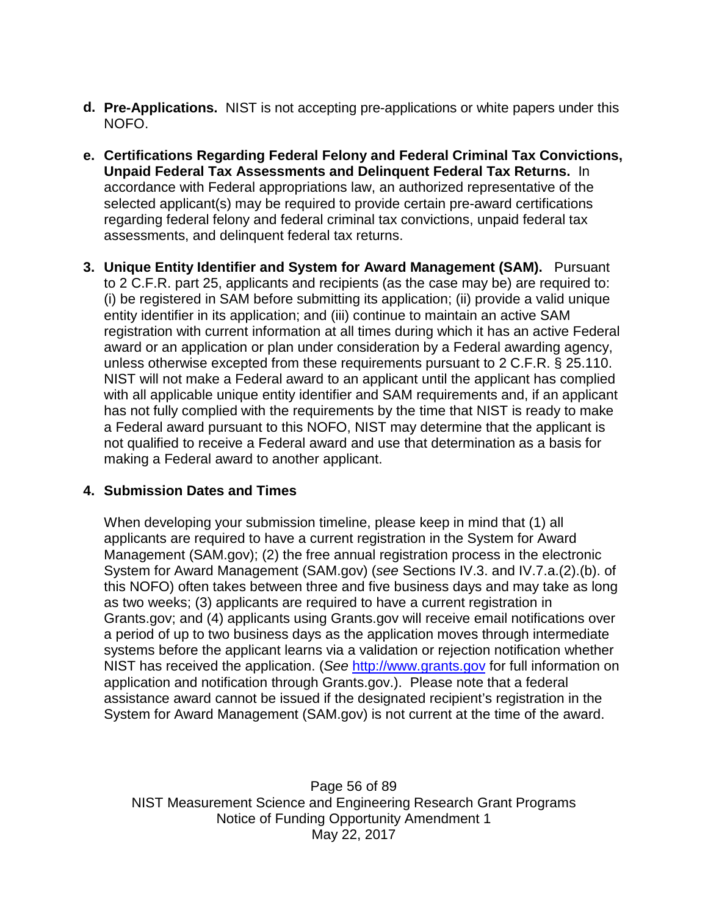- **d. Pre-Applications.** NIST is not accepting pre-applications or white papers under this NOFO.
- **e. Certifications Regarding Federal Felony and Federal Criminal Tax Convictions, Unpaid Federal Tax Assessments and Delinquent Federal Tax Returns.** In accordance with Federal appropriations law, an authorized representative of the selected applicant(s) may be required to provide certain pre-award certifications regarding federal felony and federal criminal tax convictions, unpaid federal tax assessments, and delinquent federal tax returns.
- **3. Unique Entity Identifier and System for Award Management (SAM).** Pursuant to 2 C.F.R. part 25, applicants and recipients (as the case may be) are required to: (i) be registered in SAM before submitting its application; (ii) provide a valid unique entity identifier in its application; and (iii) continue to maintain an active SAM registration with current information at all times during which it has an active Federal award or an application or plan under consideration by a Federal awarding agency, unless otherwise excepted from these requirements pursuant to 2 C.F.R. § 25.110. NIST will not make a Federal award to an applicant until the applicant has complied with all applicable unique entity identifier and SAM requirements and, if an applicant has not fully complied with the requirements by the time that NIST is ready to make a Federal award pursuant to this NOFO, NIST may determine that the applicant is not qualified to receive a Federal award and use that determination as a basis for making a Federal award to another applicant.

#### **4. Submission Dates and Times**

When developing your submission timeline, please keep in mind that (1) all applicants are required to have a current registration in the System for Award Management (SAM.gov); (2) the free annual registration process in the electronic System for Award Management (SAM.gov) (*see* Sections IV.3. and IV.7.a.(2).(b). of this NOFO) often takes between three and five business days and may take as long as two weeks; (3) applicants are required to have a current registration in Grants.gov; and (4) applicants using Grants.gov will receive email notifications over a period of up to two business days as the application moves through intermediate systems before the applicant learns via a validation or rejection notification whether NIST has received the application. (*See* [http://www.grants.gov](http://www.grants.gov/) for full information on application and notification through Grants.gov.). Please note that a federal assistance award cannot be issued if the designated recipient's registration in the System for Award Management (SAM.gov) is not current at the time of the award.

Page 56 of 89 NIST Measurement Science and Engineering Research Grant Programs Notice of Funding Opportunity Amendment 1 May 22, 2017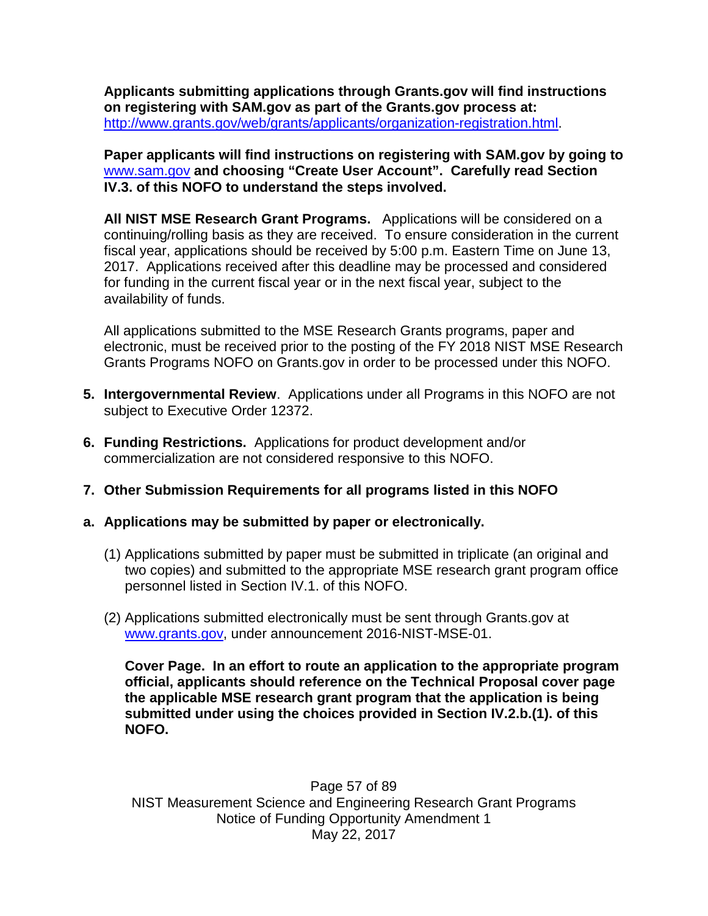**Applicants submitting applications through Grants.gov will find instructions on registering with SAM.gov as part of the Grants.gov process at:**  [http://www.grants.gov/web/grants/applicants/organization-registration.html.](http://www.grants.gov/web/grants/applicants/organization-registration.html)

**Paper applicants will find instructions on registering with SAM.gov by going to**  [www.sam.gov](http://www.sam.gov/) **and choosing "Create User Account". Carefully read Section IV.3. of this NOFO to understand the steps involved.** 

**All NIST MSE Research Grant Programs.** Applications will be considered on a continuing/rolling basis as they are received. To ensure consideration in the current fiscal year, applications should be received by 5:00 p.m. Eastern Time on June 13, 2017. Applications received after this deadline may be processed and considered for funding in the current fiscal year or in the next fiscal year, subject to the availability of funds.

All applications submitted to the MSE Research Grants programs, paper and electronic, must be received prior to the posting of the FY 2018 NIST MSE Research Grants Programs NOFO on Grants.gov in order to be processed under this NOFO.

- **5. Intergovernmental Review**. Applications under all Programs in this NOFO are not subject to Executive Order 12372.
- **6. Funding Restrictions.** Applications for product development and/or commercialization are not considered responsive to this NOFO.
- **7. Other Submission Requirements for all programs listed in this NOFO**

### **a. Applications may be submitted by paper or electronically.**

- (1) Applications submitted by paper must be submitted in triplicate (an original and two copies) and submitted to the appropriate MSE research grant program office personnel listed in Section IV.1. of this NOFO.
- (2) Applications submitted electronically must be sent through Grants.gov at [www.grants.gov,](http://www.grants.gov/) under announcement 2016-NIST-MSE-01.

**Cover Page. In an effort to route an application to the appropriate program official, applicants should reference on the Technical Proposal cover page the applicable MSE research grant program that the application is being submitted under using the choices provided in Section IV.2.b.(1). of this NOFO.**

Page 57 of 89 NIST Measurement Science and Engineering Research Grant Programs Notice of Funding Opportunity Amendment 1 May 22, 2017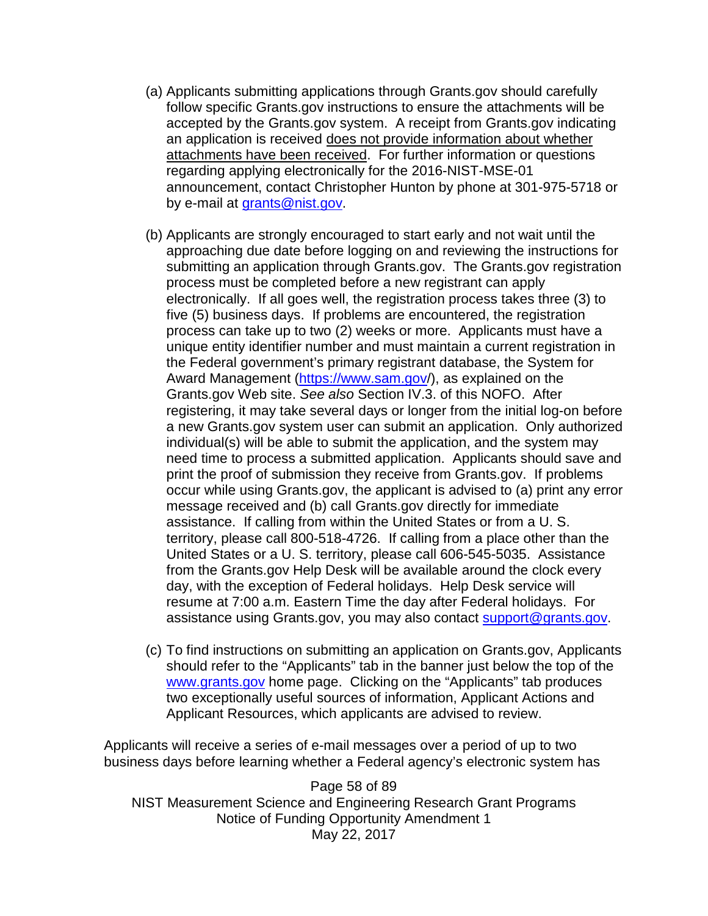- (a) Applicants submitting applications through Grants.gov should carefully follow specific Grants.gov instructions to ensure the attachments will be accepted by the Grants.gov system. A receipt from Grants.gov indicating an application is received does not provide information about whether attachments have been received. For further information or questions regarding applying electronically for the 2016-NIST-MSE-01 announcement, contact Christopher Hunton by phone at 301-975-5718 or by e-mail at [grants@nist.gov.](mailto:grants@nist.gov)
- (b) Applicants are strongly encouraged to start early and not wait until the approaching due date before logging on and reviewing the instructions for submitting an application through Grants.gov.The Grants.gov registration process must be completed before a new registrant can apply electronically. If all goes well, the registration process takes three (3) to five (5) business days. If problems are encountered, the registration process can take up to two (2) weeks or more. Applicants must have a unique entity identifier number and must maintain a current registration in the Federal government's primary registrant database, the System for Award Management [\(https://www.sam.gov/](https://www.sam.gov/)), as explained on the Grants.gov Web site. *See also* Section IV.3. of this NOFO. After registering, it may take several days or longer from the initial log-on before a new Grants.gov system user can submit an application. Only authorized individual(s) will be able to submit the application, and the system may need time to process a submitted application. Applicants should save and print the proof of submission they receive from Grants.gov. If problems occur while using Grants.gov, the applicant is advised to (a) print any error message received and (b) call Grants.gov directly for immediate assistance. If calling from within the United States or from a U. S. territory, please call 800-518-4726. If calling from a place other than the United States or a U. S. territory, please call 606-545-5035. Assistance from the Grants.gov Help Desk will be available around the clock every day, with the exception of Federal holidays. Help Desk service will resume at 7:00 a.m. Eastern Time the day after Federal holidays. For assistance using Grants.gov, you may also contact [support@grants.gov.](mailto:support@grants.gov)
- (c) To find instructions on submitting an application on Grants.gov, Applicants should refer to the "Applicants" tab in the banner just below the top of the [www.grants.gov](http://www.grants.gov/) home page. Clicking on the "Applicants" tab produces two exceptionally useful sources of information, Applicant Actions and Applicant Resources, which applicants are advised to review.

Applicants will receive a series of e-mail messages over a period of up to two business days before learning whether a Federal agency's electronic system has

Page 58 of 89 NIST Measurement Science and Engineering Research Grant Programs Notice of Funding Opportunity Amendment 1 May 22, 2017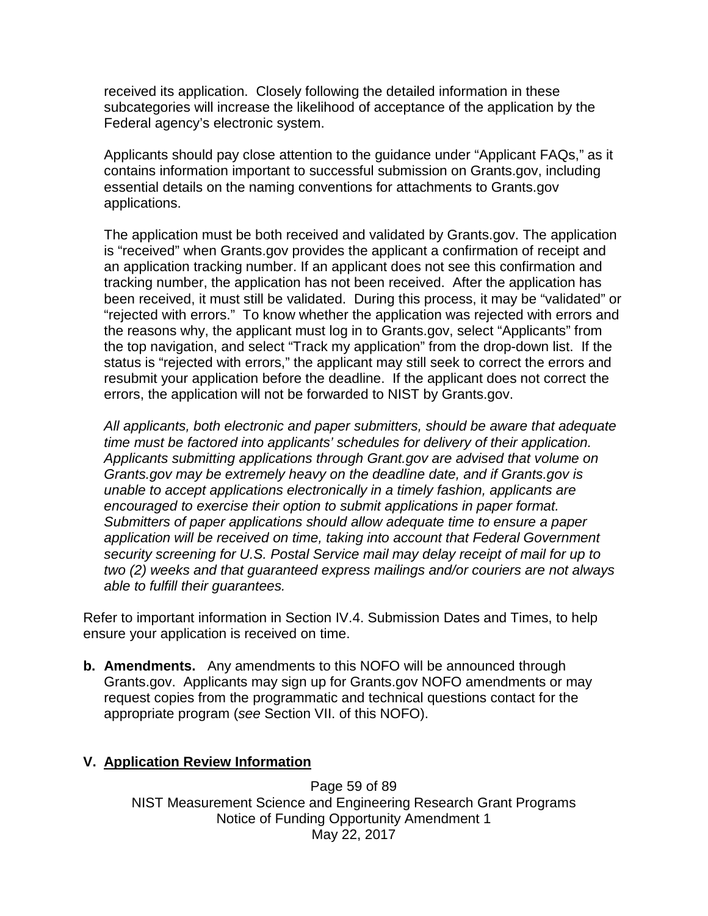received its application. Closely following the detailed information in these subcategories will increase the likelihood of acceptance of the application by the Federal agency's electronic system.

Applicants should pay close attention to the guidance under "Applicant FAQs," as it contains information important to successful submission on Grants.gov, including essential details on the naming conventions for attachments to Grants.gov applications.

The application must be both received and validated by Grants.gov. The application is "received" when Grants.gov provides the applicant a confirmation of receipt and an application tracking number. If an applicant does not see this confirmation and tracking number, the application has not been received. After the application has been received, it must still be validated. During this process, it may be "validated" or "rejected with errors." To know whether the application was rejected with errors and the reasons why, the applicant must log in to Grants.gov, select "Applicants" from the top navigation, and select "Track my application" from the drop-down list. If the status is "rejected with errors," the applicant may still seek to correct the errors and resubmit your application before the deadline. If the applicant does not correct the errors, the application will not be forwarded to NIST by Grants.gov.

*All applicants, both electronic and paper submitters, should be aware that adequate time must be factored into applicants' schedules for delivery of their application. Applicants submitting applications through Grant.gov are advised that volume on Grants.gov may be extremely heavy on the deadline date, and if Grants.gov is unable to accept applications electronically in a timely fashion, applicants are encouraged to exercise their option to submit applications in paper format. Submitters of paper applications should allow adequate time to ensure a paper application will be received on time, taking into account that Federal Government security screening for U.S. Postal Service mail may delay receipt of mail for up to two (2) weeks and that guaranteed express mailings and/or couriers are not always able to fulfill their guarantees.*

Refer to important information in Section IV.4. Submission Dates and Times, to help ensure your application is received on time.

**b. Amendments.** Any amendments to this NOFO will be announced through Grants.gov. Applicants may sign up for Grants.gov NOFO amendments or may request copies from the programmatic and technical questions contact for the appropriate program (*see* Section VII. of this NOFO).

### **V. Application Review Information**

Page 59 of 89 NIST Measurement Science and Engineering Research Grant Programs Notice of Funding Opportunity Amendment 1 May 22, 2017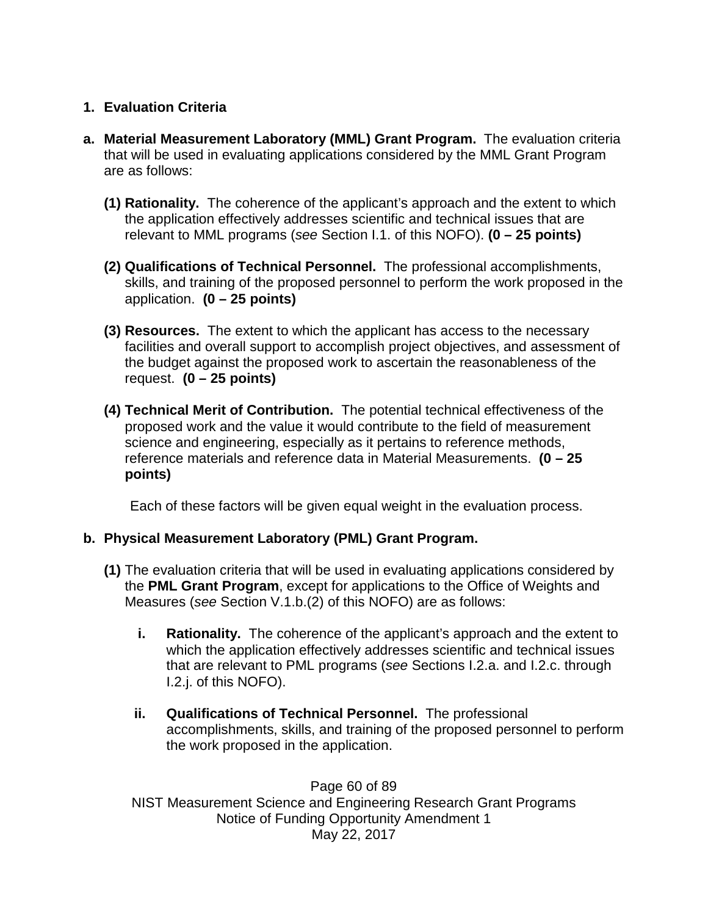## **1. Evaluation Criteria**

- **a. Material Measurement Laboratory (MML) Grant Program.** The evaluation criteria that will be used in evaluating applications considered by the MML Grant Program are as follows:
	- **(1) Rationality.** The coherence of the applicant's approach and the extent to which the application effectively addresses scientific and technical issues that are relevant to MML programs (*see* Section I.1. of this NOFO). **(0 – 25 points)**
	- **(2) Qualifications of Technical Personnel.** The professional accomplishments, skills, and training of the proposed personnel to perform the work proposed in the application. **(0 – 25 points)**
	- **(3) Resources.** The extent to which the applicant has access to the necessary facilities and overall support to accomplish project objectives, and assessment of the budget against the proposed work to ascertain the reasonableness of the request. **(0 – 25 points)**
	- **(4) Technical Merit of Contribution.** The potential technical effectiveness of the proposed work and the value it would contribute to the field of measurement science and engineering, especially as it pertains to reference methods, reference materials and reference data in Material Measurements. **(0 – 25 points)**

Each of these factors will be given equal weight in the evaluation process.

### **b. Physical Measurement Laboratory (PML) Grant Program.**

- **(1)** The evaluation criteria that will be used in evaluating applications considered by the **PML Grant Program**, except for applications to the Office of Weights and Measures (*see* Section V.1.b.(2) of this NOFO) are as follows:
	- **i. Rationality.** The coherence of the applicant's approach and the extent to which the application effectively addresses scientific and technical issues that are relevant to PML programs (*see* Sections I.2.a. and I.2.c. through I.2.j. of this NOFO).
	- **ii. Qualifications of Technical Personnel.** The professional accomplishments, skills, and training of the proposed personnel to perform the work proposed in the application.

Page 60 of 89 NIST Measurement Science and Engineering Research Grant Programs Notice of Funding Opportunity Amendment 1 May 22, 2017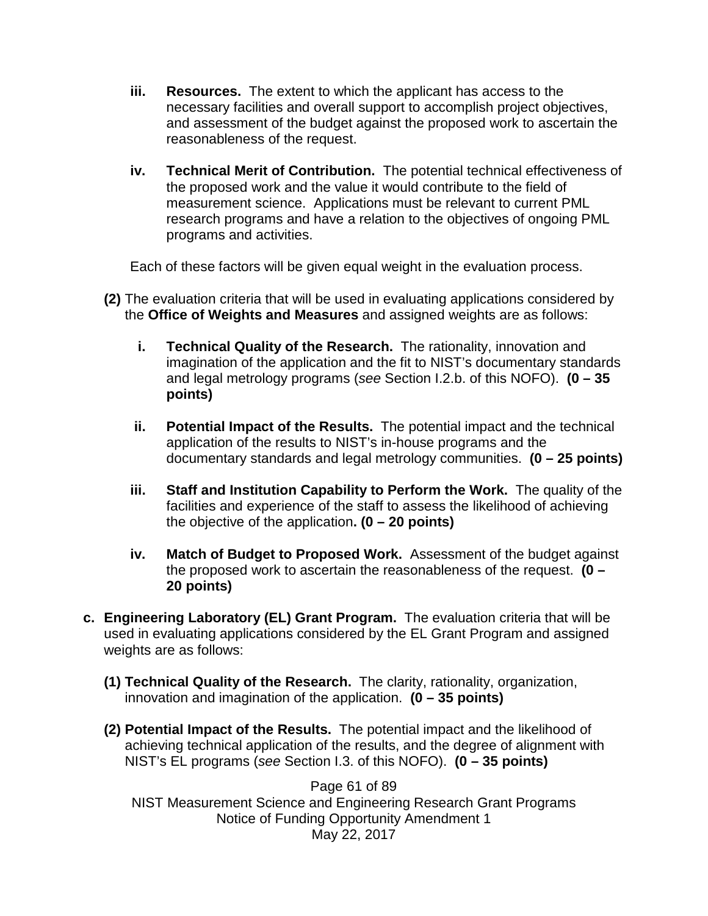- **iii. Resources.** The extent to which the applicant has access to the necessary facilities and overall support to accomplish project objectives, and assessment of the budget against the proposed work to ascertain the reasonableness of the request.
- **iv. Technical Merit of Contribution.** The potential technical effectiveness of the proposed work and the value it would contribute to the field of measurement science. Applications must be relevant to current PML research programs and have a relation to the objectives of ongoing PML programs and activities.

Each of these factors will be given equal weight in the evaluation process.

- **(2)** The evaluation criteria that will be used in evaluating applications considered by the **Office of Weights and Measures** and assigned weights are as follows:
	- **i. Technical Quality of the Research.** The rationality, innovation and imagination of the application and the fit to NIST's documentary standards and legal metrology programs (*see* Section I.2.b. of this NOFO). **(0 – 35 points)**
	- **ii. Potential Impact of the Results.** The potential impact and the technical application of the results to NIST's in-house programs and the documentary standards and legal metrology communities. **(0 – 25 points)**
	- **iii. Staff and Institution Capability to Perform the Work.** The quality of the facilities and experience of the staff to assess the likelihood of achieving the objective of the application**. (0 – 20 points)**
	- **iv. Match of Budget to Proposed Work.** Assessment of the budget against the proposed work to ascertain the reasonableness of the request. **(0 – 20 points)**
- **c. Engineering Laboratory (EL) Grant Program.** The evaluation criteria that will be used in evaluating applications considered by the EL Grant Program and assigned weights are as follows:
	- **(1) Technical Quality of the Research.** The clarity, rationality, organization, innovation and imagination of the application. **(0 – 35 points)**
	- **(2) Potential Impact of the Results.** The potential impact and the likelihood of achieving technical application of the results, and the degree of alignment with NIST's EL programs (*see* Section I.3. of this NOFO). **(0 – 35 points)**

Page 61 of 89 NIST Measurement Science and Engineering Research Grant Programs Notice of Funding Opportunity Amendment 1 May 22, 2017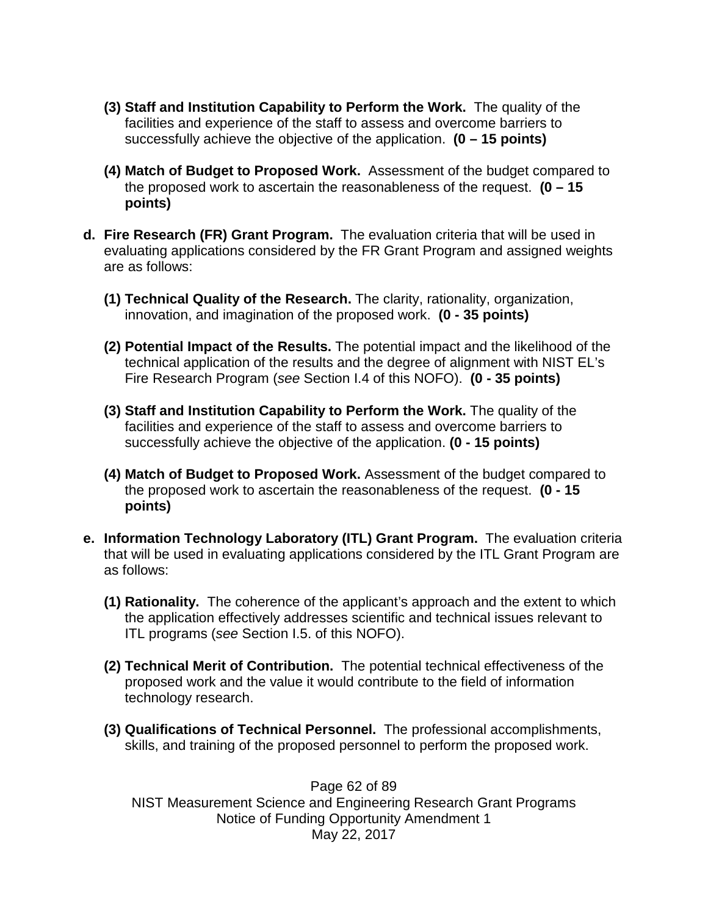- **(3) Staff and Institution Capability to Perform the Work.** The quality of the facilities and experience of the staff to assess and overcome barriers to successfully achieve the objective of the application. **(0 – 15 points)**
- **(4) Match of Budget to Proposed Work.** Assessment of the budget compared to the proposed work to ascertain the reasonableness of the request. **(0 – 15 points)**
- **d. Fire Research (FR) Grant Program.** The evaluation criteria that will be used in evaluating applications considered by the FR Grant Program and assigned weights are as follows:
	- **(1) Technical Quality of the Research.** The clarity, rationality, organization, innovation, and imagination of the proposed work. **(0 - 35 points)**
	- **(2) Potential Impact of the Results.** The potential impact and the likelihood of the technical application of the results and the degree of alignment with NIST EL's Fire Research Program (*see* Section I.4 of this NOFO). **(0 - 35 points)**
	- **(3) Staff and Institution Capability to Perform the Work.** The quality of the facilities and experience of the staff to assess and overcome barriers to successfully achieve the objective of the application. **(0 - 15 points)**
	- **(4) Match of Budget to Proposed Work.** Assessment of the budget compared to the proposed work to ascertain the reasonableness of the request. **(0 - 15 points)**
- **e. Information Technology Laboratory (ITL) Grant Program.** The evaluation criteria that will be used in evaluating applications considered by the ITL Grant Program are as follows:
	- **(1) Rationality.** The coherence of the applicant's approach and the extent to which the application effectively addresses scientific and technical issues relevant to ITL programs (*see* Section I.5. of this NOFO).
	- **(2) Technical Merit of Contribution.** The potential technical effectiveness of the proposed work and the value it would contribute to the field of information technology research.
	- **(3) Qualifications of Technical Personnel.** The professional accomplishments, skills, and training of the proposed personnel to perform the proposed work.

Page 62 of 89 NIST Measurement Science and Engineering Research Grant Programs Notice of Funding Opportunity Amendment 1 May 22, 2017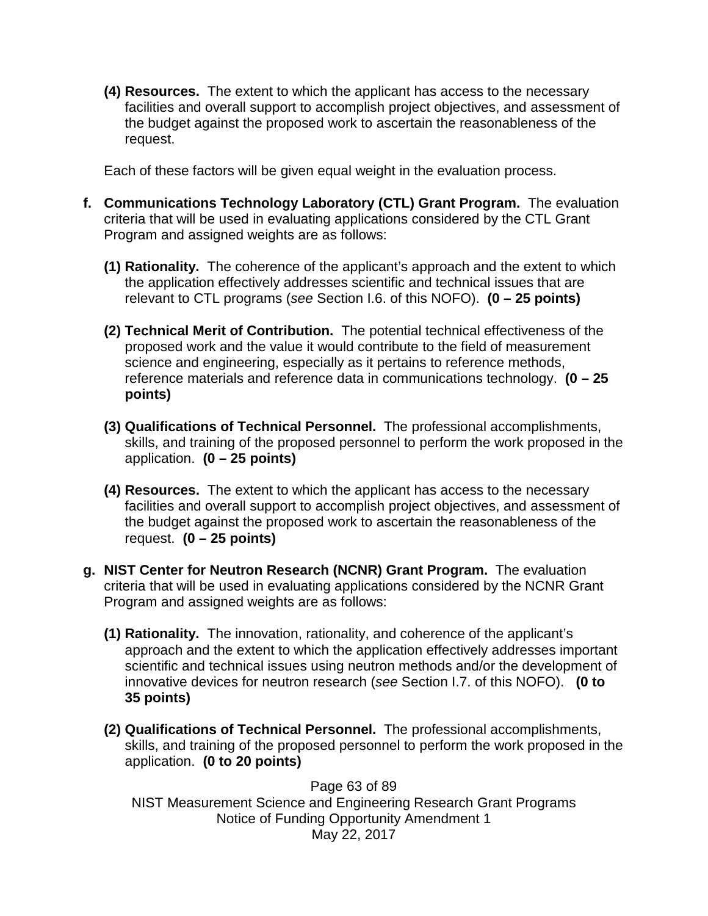**(4) Resources.** The extent to which the applicant has access to the necessary facilities and overall support to accomplish project objectives, and assessment of the budget against the proposed work to ascertain the reasonableness of the request.

Each of these factors will be given equal weight in the evaluation process.

- **f. Communications Technology Laboratory (CTL) Grant Program.** The evaluation criteria that will be used in evaluating applications considered by the CTL Grant Program and assigned weights are as follows:
	- **(1) Rationality.** The coherence of the applicant's approach and the extent to which the application effectively addresses scientific and technical issues that are relevant to CTL programs (*see* Section I.6. of this NOFO). **(0 – 25 points)**
	- **(2) Technical Merit of Contribution.** The potential technical effectiveness of the proposed work and the value it would contribute to the field of measurement science and engineering, especially as it pertains to reference methods, reference materials and reference data in communications technology. **(0 – 25 points)**
	- **(3) Qualifications of Technical Personnel.** The professional accomplishments, skills, and training of the proposed personnel to perform the work proposed in the application. **(0 – 25 points)**
	- **(4) Resources.** The extent to which the applicant has access to the necessary facilities and overall support to accomplish project objectives, and assessment of the budget against the proposed work to ascertain the reasonableness of the request. **(0 – 25 points)**
- **g. NIST Center for Neutron Research (NCNR) Grant Program.** The evaluation criteria that will be used in evaluating applications considered by the NCNR Grant Program and assigned weights are as follows:
	- **(1) Rationality.** The innovation, rationality, and coherence of the applicant's approach and the extent to which the application effectively addresses important scientific and technical issues using neutron methods and/or the development of innovative devices for neutron research (*see* Section I.7. of this NOFO). **(0 to 35 points)**
	- **(2) Qualifications of Technical Personnel.** The professional accomplishments, skills, and training of the proposed personnel to perform the work proposed in the application. **(0 to 20 points)**

Page 63 of 89 NIST Measurement Science and Engineering Research Grant Programs Notice of Funding Opportunity Amendment 1 May 22, 2017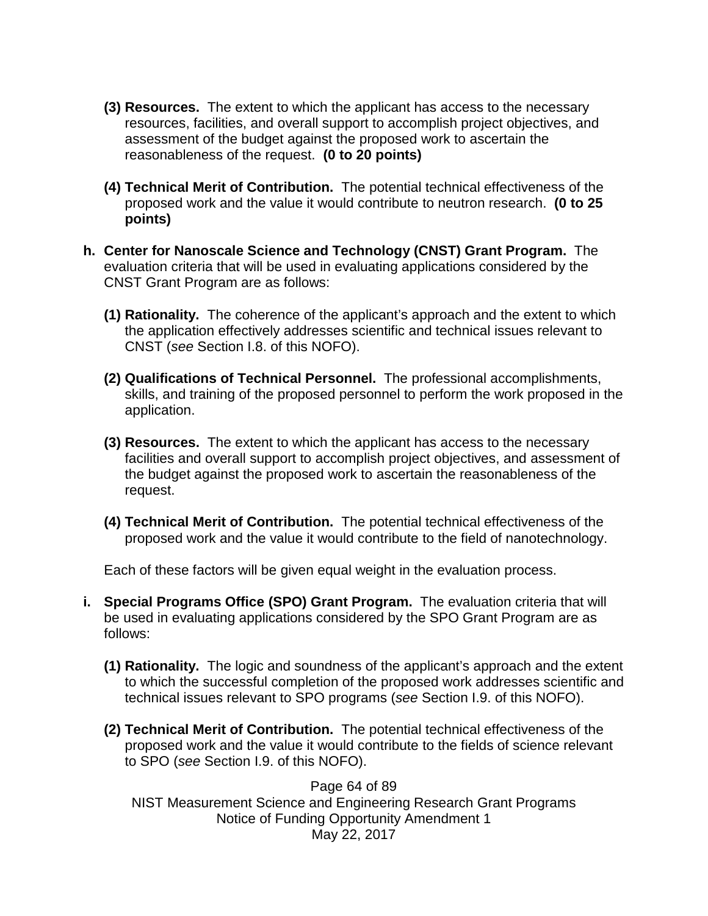- **(3) Resources.** The extent to which the applicant has access to the necessary resources, facilities, and overall support to accomplish project objectives, and assessment of the budget against the proposed work to ascertain the reasonableness of the request. **(0 to 20 points)**
- **(4) Technical Merit of Contribution.** The potential technical effectiveness of the proposed work and the value it would contribute to neutron research. **(0 to 25 points)**
- **h. Center for Nanoscale Science and Technology (CNST) Grant Program.** The evaluation criteria that will be used in evaluating applications considered by the CNST Grant Program are as follows:
	- **(1) Rationality.** The coherence of the applicant's approach and the extent to which the application effectively addresses scientific and technical issues relevant to CNST (*see* Section I.8. of this NOFO).
	- **(2) Qualifications of Technical Personnel.** The professional accomplishments, skills, and training of the proposed personnel to perform the work proposed in the application.
	- **(3) Resources.** The extent to which the applicant has access to the necessary facilities and overall support to accomplish project objectives, and assessment of the budget against the proposed work to ascertain the reasonableness of the request.
	- **(4) Technical Merit of Contribution.** The potential technical effectiveness of the proposed work and the value it would contribute to the field of nanotechnology.

Each of these factors will be given equal weight in the evaluation process.

- **i. Special Programs Office (SPO) Grant Program.** The evaluation criteria that will be used in evaluating applications considered by the SPO Grant Program are as follows:
	- **(1) Rationality.** The logic and soundness of the applicant's approach and the extent to which the successful completion of the proposed work addresses scientific and technical issues relevant to SPO programs (*see* Section I.9. of this NOFO).
	- **(2) Technical Merit of Contribution.** The potential technical effectiveness of the proposed work and the value it would contribute to the fields of science relevant to SPO (*see* Section I.9. of this NOFO).

Page 64 of 89 NIST Measurement Science and Engineering Research Grant Programs Notice of Funding Opportunity Amendment 1 May 22, 2017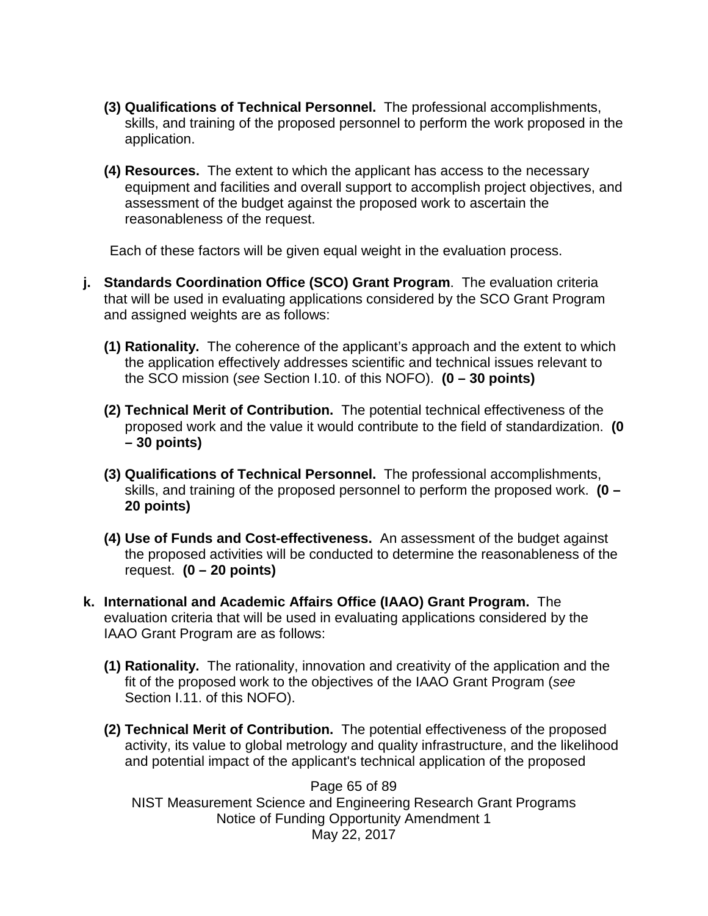- **(3) Qualifications of Technical Personnel.** The professional accomplishments, skills, and training of the proposed personnel to perform the work proposed in the application.
- **(4) Resources.** The extent to which the applicant has access to the necessary equipment and facilities and overall support to accomplish project objectives, and assessment of the budget against the proposed work to ascertain the reasonableness of the request.

Each of these factors will be given equal weight in the evaluation process.

- **j. Standards Coordination Office (SCO) Grant Program**. The evaluation criteria that will be used in evaluating applications considered by the SCO Grant Program and assigned weights are as follows:
	- **(1) Rationality.** The coherence of the applicant's approach and the extent to which the application effectively addresses scientific and technical issues relevant to the SCO mission (*see* Section I.10. of this NOFO). **(0 – 30 points)**
	- **(2) Technical Merit of Contribution.** The potential technical effectiveness of the proposed work and the value it would contribute to the field of standardization. **(0 – 30 points)**
	- **(3) Qualifications of Technical Personnel.** The professional accomplishments, skills, and training of the proposed personnel to perform the proposed work. **(0 – 20 points)**
	- **(4) Use of Funds and Cost-effectiveness.** An assessment of the budget against the proposed activities will be conducted to determine the reasonableness of the request. **(0 – 20 points)**
- **k. International and Academic Affairs Office (IAAO) Grant Program.** The evaluation criteria that will be used in evaluating applications considered by the IAAO Grant Program are as follows:
	- **(1) Rationality.** The rationality, innovation and creativity of the application and the fit of the proposed work to the objectives of the IAAO Grant Program (*see* Section I.11. of this NOFO).
	- **(2) Technical Merit of Contribution.** The potential effectiveness of the proposed activity, its value to global metrology and quality infrastructure, and the likelihood and potential impact of the applicant's technical application of the proposed

Page 65 of 89 NIST Measurement Science and Engineering Research Grant Programs Notice of Funding Opportunity Amendment 1 May 22, 2017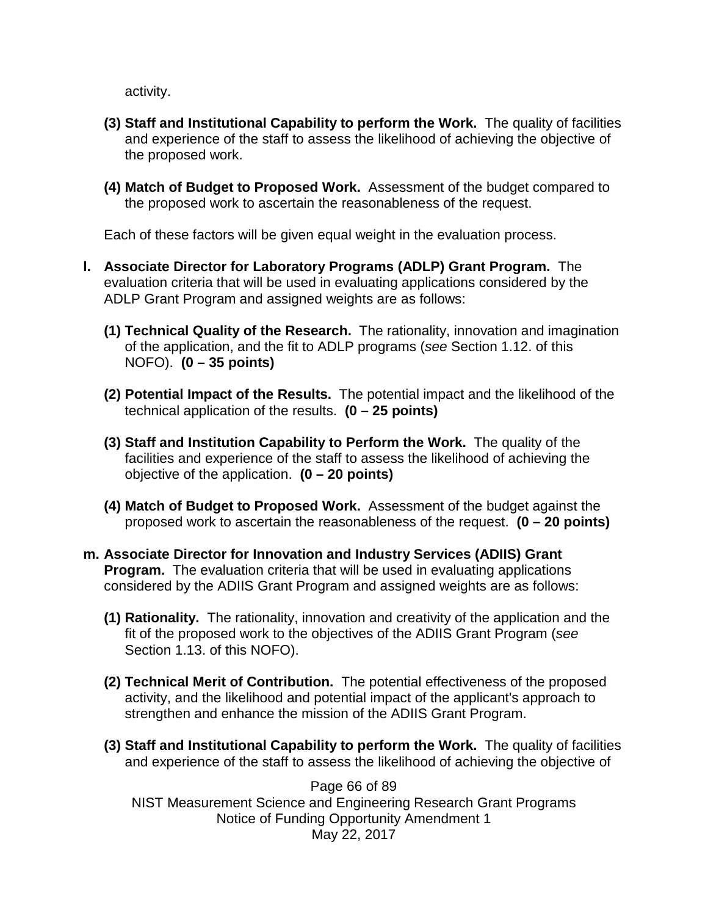activity.

- **(3) Staff and Institutional Capability to perform the Work.** The quality of facilities and experience of the staff to assess the likelihood of achieving the objective of the proposed work.
- **(4) Match of Budget to Proposed Work.** Assessment of the budget compared to the proposed work to ascertain the reasonableness of the request.

Each of these factors will be given equal weight in the evaluation process.

- **l. Associate Director for Laboratory Programs (ADLP) Grant Program.** The evaluation criteria that will be used in evaluating applications considered by the ADLP Grant Program and assigned weights are as follows:
	- **(1) Technical Quality of the Research.** The rationality, innovation and imagination of the application, and the fit to ADLP programs (*see* Section 1.12. of this NOFO). **(0 – 35 points)**
	- **(2) Potential Impact of the Results.** The potential impact and the likelihood of the technical application of the results. **(0 – 25 points)**
	- **(3) Staff and Institution Capability to Perform the Work.** The quality of the facilities and experience of the staff to assess the likelihood of achieving the objective of the application. **(0 – 20 points)**
	- **(4) Match of Budget to Proposed Work.** Assessment of the budget against the proposed work to ascertain the reasonableness of the request. **(0 – 20 points)**
- **m. Associate Director for Innovation and Industry Services (ADIIS) Grant Program.** The evaluation criteria that will be used in evaluating applications considered by the ADIIS Grant Program and assigned weights are as follows:
	- **(1) Rationality.** The rationality, innovation and creativity of the application and the fit of the proposed work to the objectives of the ADIIS Grant Program (*see* Section 1.13. of this NOFO).
	- **(2) Technical Merit of Contribution.** The potential effectiveness of the proposed activity, and the likelihood and potential impact of the applicant's approach to strengthen and enhance the mission of the ADIIS Grant Program.
	- **(3) Staff and Institutional Capability to perform the Work.** The quality of facilities and experience of the staff to assess the likelihood of achieving the objective of

Page 66 of 89 NIST Measurement Science and Engineering Research Grant Programs Notice of Funding Opportunity Amendment 1 May 22, 2017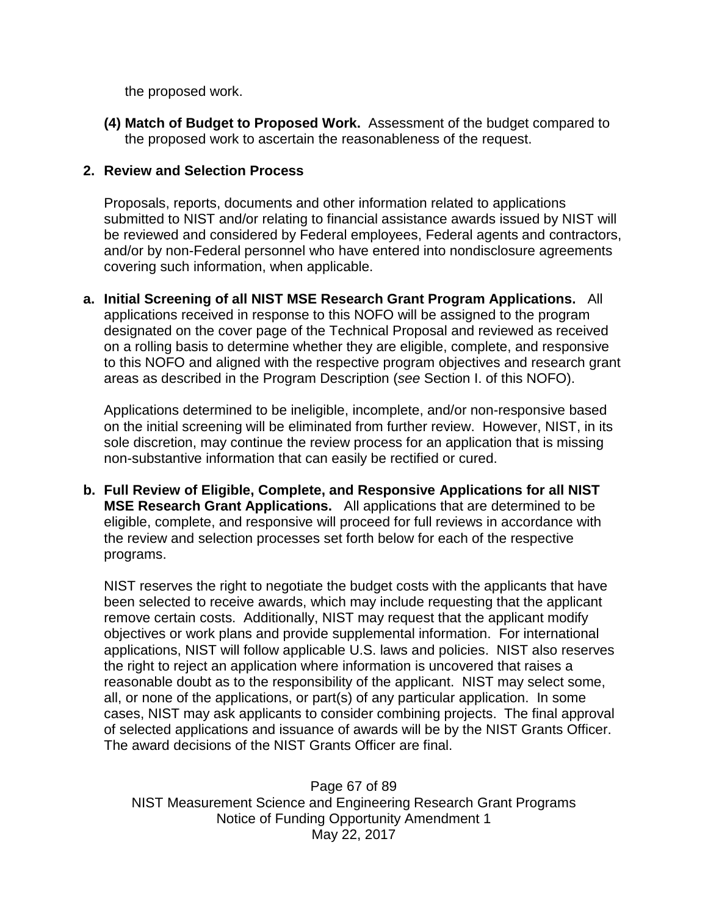the proposed work.

**(4) Match of Budget to Proposed Work.** Assessment of the budget compared to the proposed work to ascertain the reasonableness of the request.

## **2. Review and Selection Process**

Proposals, reports, documents and other information related to applications submitted to NIST and/or relating to financial assistance awards issued by NIST will be reviewed and considered by Federal employees, Federal agents and contractors, and/or by non-Federal personnel who have entered into nondisclosure agreements covering such information, when applicable.

**a. Initial Screening of all NIST MSE Research Grant Program Applications.** All applications received in response to this NOFO will be assigned to the program designated on the cover page of the Technical Proposal and reviewed as received on a rolling basis to determine whether they are eligible, complete, and responsive to this NOFO and aligned with the respective program objectives and research grant areas as described in the Program Description (*see* Section I. of this NOFO).

Applications determined to be ineligible, incomplete, and/or non-responsive based on the initial screening will be eliminated from further review. However, NIST, in its sole discretion, may continue the review process for an application that is missing non-substantive information that can easily be rectified or cured.

**b. Full Review of Eligible, Complete, and Responsive Applications for all NIST MSE Research Grant Applications.** All applications that are determined to be eligible, complete, and responsive will proceed for full reviews in accordance with the review and selection processes set forth below for each of the respective programs.

NIST reserves the right to negotiate the budget costs with the applicants that have been selected to receive awards, which may include requesting that the applicant remove certain costs. Additionally, NIST may request that the applicant modify objectives or work plans and provide supplemental information. For international applications, NIST will follow applicable U.S. laws and policies. NIST also reserves the right to reject an application where information is uncovered that raises a reasonable doubt as to the responsibility of the applicant. NIST may select some, all, or none of the applications, or part(s) of any particular application. In some cases, NIST may ask applicants to consider combining projects. The final approval of selected applications and issuance of awards will be by the NIST Grants Officer. The award decisions of the NIST Grants Officer are final.

Page 67 of 89 NIST Measurement Science and Engineering Research Grant Programs Notice of Funding Opportunity Amendment 1 May 22, 2017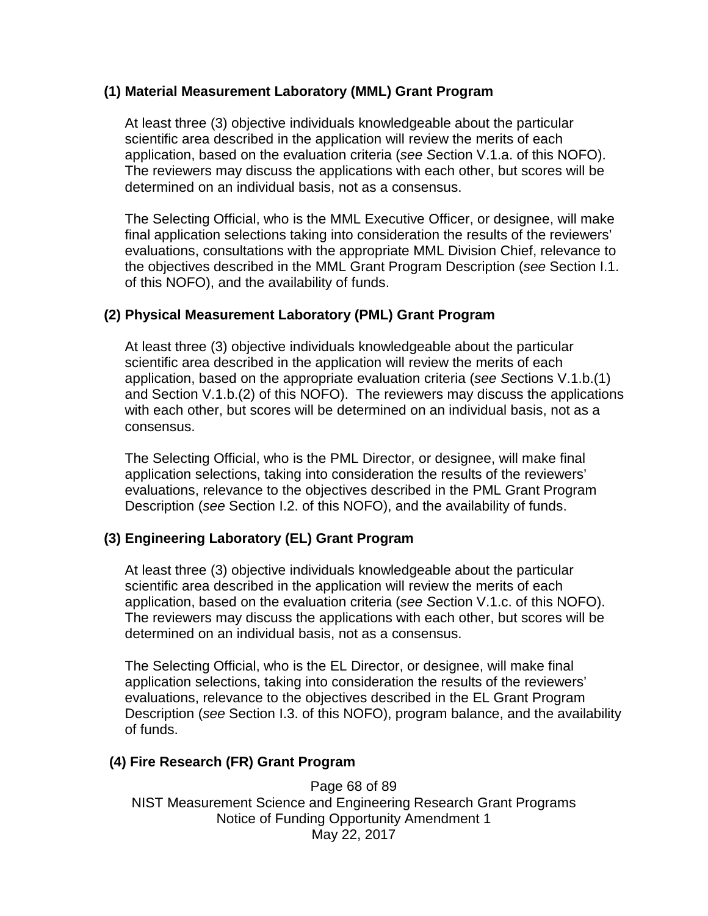#### **(1) Material Measurement Laboratory (MML) Grant Program**

At least three (3) objective individuals knowledgeable about the particular scientific area described in the application will review the merits of each application, based on the evaluation criteria (*see S*ection V.1.a. of this NOFO). The reviewers may discuss the applications with each other, but scores will be determined on an individual basis, not as a consensus.

The Selecting Official, who is the MML Executive Officer, or designee, will make final application selections taking into consideration the results of the reviewers' evaluations, consultations with the appropriate MML Division Chief, relevance to the objectives described in the MML Grant Program Description (*see* Section I.1. of this NOFO), and the availability of funds.

#### **(2) Physical Measurement Laboratory (PML) Grant Program**

At least three (3) objective individuals knowledgeable about the particular scientific area described in the application will review the merits of each application, based on the appropriate evaluation criteria (*see S*ections V.1.b.(1) and Section V.1.b.(2) of this NOFO). The reviewers may discuss the applications with each other, but scores will be determined on an individual basis, not as a consensus.

The Selecting Official, who is the PML Director, or designee, will make final application selections, taking into consideration the results of the reviewers' evaluations, relevance to the objectives described in the PML Grant Program Description (*see* Section I.2. of this NOFO), and the availability of funds.

### **(3) Engineering Laboratory (EL) Grant Program**

At least three (3) objective individuals knowledgeable about the particular scientific area described in the application will review the merits of each application, based on the evaluation criteria (*see S*ection V.1.c. of this NOFO). The reviewers may discuss the applications with each other, but scores will be determined on an individual basis, not as a consensus.

The Selecting Official, who is the EL Director, or designee, will make final application selections, taking into consideration the results of the reviewers' evaluations, relevance to the objectives described in the EL Grant Program Description (*see* Section I.3. of this NOFO), program balance, and the availability of funds.

#### **(4) Fire Research (FR) Grant Program**

Page 68 of 89 NIST Measurement Science and Engineering Research Grant Programs Notice of Funding Opportunity Amendment 1 May 22, 2017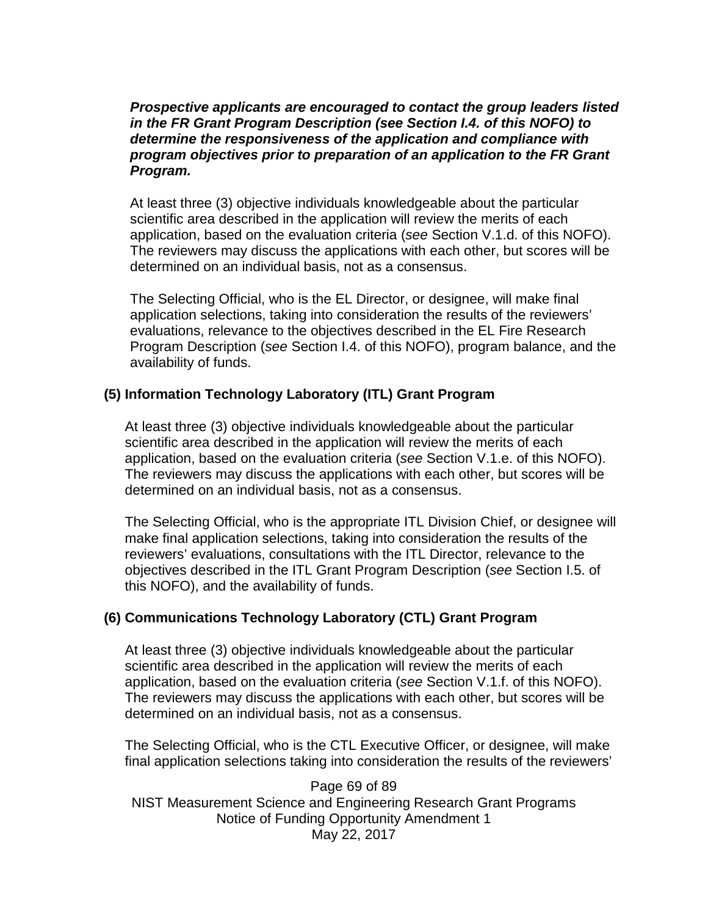*Prospective applicants are encouraged to contact the group leaders listed in the FR Grant Program Description (see Section I.4. of this NOFO) to determine the responsiveness of the application and compliance with program objectives prior to preparation of an application to the FR Grant Program.*

At least three (3) objective individuals knowledgeable about the particular scientific area described in the application will review the merits of each application, based on the evaluation criteria (*see* Section V.1.d. of this NOFO). The reviewers may discuss the applications with each other, but scores will be determined on an individual basis, not as a consensus.

The Selecting Official, who is the EL Director, or designee, will make final application selections, taking into consideration the results of the reviewers' evaluations, relevance to the objectives described in the EL Fire Research Program Description (*see* Section I.4. of this NOFO), program balance, and the availability of funds.

#### **(5) Information Technology Laboratory (ITL) Grant Program**

At least three (3) objective individuals knowledgeable about the particular scientific area described in the application will review the merits of each application, based on the evaluation criteria (*see* Section V.1.e. of this NOFO). The reviewers may discuss the applications with each other, but scores will be determined on an individual basis, not as a consensus.

The Selecting Official, who is the appropriate ITL Division Chief, or designee will make final application selections, taking into consideration the results of the reviewers' evaluations, consultations with the ITL Director, relevance to the objectives described in the ITL Grant Program Description (*see* Section I.5. of this NOFO), and the availability of funds.

#### **(6) Communications Technology Laboratory (CTL) Grant Program**

At least three (3) objective individuals knowledgeable about the particular scientific area described in the application will review the merits of each application, based on the evaluation criteria (*see* Section V.1.f. of this NOFO). The reviewers may discuss the applications with each other, but scores will be determined on an individual basis, not as a consensus.

The Selecting Official, who is the CTL Executive Officer, or designee, will make final application selections taking into consideration the results of the reviewers'

Page 69 of 89 NIST Measurement Science and Engineering Research Grant Programs Notice of Funding Opportunity Amendment 1 May 22, 2017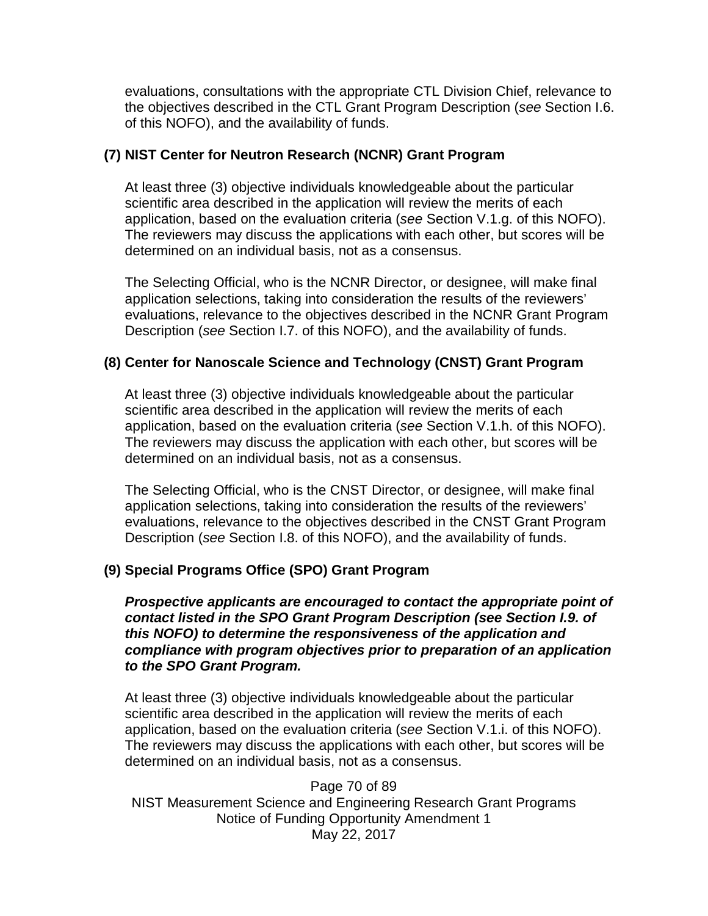evaluations, consultations with the appropriate CTL Division Chief, relevance to the objectives described in the CTL Grant Program Description (*see* Section I.6. of this NOFO), and the availability of funds.

#### **(7) NIST Center for Neutron Research (NCNR) Grant Program**

At least three (3) objective individuals knowledgeable about the particular scientific area described in the application will review the merits of each application, based on the evaluation criteria (*see* Section V.1.g. of this NOFO). The reviewers may discuss the applications with each other, but scores will be determined on an individual basis, not as a consensus.

The Selecting Official, who is the NCNR Director, or designee, will make final application selections, taking into consideration the results of the reviewers' evaluations, relevance to the objectives described in the NCNR Grant Program Description (*see* Section I.7. of this NOFO), and the availability of funds.

### **(8) Center for Nanoscale Science and Technology (CNST) Grant Program**

At least three (3) objective individuals knowledgeable about the particular scientific area described in the application will review the merits of each application, based on the evaluation criteria (*see* Section V.1.h. of this NOFO). The reviewers may discuss the application with each other, but scores will be determined on an individual basis, not as a consensus.

The Selecting Official, who is the CNST Director, or designee, will make final application selections, taking into consideration the results of the reviewers' evaluations, relevance to the objectives described in the CNST Grant Program Description (*see* Section I.8. of this NOFO), and the availability of funds.

### **(9) Special Programs Office (SPO) Grant Program**

*Prospective applicants are encouraged to contact the appropriate point of contact listed in the SPO Grant Program Description (see Section I.9. of this NOFO) to determine the responsiveness of the application and compliance with program objectives prior to preparation of an application to the SPO Grant Program.*

At least three (3) objective individuals knowledgeable about the particular scientific area described in the application will review the merits of each application, based on the evaluation criteria (*see* Section V.1.i. of this NOFO). The reviewers may discuss the applications with each other, but scores will be determined on an individual basis, not as a consensus.

Page 70 of 89 NIST Measurement Science and Engineering Research Grant Programs Notice of Funding Opportunity Amendment 1 May 22, 2017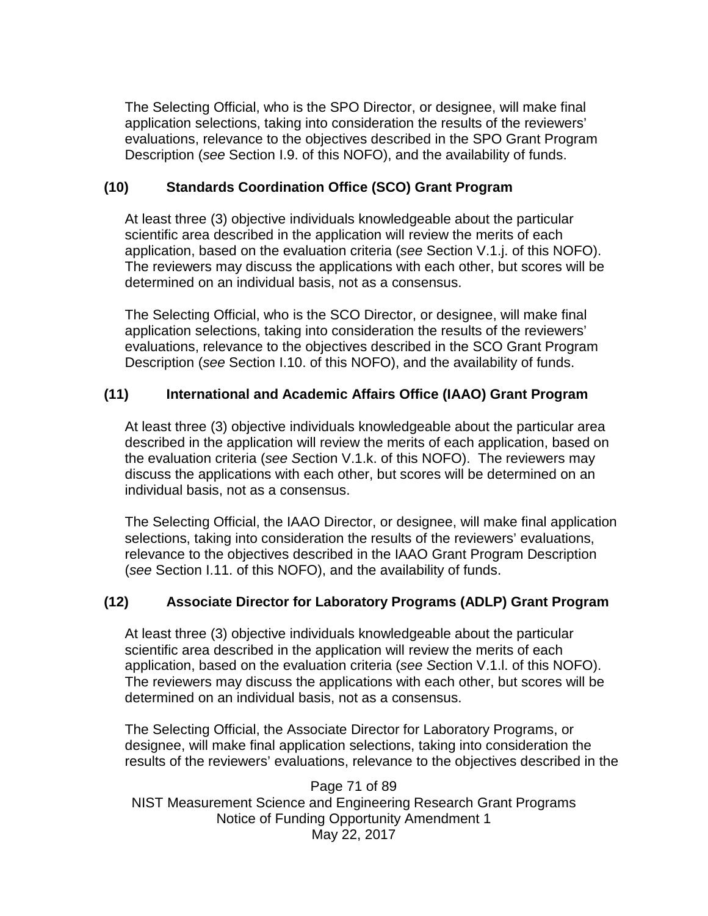The Selecting Official, who is the SPO Director, or designee, will make final application selections, taking into consideration the results of the reviewers' evaluations, relevance to the objectives described in the SPO Grant Program Description (*see* Section I.9. of this NOFO), and the availability of funds.

## **(10) Standards Coordination Office (SCO) Grant Program**

At least three (3) objective individuals knowledgeable about the particular scientific area described in the application will review the merits of each application, based on the evaluation criteria (*see* Section V.1.j. of this NOFO). The reviewers may discuss the applications with each other, but scores will be determined on an individual basis, not as a consensus.

The Selecting Official, who is the SCO Director, or designee, will make final application selections, taking into consideration the results of the reviewers' evaluations, relevance to the objectives described in the SCO Grant Program Description (*see* Section I.10. of this NOFO), and the availability of funds.

# **(11) International and Academic Affairs Office (IAAO) Grant Program**

At least three (3) objective individuals knowledgeable about the particular area described in the application will review the merits of each application, based on the evaluation criteria (*see S*ection V.1.k. of this NOFO). The reviewers may discuss the applications with each other, but scores will be determined on an individual basis, not as a consensus.

The Selecting Official, the IAAO Director, or designee, will make final application selections, taking into consideration the results of the reviewers' evaluations, relevance to the objectives described in the IAAO Grant Program Description (*see* Section I.11. of this NOFO), and the availability of funds.

# **(12) Associate Director for Laboratory Programs (ADLP) Grant Program**

At least three (3) objective individuals knowledgeable about the particular scientific area described in the application will review the merits of each application, based on the evaluation criteria (*see S*ection V.1.l. of this NOFO). The reviewers may discuss the applications with each other, but scores will be determined on an individual basis, not as a consensus.

The Selecting Official, the Associate Director for Laboratory Programs, or designee, will make final application selections, taking into consideration the results of the reviewers' evaluations, relevance to the objectives described in the

Page 71 of 89 NIST Measurement Science and Engineering Research Grant Programs Notice of Funding Opportunity Amendment 1 May 22, 2017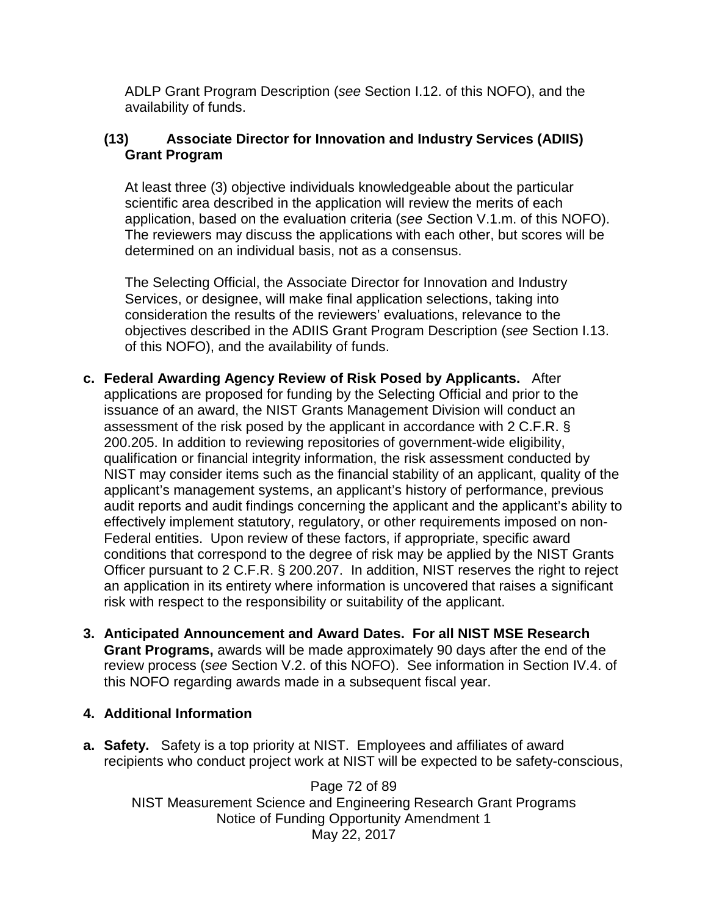ADLP Grant Program Description (*see* Section I.12. of this NOFO), and the availability of funds.

### **(13) Associate Director for Innovation and Industry Services (ADIIS) Grant Program**

At least three (3) objective individuals knowledgeable about the particular scientific area described in the application will review the merits of each application, based on the evaluation criteria (*see S*ection V.1.m. of this NOFO). The reviewers may discuss the applications with each other, but scores will be determined on an individual basis, not as a consensus.

The Selecting Official, the Associate Director for Innovation and Industry Services, or designee, will make final application selections, taking into consideration the results of the reviewers' evaluations, relevance to the objectives described in the ADIIS Grant Program Description (*see* Section I.13. of this NOFO), and the availability of funds.

- **c. Federal Awarding Agency Review of Risk Posed by Applicants.** After applications are proposed for funding by the Selecting Official and prior to the issuance of an award, the NIST Grants Management Division will conduct an assessment of the risk posed by the applicant in accordance with 2 C.F.R. § 200.205. In addition to reviewing repositories of government-wide eligibility, qualification or financial integrity information, the risk assessment conducted by NIST may consider items such as the financial stability of an applicant, quality of the applicant's management systems, an applicant's history of performance, previous audit reports and audit findings concerning the applicant and the applicant's ability to effectively implement statutory, regulatory, or other requirements imposed on non-Federal entities. Upon review of these factors, if appropriate, specific award conditions that correspond to the degree of risk may be applied by the NIST Grants Officer pursuant to 2 C.F.R. § 200.207. In addition, NIST reserves the right to reject an application in its entirety where information is uncovered that raises a significant risk with respect to the responsibility or suitability of the applicant.
- **3. Anticipated Announcement and Award Dates. For all NIST MSE Research Grant Programs,** awards will be made approximately 90 days after the end of the review process (*see* Section V.2. of this NOFO). See information in Section IV.4. of this NOFO regarding awards made in a subsequent fiscal year.
- **4. Additional Information**
- **a. Safety.** Safety is a top priority at NIST. Employees and affiliates of award recipients who conduct project work at NIST will be expected to be safety-conscious,

Page 72 of 89 NIST Measurement Science and Engineering Research Grant Programs Notice of Funding Opportunity Amendment 1 May 22, 2017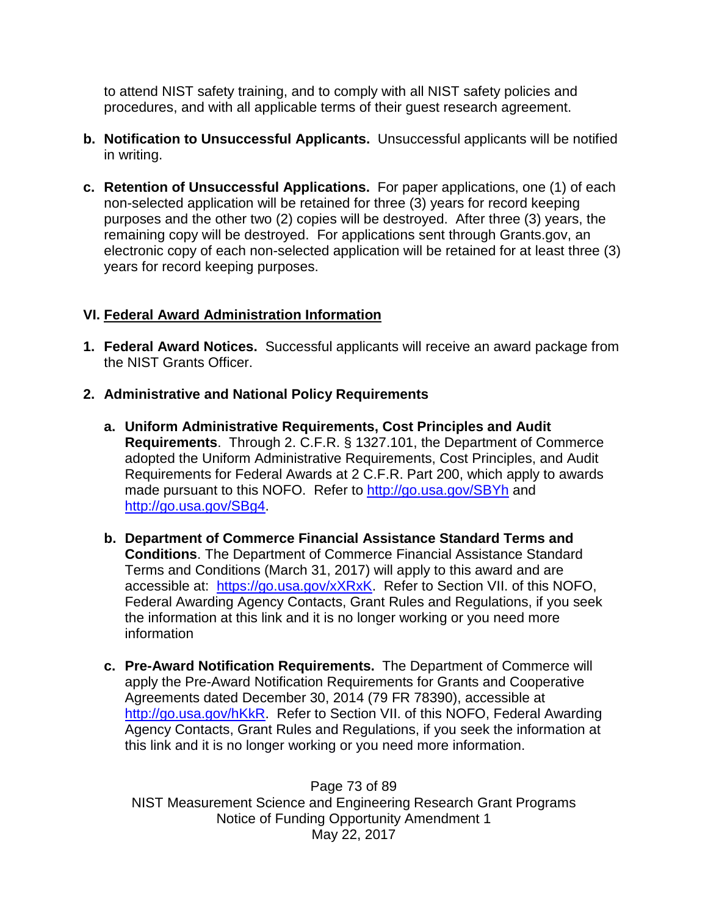to attend NIST safety training, and to comply with all NIST safety policies and procedures, and with all applicable terms of their guest research agreement.

- **b. Notification to Unsuccessful Applicants.** Unsuccessful applicants will be notified in writing.
- **c. Retention of Unsuccessful Applications.** For paper applications, one (1) of each non-selected application will be retained for three (3) years for record keeping purposes and the other two (2) copies will be destroyed. After three (3) years, the remaining copy will be destroyed. For applications sent through Grants.gov, an electronic copy of each non-selected application will be retained for at least three (3) years for record keeping purposes.

## **VI. Federal Award Administration Information**

- **1. Federal Award Notices.** Successful applicants will receive an award package from the NIST Grants Officer.
- **2. Administrative and National Policy Requirements**
	- **a. Uniform Administrative Requirements, Cost Principles and Audit Requirements**. Through 2. C.F.R. § 1327.101, the Department of Commerce adopted the Uniform Administrative Requirements, Cost Principles, and Audit Requirements for Federal Awards at 2 C.F.R. Part 200, which apply to awards made pursuant to this NOFO. Refer to<http://go.usa.gov/SBYh> and [http://go.usa.gov/SBg4.](http://go.usa.gov/SBg4)
	- **b. Department of Commerce Financial Assistance Standard Terms and Conditions**. The Department of Commerce Financial Assistance Standard Terms and Conditions (March 31, 2017) will apply to this award and are accessible at: [https://go.usa.gov/xXRxK.](https://go.usa.gov/xXRxK) Refer to Section VII. of this NOFO, Federal Awarding Agency Contacts, Grant Rules and Regulations, if you seek the information at this link and it is no longer working or you need more information
	- **c. Pre-Award Notification Requirements.** The Department of Commerce will apply the Pre-Award Notification Requirements for Grants and Cooperative Agreements dated December 30, 2014 (79 FR 78390), accessible at [http://go.usa.gov/hKkR.](http://go.usa.gov/hKkR) Refer to Section VII. of this NOFO, Federal Awarding Agency Contacts, Grant Rules and Regulations, if you seek the information at this link and it is no longer working or you need more information.

Page 73 of 89 NIST Measurement Science and Engineering Research Grant Programs Notice of Funding Opportunity Amendment 1 May 22, 2017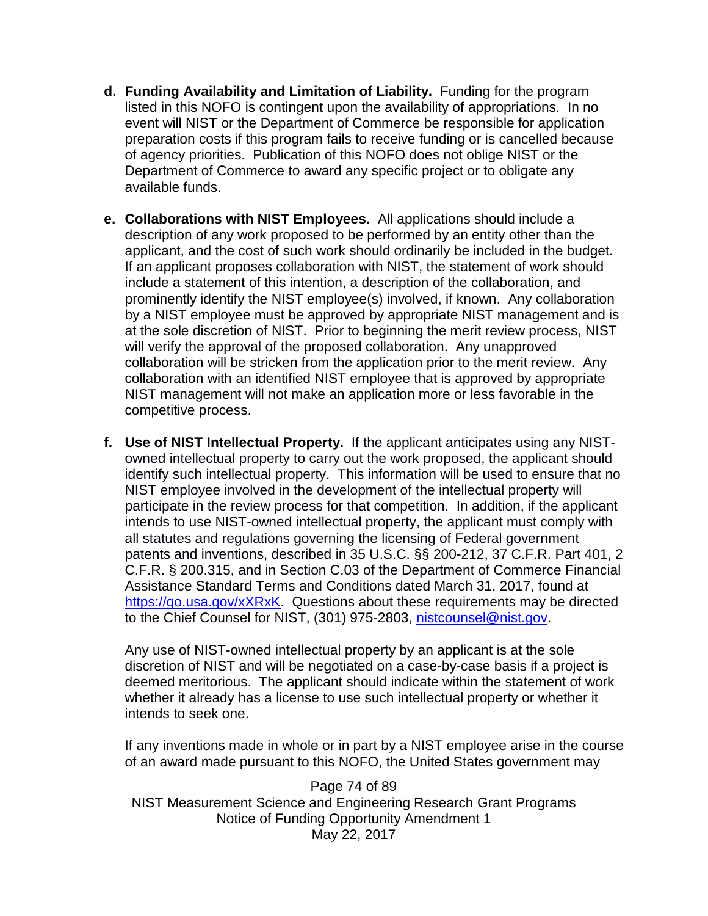- **d. Funding Availability and Limitation of Liability.** Funding for the program listed in this NOFO is contingent upon the availability of appropriations. In no event will NIST or the Department of Commerce be responsible for application preparation costs if this program fails to receive funding or is cancelled because of agency priorities. Publication of this NOFO does not oblige NIST or the Department of Commerce to award any specific project or to obligate any available funds.
- **e. Collaborations with NIST Employees.** All applications should include a description of any work proposed to be performed by an entity other than the applicant, and the cost of such work should ordinarily be included in the budget. If an applicant proposes collaboration with NIST, the statement of work should include a statement of this intention, a description of the collaboration, and prominently identify the NIST employee(s) involved, if known. Any collaboration by a NIST employee must be approved by appropriate NIST management and is at the sole discretion of NIST. Prior to beginning the merit review process, NIST will verify the approval of the proposed collaboration. Any unapproved collaboration will be stricken from the application prior to the merit review. Any collaboration with an identified NIST employee that is approved by appropriate NIST management will not make an application more or less favorable in the competitive process.
- **f. Use of NIST Intellectual Property.** If the applicant anticipates using any NISTowned intellectual property to carry out the work proposed, the applicant should identify such intellectual property. This information will be used to ensure that no NIST employee involved in the development of the intellectual property will participate in the review process for that competition. In addition, if the applicant intends to use NIST-owned intellectual property, the applicant must comply with all statutes and regulations governing the licensing of Federal government patents and inventions, described in 35 U.S.C. §§ 200-212, 37 C.F.R. Part 401, 2 C.F.R. § 200.315, and in Section C.03 of the Department of Commerce Financial Assistance Standard Terms and Conditions dated March 31, 2017, found at [https://go.usa.gov/xXRxK.](https://go.usa.gov/xXRxK) Questions about these requirements may be directed to the Chief Counsel for NIST, (301) 975-2803, [nistcounsel@nist.gov.](mailto:nistcounsel@nist.gov)

Any use of NIST-owned intellectual property by an applicant is at the sole discretion of NIST and will be negotiated on a case-by-case basis if a project is deemed meritorious. The applicant should indicate within the statement of work whether it already has a license to use such intellectual property or whether it intends to seek one.

If any inventions made in whole or in part by a NIST employee arise in the course of an award made pursuant to this NOFO, the United States government may

Page 74 of 89 NIST Measurement Science and Engineering Research Grant Programs Notice of Funding Opportunity Amendment 1 May 22, 2017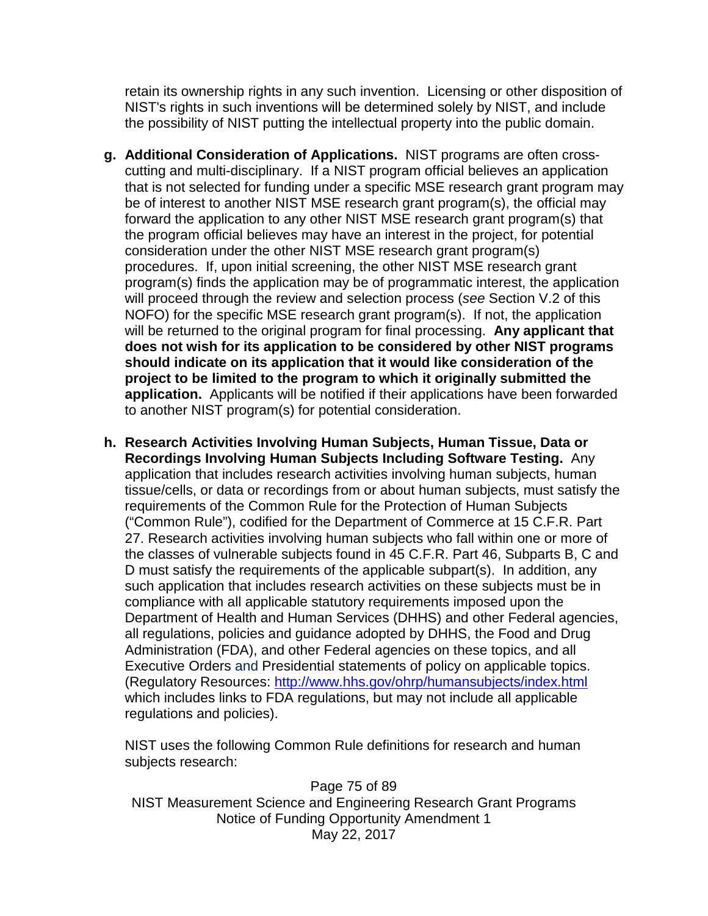retain its ownership rights in any such invention. Licensing or other disposition of NIST's rights in such inventions will be determined solely by NIST, and include the possibility of NIST putting the intellectual property into the public domain.

- **g. Additional Consideration of Applications.** NIST programs are often crosscutting and multi-disciplinary. If a NIST program official believes an application that is not selected for funding under a specific MSE research grant program may be of interest to another NIST MSE research grant program(s), the official may forward the application to any other NIST MSE research grant program(s) that the program official believes may have an interest in the project, for potential consideration under the other NIST MSE research grant program(s) procedures. If, upon initial screening, the other NIST MSE research grant program(s) finds the application may be of programmatic interest, the application will proceed through the review and selection process (*see* Section V.2 of this NOFO) for the specific MSE research grant program(s). If not, the application will be returned to the original program for final processing. **Any applicant that does not wish for its application to be considered by other NIST programs should indicate on its application that it would like consideration of the project to be limited to the program to which it originally submitted the application.** Applicants will be notified if their applications have been forwarded to another NIST program(s) for potential consideration.
- **h. Research Activities Involving Human Subjects, Human Tissue, Data or Recordings Involving Human Subjects Including Software Testing.** Any application that includes research activities involving human subjects, human tissue/cells, or data or recordings from or about human subjects, must satisfy the requirements of the Common Rule for the Protection of Human Subjects ("Common Rule"), codified for the Department of Commerce at 15 C.F.R. Part 27. Research activities involving human subjects who fall within one or more of the classes of vulnerable subjects found in 45 C.F.R. Part 46, Subparts B, C and D must satisfy the requirements of the applicable subpart(s). In addition, any such application that includes research activities on these subjects must be in compliance with all applicable statutory requirements imposed upon the Department of Health and Human Services (DHHS) and other Federal agencies, all regulations, policies and guidance adopted by DHHS, the Food and Drug Administration (FDA), and other Federal agencies on these topics, and all Executive Orders and Presidential statements of policy on applicable topics. (Regulatory Resources:<http://www.hhs.gov/ohrp/humansubjects/index.html> which includes links to FDA regulations, but may not include all applicable regulations and policies).

NIST uses the following Common Rule definitions for research and human subjects research:

Page 75 of 89 NIST Measurement Science and Engineering Research Grant Programs Notice of Funding Opportunity Amendment 1 May 22, 2017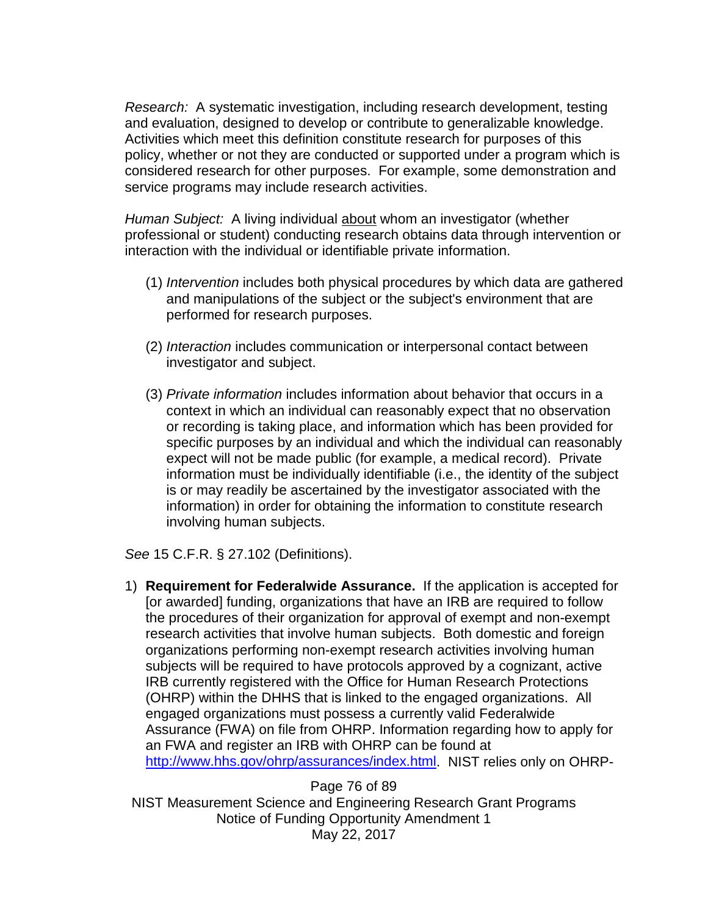*Research:* A systematic investigation, including research development, testing and evaluation, designed to develop or contribute to generalizable knowledge. Activities which meet this definition constitute research for purposes of this policy, whether or not they are conducted or supported under a program which is considered research for other purposes. For example, some demonstration and service programs may include research activities.

*Human Subject:* A living individual about whom an investigator (whether professional or student) conducting research obtains data through intervention or interaction with the individual or identifiable private information.

- (1) *Intervention* includes both physical procedures by which data are gathered and manipulations of the subject or the subject's environment that are performed for research purposes.
- (2) *Interaction* includes communication or interpersonal contact between investigator and subject.
- (3) *Private information* includes information about behavior that occurs in a context in which an individual can reasonably expect that no observation or recording is taking place, and information which has been provided for specific purposes by an individual and which the individual can reasonably expect will not be made public (for example, a medical record). Private information must be individually identifiable (i.e., the identity of the subject is or may readily be ascertained by the investigator associated with the information) in order for obtaining the information to constitute research involving human subjects.

*See* 15 C.F.R. § 27.102 (Definitions).

1) **Requirement for Federalwide Assurance.** If the application is accepted for [or awarded] funding, organizations that have an IRB are required to follow the procedures of their organization for approval of exempt and non-exempt research activities that involve human subjects. Both domestic and foreign organizations performing non-exempt research activities involving human subjects will be required to have protocols approved by a cognizant, active IRB currently registered with the Office for Human Research Protections (OHRP) within the DHHS that is linked to the engaged organizations. All engaged organizations must possess a currently valid Federalwide Assurance (FWA) on file from OHRP. Information regarding how to apply for an FWA and register an IRB with OHRP can be found at [http://www.hhs.gov/ohrp/assurances/index.html.](http://www.hhs.gov/ohrp/assurances/index.html) NIST relies only on OHRP-

Page 76 of 89 NIST Measurement Science and Engineering Research Grant Programs Notice of Funding Opportunity Amendment 1 May 22, 2017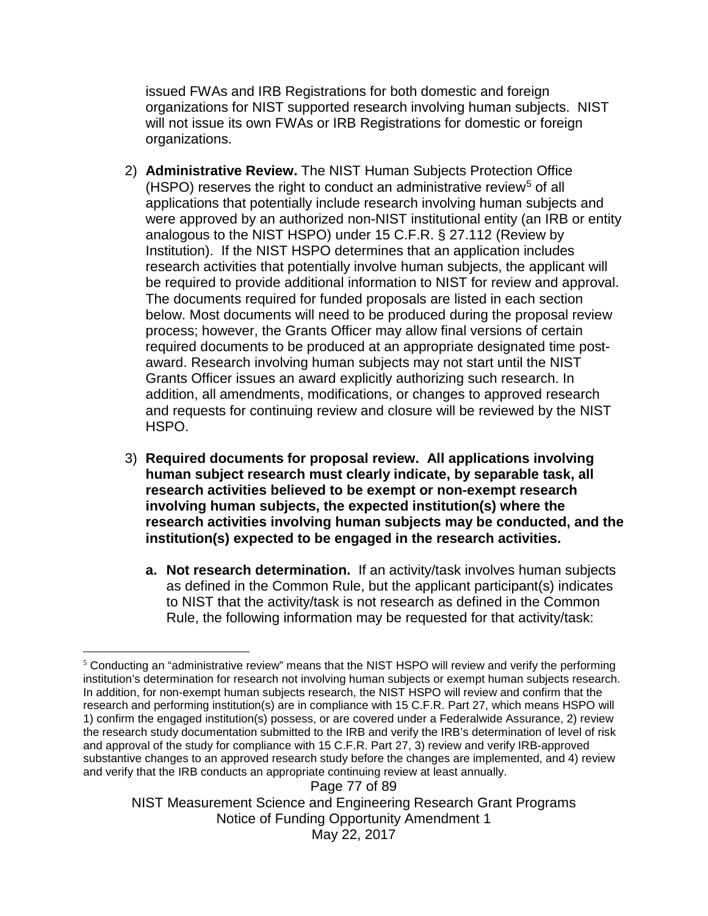issued FWAs and IRB Registrations for both domestic and foreign organizations for NIST supported research involving human subjects. NIST will not issue its own FWAs or IRB Registrations for domestic or foreign organizations.

- 2) **Administrative Review.** The NIST Human Subjects Protection Office  $(HSPO)$  reserves the right to conduct an administrative review<sup>[5](#page-76-0)</sup> of all applications that potentially include research involving human subjects and were approved by an authorized non-NIST institutional entity (an IRB or entity analogous to the NIST HSPO) under 15 C.F.R. § 27.112 (Review by Institution). If the NIST HSPO determines that an application includes research activities that potentially involve human subjects, the applicant will be required to provide additional information to NIST for review and approval. The documents required for funded proposals are listed in each section below. Most documents will need to be produced during the proposal review process; however, the Grants Officer may allow final versions of certain required documents to be produced at an appropriate designated time postaward. Research involving human subjects may not start until the NIST Grants Officer issues an award explicitly authorizing such research. In addition, all amendments, modifications, or changes to approved research and requests for continuing review and closure will be reviewed by the NIST HSPO.
- 3) **Required documents for proposal review. All applications involving human subject research must clearly indicate, by separable task, all research activities believed to be exempt or non-exempt research involving human subjects, the expected institution(s) where the research activities involving human subjects may be conducted, and the institution(s) expected to be engaged in the research activities.**
	- **a. Not research determination.** If an activity/task involves human subjects as defined in the Common Rule, but the applicant participant(s) indicates to NIST that the activity/task is not research as defined in the Common Rule, the following information may be requested for that activity/task:

Page 77 of 89 NIST Measurement Science and Engineering Research Grant Programs Notice of Funding Opportunity Amendment 1 May 22, 2017

<span id="page-76-0"></span> <sup>5</sup> Conducting an "administrative review" means that the NIST HSPO will review and verify the performing institution's determination for research not involving human subjects or exempt human subjects research. In addition, for non-exempt human subjects research, the NIST HSPO will review and confirm that the research and performing institution(s) are in compliance with 15 C.F.R. Part 27, which means HSPO will 1) confirm the engaged institution(s) possess, or are covered under a Federalwide Assurance, 2) review the research study documentation submitted to the IRB and verify the IRB's determination of level of risk and approval of the study for compliance with 15 C.F.R. Part 27, 3) review and verify IRB-approved substantive changes to an approved research study before the changes are implemented, and 4) review and verify that the IRB conducts an appropriate continuing review at least annually.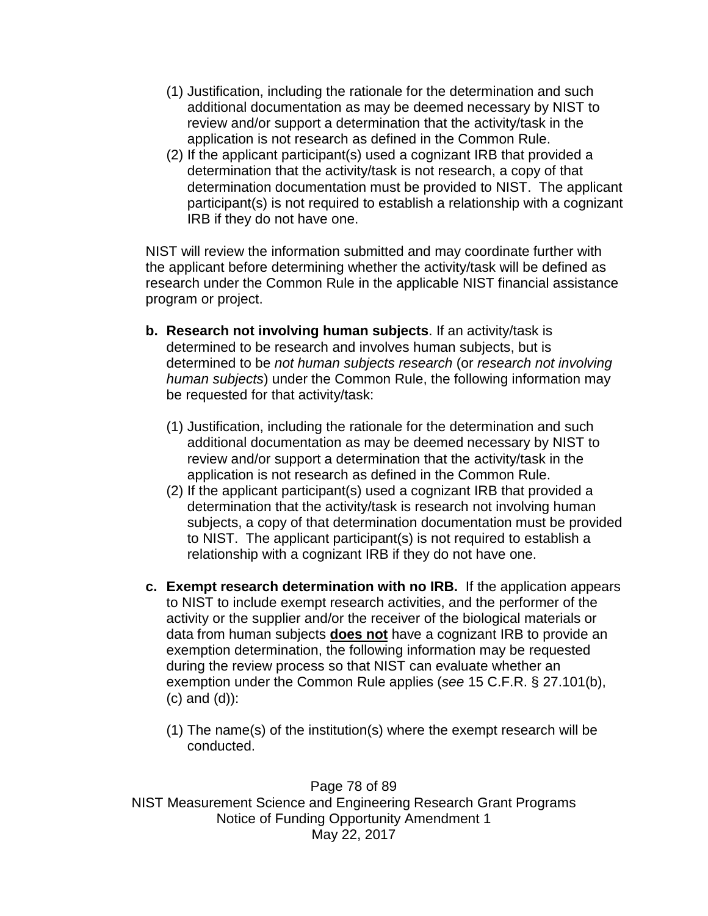- (1) Justification, including the rationale for the determination and such additional documentation as may be deemed necessary by NIST to review and/or support a determination that the activity/task in the application is not research as defined in the Common Rule.
- (2) If the applicant participant(s) used a cognizant IRB that provided a determination that the activity/task is not research, a copy of that determination documentation must be provided to NIST. The applicant participant(s) is not required to establish a relationship with a cognizant IRB if they do not have one.

NIST will review the information submitted and may coordinate further with the applicant before determining whether the activity/task will be defined as research under the Common Rule in the applicable NIST financial assistance program or project.

- **b. Research not involving human subjects**. If an activity/task is determined to be research and involves human subjects, but is determined to be *not human subjects research* (or *research not involving human subjects*) under the Common Rule, the following information may be requested for that activity/task:
	- (1) Justification, including the rationale for the determination and such additional documentation as may be deemed necessary by NIST to review and/or support a determination that the activity/task in the application is not research as defined in the Common Rule.
	- (2) If the applicant participant(s) used a cognizant IRB that provided a determination that the activity/task is research not involving human subjects, a copy of that determination documentation must be provided to NIST. The applicant participant(s) is not required to establish a relationship with a cognizant IRB if they do not have one.
- **c. Exempt research determination with no IRB.** If the application appears to NIST to include exempt research activities, and the performer of the activity or the supplier and/or the receiver of the biological materials or data from human subjects **does not** have a cognizant IRB to provide an exemption determination, the following information may be requested during the review process so that NIST can evaluate whether an exemption under the Common Rule applies (*see* 15 C.F.R. § 27.101(b), (c) and (d)):
	- (1) The name(s) of the institution(s) where the exempt research will be conducted.

Page 78 of 89 NIST Measurement Science and Engineering Research Grant Programs Notice of Funding Opportunity Amendment 1 May 22, 2017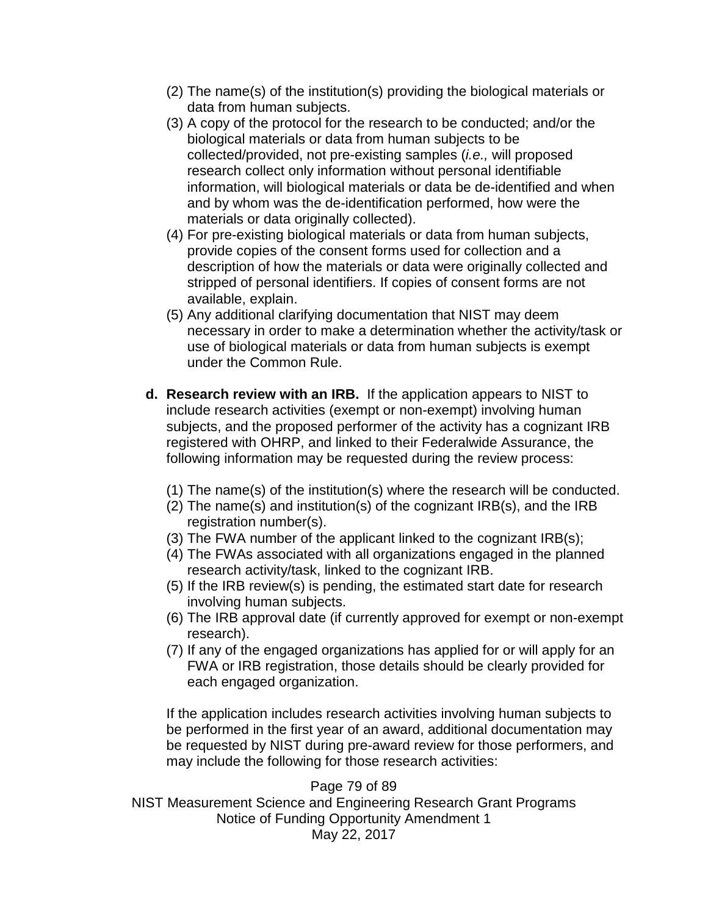- (2) The name(s) of the institution(s) providing the biological materials or data from human subjects.
- (3) A copy of the protocol for the research to be conducted; and/or the biological materials or data from human subjects to be collected/provided, not pre-existing samples (*i.e.,* will proposed research collect only information without personal identifiable information, will biological materials or data be de-identified and when and by whom was the de-identification performed, how were the materials or data originally collected).
- (4) For pre-existing biological materials or data from human subjects, provide copies of the consent forms used for collection and a description of how the materials or data were originally collected and stripped of personal identifiers. If copies of consent forms are not available, explain.
- (5) Any additional clarifying documentation that NIST may deem necessary in order to make a determination whether the activity/task or use of biological materials or data from human subjects is exempt under the Common Rule.
- **d. Research review with an IRB.** If the application appears to NIST to include research activities (exempt or non-exempt) involving human subjects, and the proposed performer of the activity has a cognizant IRB registered with OHRP, and linked to their Federalwide Assurance, the following information may be requested during the review process:
	- (1) The name(s) of the institution(s) where the research will be conducted.
	- (2) The name(s) and institution(s) of the cognizant IRB(s), and the IRB registration number(s).
	- (3) The FWA number of the applicant linked to the cognizant IRB(s);
	- (4) The FWAs associated with all organizations engaged in the planned research activity/task, linked to the cognizant IRB.
	- (5) If the IRB review(s) is pending, the estimated start date for research involving human subjects.
	- (6) The IRB approval date (if currently approved for exempt or non-exempt research).
	- (7) If any of the engaged organizations has applied for or will apply for an FWA or IRB registration, those details should be clearly provided for each engaged organization.

If the application includes research activities involving human subjects to be performed in the first year of an award, additional documentation may be requested by NIST during pre-award review for those performers, and may include the following for those research activities:

Page 79 of 89 NIST Measurement Science and Engineering Research Grant Programs Notice of Funding Opportunity Amendment 1 May 22, 2017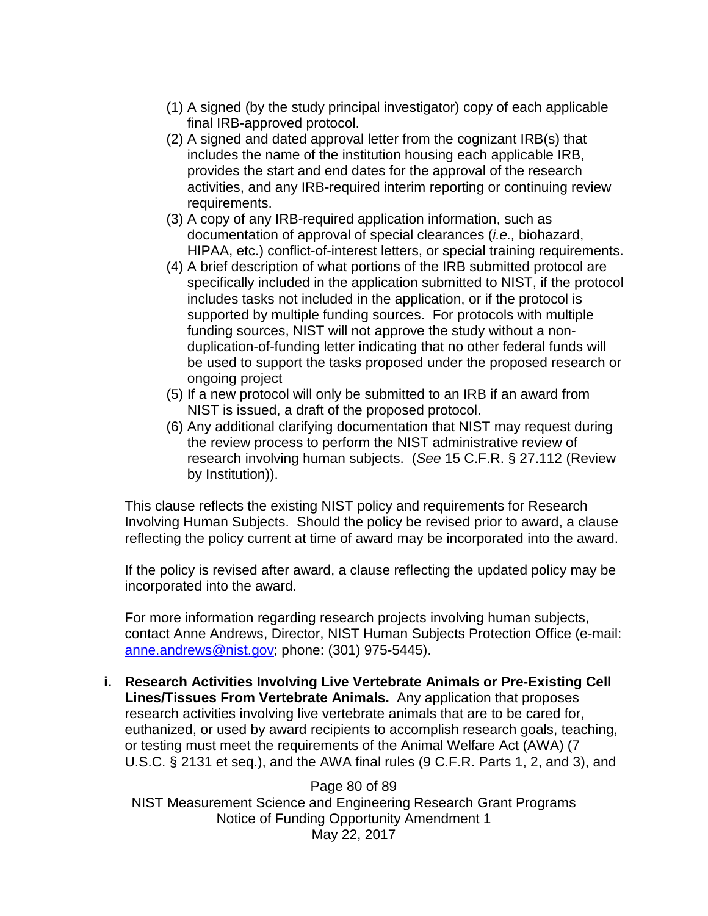- (1) A signed (by the study principal investigator) copy of each applicable final IRB-approved protocol.
- (2) A signed and dated approval letter from the cognizant IRB(s) that includes the name of the institution housing each applicable IRB, provides the start and end dates for the approval of the research activities, and any IRB-required interim reporting or continuing review requirements.
- (3) A copy of any IRB-required application information, such as documentation of approval of special clearances (*i.e.,* biohazard, HIPAA, etc.) conflict-of-interest letters, or special training requirements.
- (4) A brief description of what portions of the IRB submitted protocol are specifically included in the application submitted to NIST, if the protocol includes tasks not included in the application, or if the protocol is supported by multiple funding sources. For protocols with multiple funding sources, NIST will not approve the study without a nonduplication-of-funding letter indicating that no other federal funds will be used to support the tasks proposed under the proposed research or ongoing project
- (5) If a new protocol will only be submitted to an IRB if an award from NIST is issued, a draft of the proposed protocol.
- (6) Any additional clarifying documentation that NIST may request during the review process to perform the NIST administrative review of research involving human subjects. (*See* 15 C.F.R. § 27.112 (Review by Institution)).

This clause reflects the existing NIST policy and requirements for Research Involving Human Subjects. Should the policy be revised prior to award, a clause reflecting the policy current at time of award may be incorporated into the award.

If the policy is revised after award, a clause reflecting the updated policy may be incorporated into the award.

For more information regarding research projects involving human subjects, contact Anne Andrews, Director, NIST Human Subjects Protection Office (e-mail: [anne.andrews@nist.gov;](mailto:anne.andrews@nist.gov) phone: (301) 975-5445).

**i. Research Activities Involving Live Vertebrate Animals or Pre-Existing Cell Lines/Tissues From Vertebrate Animals.** Any application that proposes research activities involving live vertebrate animals that are to be cared for, euthanized, or used by award recipients to accomplish research goals, teaching, or testing must meet the requirements of the Animal Welfare Act (AWA) (7 U.S.C. § 2131 et seq.), and the AWA final rules (9 C.F.R. Parts 1, 2, and 3), and

Page 80 of 89 NIST Measurement Science and Engineering Research Grant Programs Notice of Funding Opportunity Amendment 1 May 22, 2017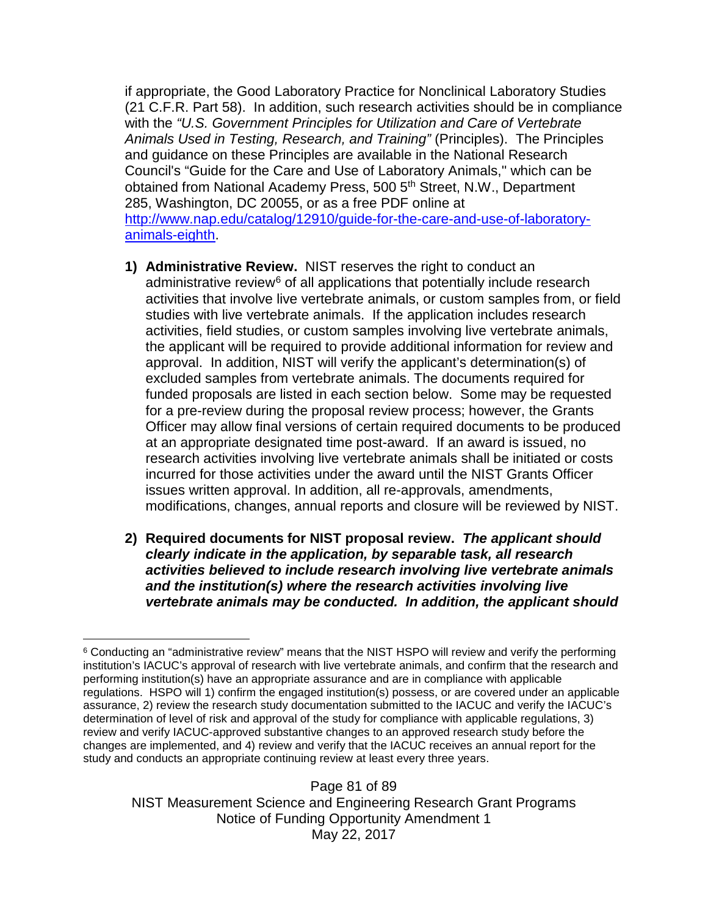if appropriate, the Good Laboratory Practice for Nonclinical Laboratory Studies (21 C.F.R. Part 58). In addition, such research activities should be in compliance with the *"U.S. Government Principles for Utilization and Care of Vertebrate Animals Used in Testing, Research, and Training"* (Principles).The Principles and guidance on these Principles are available in the National Research Council's "Guide for the Care and Use of Laboratory Animals,'' which can be obtained from National Academy Press, 500 5<sup>th</sup> Street, N.W., Department 285, Washington, DC 20055, or as a free PDF online at [http://www.nap.edu/catalog/12910/guide-for-the-care-and-use-of-laboratory](http://www.nap.edu/catalog/12910/guide-for-the-care-and-use-of-laboratory-animals-eighth)[animals-eighth.](http://www.nap.edu/catalog/12910/guide-for-the-care-and-use-of-laboratory-animals-eighth)

- **1) Administrative Review.** NIST reserves the right to conduct an administrative review $6$  of all applications that potentially include research activities that involve live vertebrate animals, or custom samples from, or field studies with live vertebrate animals. If the application includes research activities, field studies, or custom samples involving live vertebrate animals, the applicant will be required to provide additional information for review and approval. In addition, NIST will verify the applicant's determination(s) of excluded samples from vertebrate animals. The documents required for funded proposals are listed in each section below. Some may be requested for a pre-review during the proposal review process; however, the Grants Officer may allow final versions of certain required documents to be produced at an appropriate designated time post-award. If an award is issued, no research activities involving live vertebrate animals shall be initiated or costs incurred for those activities under the award until the NIST Grants Officer issues written approval. In addition, all re-approvals, amendments, modifications, changes, annual reports and closure will be reviewed by NIST.
- **2) Required documents for NIST proposal review.** *The applicant should clearly indicate in the application, by separable task, all research activities believed to include research involving live vertebrate animals and the institution(s) where the research activities involving live vertebrate animals may be conducted. In addition, the applicant should*

Page 81 of 89 NIST Measurement Science and Engineering Research Grant Programs Notice of Funding Opportunity Amendment 1 May 22, 2017

<span id="page-80-0"></span> $\overline{a}$ <sup>6</sup> Conducting an "administrative review" means that the NIST HSPO will review and verify the performing institution's IACUC's approval of research with live vertebrate animals, and confirm that the research and performing institution(s) have an appropriate assurance and are in compliance with applicable regulations. HSPO will 1) confirm the engaged institution(s) possess, or are covered under an applicable assurance, 2) review the research study documentation submitted to the IACUC and verify the IACUC's determination of level of risk and approval of the study for compliance with applicable regulations, 3) review and verify IACUC-approved substantive changes to an approved research study before the changes are implemented, and 4) review and verify that the IACUC receives an annual report for the study and conducts an appropriate continuing review at least every three years.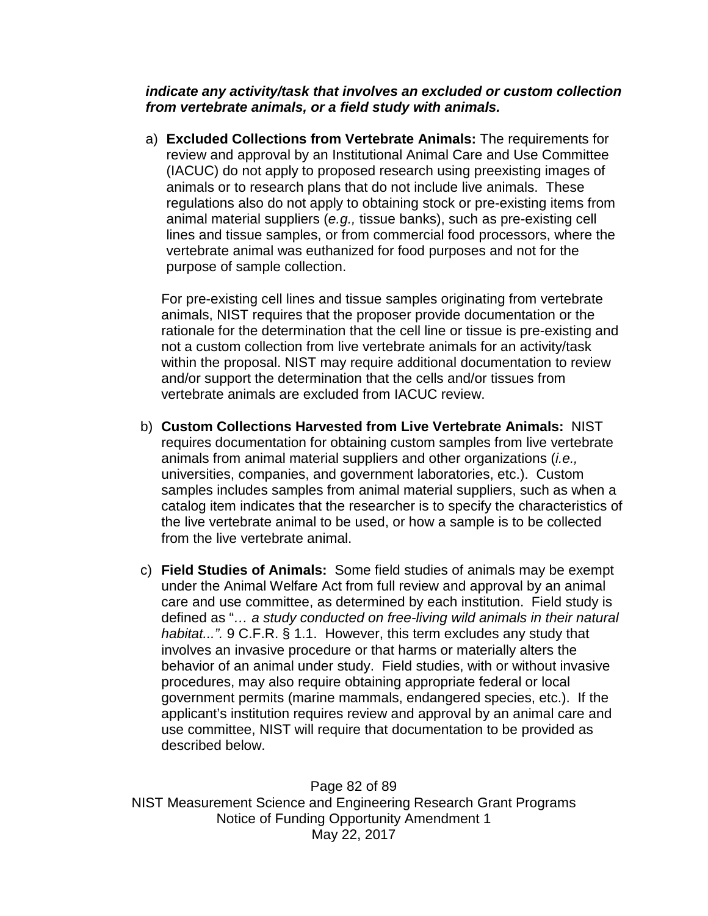*indicate any activity/task that involves an excluded or custom collection from vertebrate animals, or a field study with animals.*

a) **Excluded Collections from Vertebrate Animals:** The requirements for review and approval by an Institutional Animal Care and Use Committee (IACUC) do not apply to proposed research using preexisting images of animals or to research plans that do not include live animals. These regulations also do not apply to obtaining stock or pre-existing items from animal material suppliers (*e.g.,* tissue banks), such as pre-existing cell lines and tissue samples, or from commercial food processors, where the vertebrate animal was euthanized for food purposes and not for the purpose of sample collection.

For pre-existing cell lines and tissue samples originating from vertebrate animals, NIST requires that the proposer provide documentation or the rationale for the determination that the cell line or tissue is pre-existing and not a custom collection from live vertebrate animals for an activity/task within the proposal. NIST may require additional documentation to review and/or support the determination that the cells and/or tissues from vertebrate animals are excluded from IACUC review.

- b) **Custom Collections Harvested from Live Vertebrate Animals:** NIST requires documentation for obtaining custom samples from live vertebrate animals from animal material suppliers and other organizations (*i.e.,* universities, companies, and government laboratories, etc.). Custom samples includes samples from animal material suppliers, such as when a catalog item indicates that the researcher is to specify the characteristics of the live vertebrate animal to be used, or how a sample is to be collected from the live vertebrate animal.
- c) **Field Studies of Animals:** Some field studies of animals may be exempt under the Animal Welfare Act from full review and approval by an animal care and use committee, as determined by each institution. Field study is defined as "*… a study conducted on free-living wild animals in their natural habitat...".* 9 C.F.R. § 1.1. However, this term excludes any study that involves an invasive procedure or that harms or materially alters the behavior of an animal under study. Field studies, with or without invasive procedures, may also require obtaining appropriate federal or local government permits (marine mammals, endangered species, etc.). If the applicant's institution requires review and approval by an animal care and use committee, NIST will require that documentation to be provided as described below.

Page 82 of 89 NIST Measurement Science and Engineering Research Grant Programs Notice of Funding Opportunity Amendment 1 May 22, 2017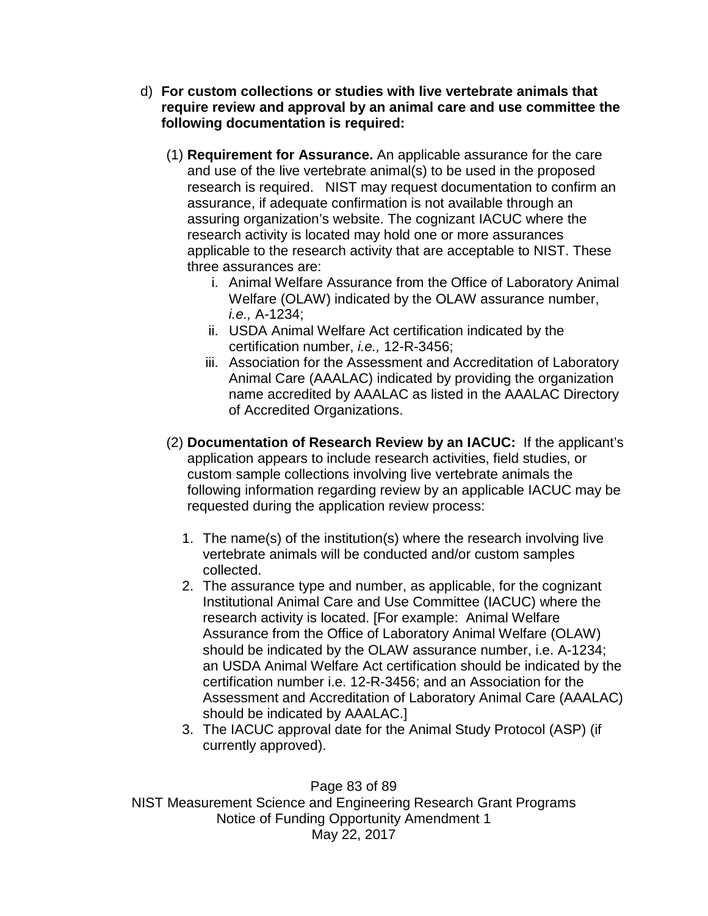- d) **For custom collections or studies with live vertebrate animals that require review and approval by an animal care and use committee the following documentation is required:**
	- (1) **Requirement for Assurance.** An applicable assurance for the care and use of the live vertebrate animal(s) to be used in the proposed research is required. NIST may request documentation to confirm an assurance, if adequate confirmation is not available through an assuring organization's website. The cognizant IACUC where the research activity is located may hold one or more assurances applicable to the research activity that are acceptable to NIST. These three assurances are:
		- i. Animal Welfare Assurance from the Office of Laboratory Animal Welfare (OLAW) indicated by the OLAW assurance number, *i.e.,* A-1234;
		- ii. USDA Animal Welfare Act certification indicated by the certification number, *i.e.,* 12-R-3456;
		- iii. Association for the Assessment and Accreditation of Laboratory Animal Care (AAALAC) indicated by providing the organization name accredited by AAALAC as listed in the AAALAC Directory of Accredited Organizations.
	- (2) **Documentation of Research Review by an IACUC:** If the applicant's application appears to include research activities, field studies, or custom sample collections involving live vertebrate animals the following information regarding review by an applicable IACUC may be requested during the application review process:
		- 1. The name(s) of the institution(s) where the research involving live vertebrate animals will be conducted and/or custom samples collected.
		- 2. The assurance type and number, as applicable, for the cognizant Institutional Animal Care and Use Committee (IACUC) where the research activity is located. [For example: Animal Welfare Assurance from the Office of Laboratory Animal Welfare (OLAW) should be indicated by the OLAW assurance number, i.e. A-1234; an USDA Animal Welfare Act certification should be indicated by the certification number i.e. 12-R-3456; and an Association for the Assessment and Accreditation of Laboratory Animal Care (AAALAC) should be indicated by AAALAC.]
		- 3. The IACUC approval date for the Animal Study Protocol (ASP) (if currently approved).

Page 83 of 89 NIST Measurement Science and Engineering Research Grant Programs Notice of Funding Opportunity Amendment 1 May 22, 2017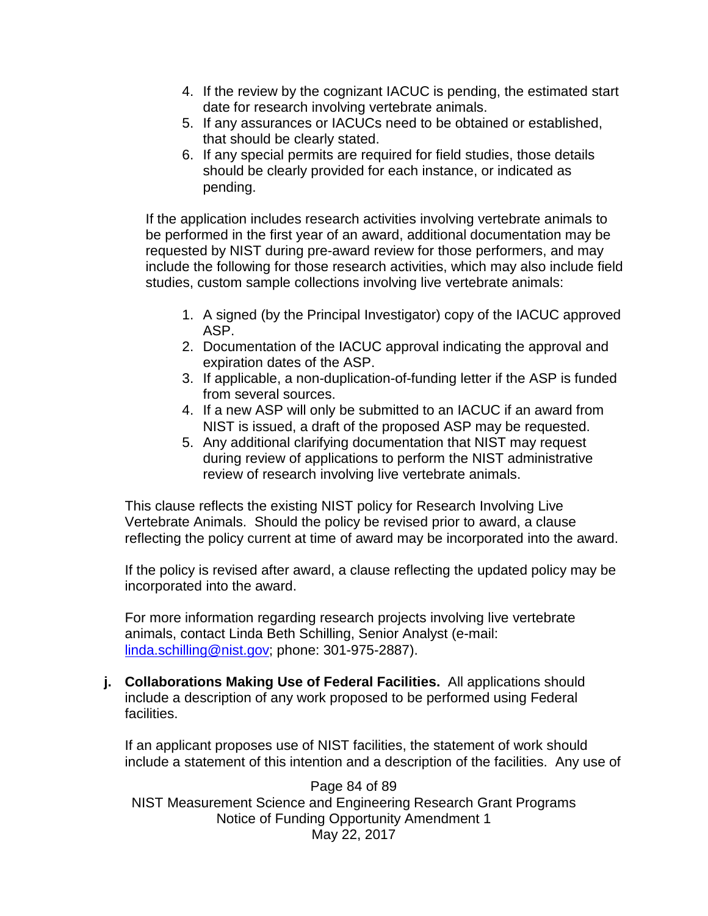- 4. If the review by the cognizant IACUC is pending, the estimated start date for research involving vertebrate animals.
- 5. If any assurances or IACUCs need to be obtained or established, that should be clearly stated.
- 6. If any special permits are required for field studies, those details should be clearly provided for each instance, or indicated as pending.

If the application includes research activities involving vertebrate animals to be performed in the first year of an award, additional documentation may be requested by NIST during pre-award review for those performers, and may include the following for those research activities, which may also include field studies, custom sample collections involving live vertebrate animals:

- 1. A signed (by the Principal Investigator) copy of the IACUC approved ASP.
- 2. Documentation of the IACUC approval indicating the approval and expiration dates of the ASP.
- 3. If applicable, a non-duplication-of-funding letter if the ASP is funded from several sources.
- 4. If a new ASP will only be submitted to an IACUC if an award from NIST is issued, a draft of the proposed ASP may be requested.
- 5. Any additional clarifying documentation that NIST may request during review of applications to perform the NIST administrative review of research involving live vertebrate animals.

This clause reflects the existing NIST policy for Research Involving Live Vertebrate Animals. Should the policy be revised prior to award, a clause reflecting the policy current at time of award may be incorporated into the award.

If the policy is revised after award, a clause reflecting the updated policy may be incorporated into the award.

For more information regarding research projects involving live vertebrate animals, contact Linda Beth Schilling, Senior Analyst (e-mail: [linda.schilling@nist.gov;](mailto:linda.schilling@nist.gov) phone: 301-975-2887).

**j. Collaborations Making Use of Federal Facilities.** All applications should include a description of any work proposed to be performed using Federal facilities.

If an applicant proposes use of NIST facilities, the statement of work should include a statement of this intention and a description of the facilities. Any use of

Page 84 of 89 NIST Measurement Science and Engineering Research Grant Programs Notice of Funding Opportunity Amendment 1 May 22, 2017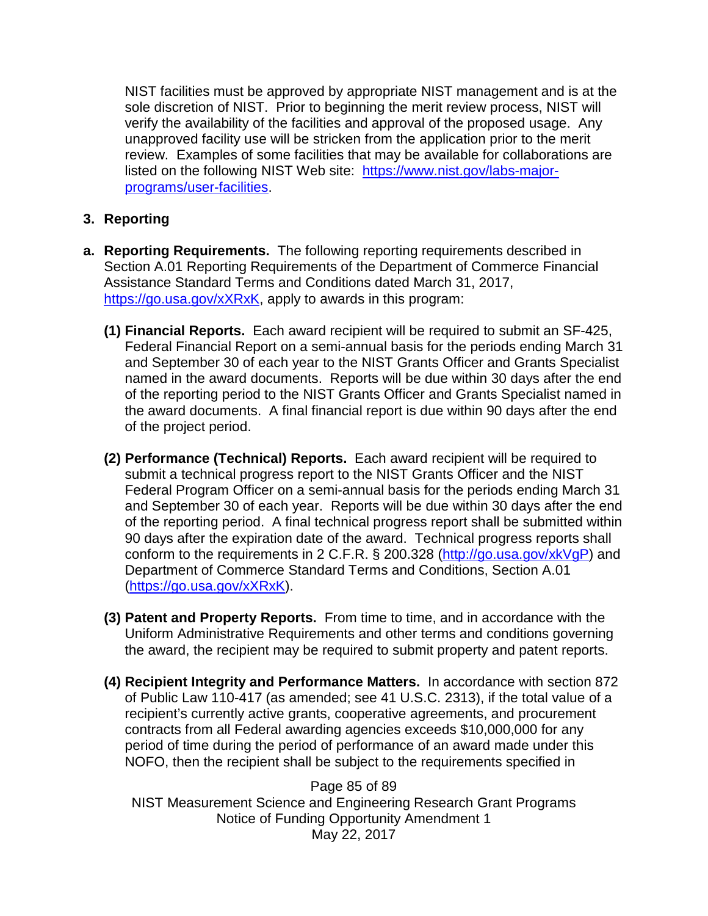NIST facilities must be approved by appropriate NIST management and is at the sole discretion of NIST. Prior to beginning the merit review process, NIST will verify the availability of the facilities and approval of the proposed usage. Any unapproved facility use will be stricken from the application prior to the merit review. Examples of some facilities that may be available for collaborations are listed on the following NIST Web site: [https://www.nist.gov/labs-major](https://www.nist.gov/labs-major-programs/user-facilities)[programs/user-facilities.](https://www.nist.gov/labs-major-programs/user-facilities)

## **3. Reporting**

- **a. Reporting Requirements.** The following reporting requirements described in Section A.01 Reporting Requirements of the Department of Commerce Financial Assistance Standard Terms and Conditions dated March 31, 2017, [https://go.usa.gov/xXRxK,](https://go.usa.gov/xXRxK) apply to awards in this program:
	- **(1) Financial Reports.** Each award recipient will be required to submit an SF-425, Federal Financial Report on a semi-annual basis for the periods ending March 31 and September 30 of each year to the NIST Grants Officer and Grants Specialist named in the award documents. Reports will be due within 30 days after the end of the reporting period to the NIST Grants Officer and Grants Specialist named in the award documents. A final financial report is due within 90 days after the end of the project period.
	- **(2) Performance (Technical) Reports.** Each award recipient will be required to submit a technical progress report to the NIST Grants Officer and the NIST Federal Program Officer on a semi-annual basis for the periods ending March 31 and September 30 of each year. Reports will be due within 30 days after the end of the reporting period. A final technical progress report shall be submitted within 90 days after the expiration date of the award. Technical progress reports shall conform to the requirements in 2 C.F.R. § 200.328 [\(http://go.usa.gov/xkVgP\)](http://go.usa.gov/xkVgP) and Department of Commerce Standard Terms and Conditions, Section A.01 [\(https://go.usa.gov/xXRxK\)](https://go.usa.gov/xXRxK).
	- **(3) Patent and Property Reports.** From time to time, and in accordance with the Uniform Administrative Requirements and other terms and conditions governing the award, the recipient may be required to submit property and patent reports.
	- **(4) Recipient Integrity and Performance Matters.** In accordance with section 872 of Public Law 110-417 (as amended; see 41 U.S.C. 2313), if the total value of a recipient's currently active grants, cooperative agreements, and procurement contracts from all Federal awarding agencies exceeds \$10,000,000 for any period of time during the period of performance of an award made under this NOFO, then the recipient shall be subject to the requirements specified in

Page 85 of 89 NIST Measurement Science and Engineering Research Grant Programs Notice of Funding Opportunity Amendment 1 May 22, 2017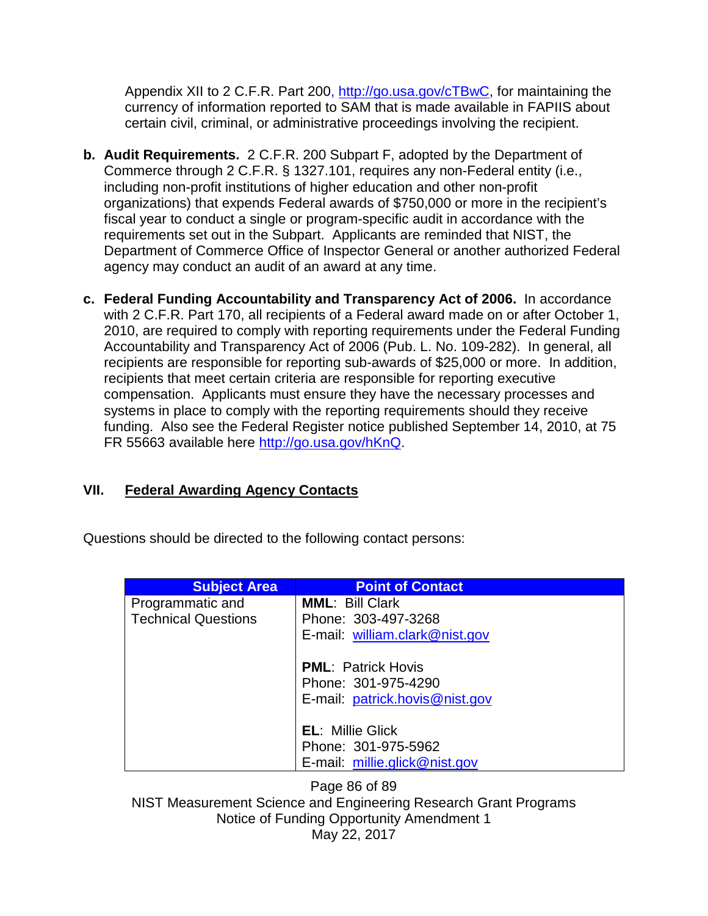Appendix XII to 2 C.F.R. Part 200, [http://go.usa.gov/cTBwC,](http://go.usa.gov/cTBwC) for maintaining the currency of information reported to SAM that is made available in FAPIIS about certain civil, criminal, or administrative proceedings involving the recipient.

- **b. Audit Requirements.** 2 C.F.R. 200 Subpart F, adopted by the Department of Commerce through 2 C.F.R. § 1327.101, requires any non-Federal entity (i.e., including non-profit institutions of higher education and other non-profit organizations) that expends Federal awards of \$750,000 or more in the recipient's fiscal year to conduct a single or program-specific audit in accordance with the requirements set out in the Subpart. Applicants are reminded that NIST, the Department of Commerce Office of Inspector General or another authorized Federal agency may conduct an audit of an award at any time.
- **c. Federal Funding Accountability and Transparency Act of 2006.** In accordance with 2 C.F.R. Part 170, all recipients of a Federal award made on or after October 1, 2010, are required to comply with reporting requirements under the Federal Funding Accountability and Transparency Act of 2006 (Pub. L. No. 109-282). In general, all recipients are responsible for reporting sub-awards of \$25,000 or more. In addition, recipients that meet certain criteria are responsible for reporting executive compensation. Applicants must ensure they have the necessary processes and systems in place to comply with the reporting requirements should they receive funding. Also see the Federal Register notice published September 14, 2010, at 75 FR 55663 available here [http://go.usa.gov/hKnQ.](http://go.usa.gov/hKnQ)

## **VII. Federal Awarding Agency Contacts**

Questions should be directed to the following contact persons:

| <b>Subject Area</b>                            | <b>Point of Contact</b>                               |
|------------------------------------------------|-------------------------------------------------------|
| Programmatic and<br><b>Technical Questions</b> | <b>MML: Bill Clark</b><br>Phone: 303-497-3268         |
|                                                | E-mail: william.clark@nist.gov                        |
|                                                | <b>PML: Patrick Hovis</b>                             |
|                                                | Phone: 301-975-4290<br>E-mail: patrick.hovis@nist.gov |
|                                                |                                                       |
|                                                | <b>EL: Millie Glick</b>                               |
|                                                | Phone: 301-975-5962                                   |
|                                                | E-mail: millie.glick@nist.gov                         |

Page 86 of 89 NIST Measurement Science and Engineering Research Grant Programs Notice of Funding Opportunity Amendment 1 May 22, 2017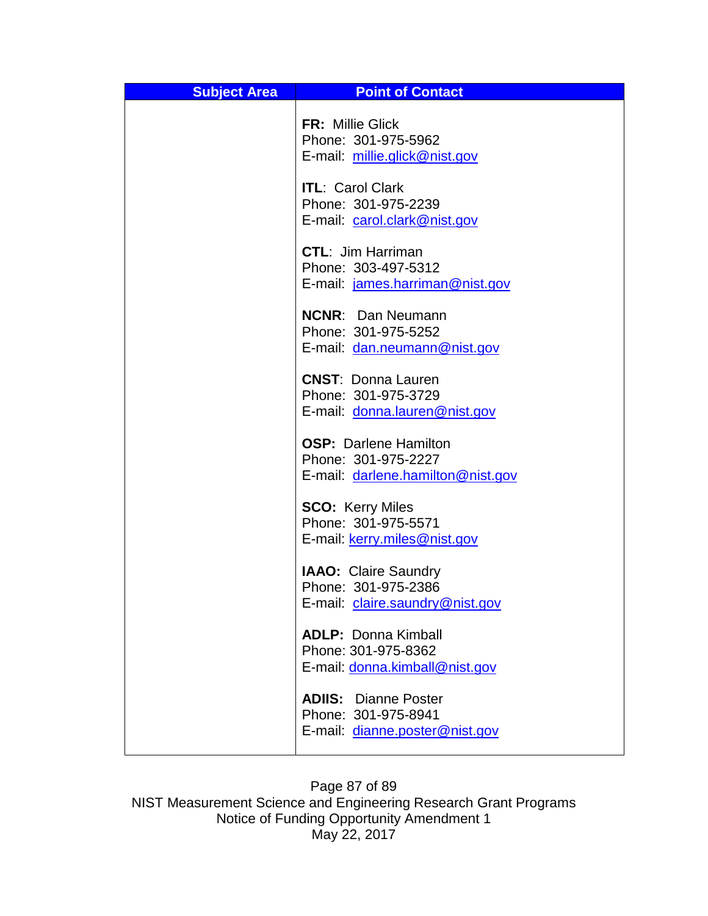| <b>Subject Area</b> | <b>Point of Contact</b>                                                                  |
|---------------------|------------------------------------------------------------------------------------------|
|                     | <b>FR: Millie Glick</b><br>Phone: 301-975-5962<br>E-mail: millie.glick@nist.gov          |
|                     | <b>ITL: Carol Clark</b><br>Phone: 301-975-2239<br>E-mail: carol.clark@nist.gov           |
|                     | <b>CTL: Jim Harriman</b><br>Phone: 303-497-5312<br>E-mail: james.harriman@nist.gov       |
|                     | <b>NCNR: Dan Neumann</b><br>Phone: 301-975-5252<br>E-mail: dan.neumann@nist.gov          |
|                     | <b>CNST: Donna Lauren</b><br>Phone: 301-975-3729<br>E-mail: donna.lauren@nist.gov        |
|                     | <b>OSP: Darlene Hamilton</b><br>Phone: 301-975-2227<br>E-mail: darlene.hamilton@nist.gov |
|                     | <b>SCO: Kerry Miles</b><br>Phone: 301-975-5571<br>E-mail: kerry.miles@nist.gov           |
|                     | <b>IAAO: Claire Saundry</b><br>Phone: 301-975-2386<br>E-mail: claire.saundry@nist.gov    |
|                     | <b>ADLP: Donna Kimball</b><br>Phone: 301-975-8362<br>E-mail: donna.kimball@nist.gov      |
|                     | <b>ADIIS: Dianne Poster</b><br>Phone: 301-975-8941<br>E-mail: dianne.poster@nist.gov     |

Page 87 of 89 NIST Measurement Science and Engineering Research Grant Programs Notice of Funding Opportunity Amendment 1 May 22, 2017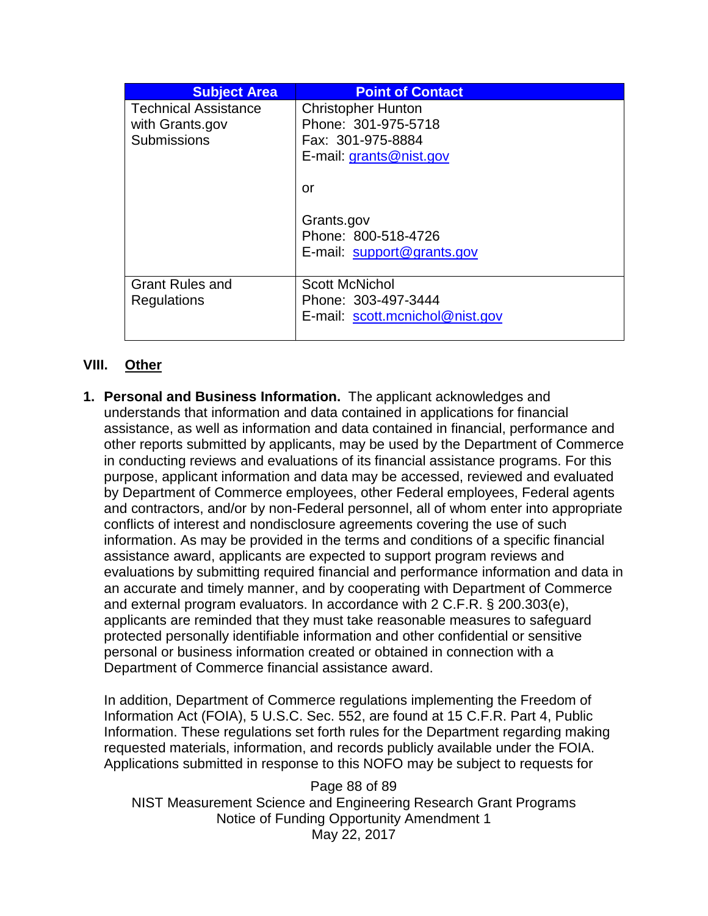| <b>Subject Area</b>         | <b>Point of Contact</b>         |
|-----------------------------|---------------------------------|
| <b>Technical Assistance</b> | <b>Christopher Hunton</b>       |
| with Grants.gov             | Phone: 301-975-5718             |
| <b>Submissions</b>          | Fax: 301-975-8884               |
|                             | E-mail: grants@nist.gov         |
|                             | or                              |
|                             |                                 |
|                             | Grants.gov                      |
|                             | Phone: 800-518-4726             |
|                             | E-mail: support@grants.gov      |
| <b>Grant Rules and</b>      | <b>Scott McNichol</b>           |
| Regulations                 | Phone: 303-497-3444             |
|                             | E-mail: scott.mcnichol@nist.gov |
|                             |                                 |

## **VIII. Other**

**1. Personal and Business Information.** The applicant acknowledges and understands that information and data contained in applications for financial assistance, as well as information and data contained in financial, performance and other reports submitted by applicants, may be used by the Department of Commerce in conducting reviews and evaluations of its financial assistance programs. For this purpose, applicant information and data may be accessed, reviewed and evaluated by Department of Commerce employees, other Federal employees, Federal agents and contractors, and/or by non-Federal personnel, all of whom enter into appropriate conflicts of interest and nondisclosure agreements covering the use of such information. As may be provided in the terms and conditions of a specific financial assistance award, applicants are expected to support program reviews and evaluations by submitting required financial and performance information and data in an accurate and timely manner, and by cooperating with Department of Commerce and external program evaluators. In accordance with 2 C.F.R. § 200.303(e), applicants are reminded that they must take reasonable measures to safeguard protected personally identifiable information and other confidential or sensitive personal or business information created or obtained in connection with a Department of Commerce financial assistance award.

In addition, Department of Commerce regulations implementing the Freedom of Information Act (FOIA), 5 U.S.C. Sec. 552, are found at 15 C.F.R. Part 4, Public Information. These regulations set forth rules for the Department regarding making requested materials, information, and records publicly available under the FOIA. Applications submitted in response to this NOFO may be subject to requests for

Page 88 of 89 NIST Measurement Science and Engineering Research Grant Programs Notice of Funding Opportunity Amendment 1 May 22, 2017